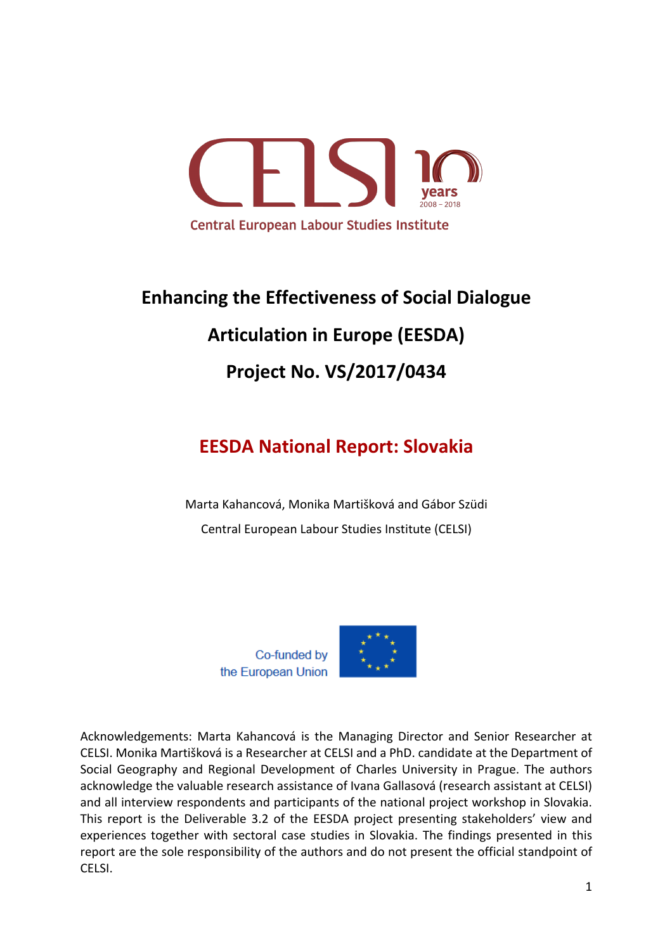

# **Enhancing the Effectiveness of Social Dialogue Articulation in Europe (EESDA) Project No. VS/2017/0434**

# **EESDA National Report: Slovakia**

Marta Kahancová, Monika Martišková and Gábor Szüdi Central European Labour Studies Institute (CELSI)



Acknowledgements: Marta Kahancová is the Managing Director and Senior Researcher at CELSI. Monika Martišková is a Researcher at CELSI and a PhD. candidate at the Department of Social Geography and Regional Development of Charles University in Prague. The authors acknowledge the valuable research assistance of Ivana Gallasová (research assistant at CELSI) and all interview respondents and participants of the national project workshop in Slovakia. This report is the Deliverable 3.2 of the EESDA project presenting stakeholders' view and experiences together with sectoral case studies in Slovakia. The findings presented in this report are the sole responsibility of the authors and do not present the official standpoint of CELSI.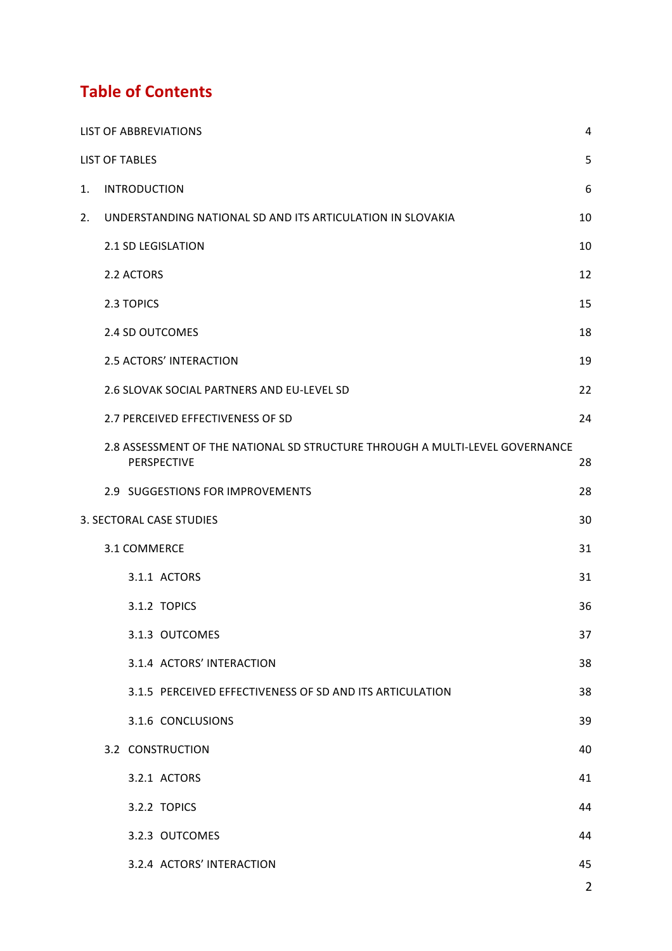# **Table of Contents**

|    | <b>LIST OF ABBREVIATIONS</b>                                                                | 4              |
|----|---------------------------------------------------------------------------------------------|----------------|
|    | <b>LIST OF TABLES</b>                                                                       | 5              |
| 1. | <b>INTRODUCTION</b>                                                                         | 6              |
| 2. | UNDERSTANDING NATIONAL SD AND ITS ARTICULATION IN SLOVAKIA                                  | 10             |
|    | 2.1 SD LEGISLATION                                                                          | 10             |
|    | 2.2 ACTORS                                                                                  | 12             |
|    | 2.3 TOPICS                                                                                  | 15             |
|    | 2.4 SD OUTCOMES                                                                             | 18             |
|    | 2.5 ACTORS' INTERACTION                                                                     | 19             |
|    | 2.6 SLOVAK SOCIAL PARTNERS AND EU-LEVEL SD                                                  | 22             |
|    | 2.7 PERCEIVED EFFECTIVENESS OF SD                                                           | 24             |
|    | 2.8 ASSESSMENT OF THE NATIONAL SD STRUCTURE THROUGH A MULTI-LEVEL GOVERNANCE<br>PERSPECTIVE | 28             |
|    | 2.9 SUGGESTIONS FOR IMPROVEMENTS                                                            | 28             |
|    | 3. SECTORAL CASE STUDIES                                                                    | 30             |
|    | 3.1 COMMERCE                                                                                | 31             |
|    | 3.1.1 ACTORS                                                                                | 31             |
|    | 3.1.2 TOPICS                                                                                | 36             |
|    | 3.1.3 OUTCOMES                                                                              | 37             |
|    | 3.1.4 ACTORS' INTERACTION                                                                   | 38             |
|    | 3.1.5 PERCEIVED EFFECTIVENESS OF SD AND ITS ARTICULATION                                    | 38             |
|    | 3.1.6 CONCLUSIONS                                                                           | 39             |
|    | 3.2 CONSTRUCTION                                                                            | 40             |
|    | 3.2.1 ACTORS                                                                                | 41             |
|    | 3.2.2 TOPICS                                                                                | 44             |
|    | 3.2.3 OUTCOMES                                                                              | 44             |
|    | 3.2.4 ACTORS' INTERACTION                                                                   | 45             |
|    |                                                                                             | $\overline{2}$ |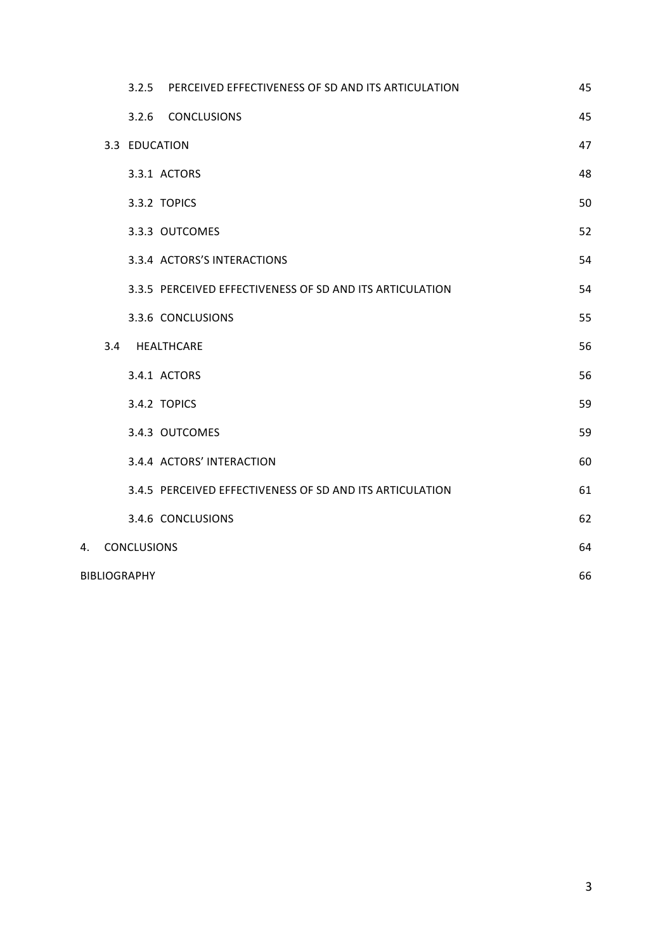|    |     | 3.2.5               | PERCEIVED EFFECTIVENESS OF SD AND ITS ARTICULATION       | 45 |
|----|-----|---------------------|----------------------------------------------------------|----|
|    |     |                     | 3.2.6 CONCLUSIONS                                        | 45 |
|    |     | 3.3 EDUCATION       |                                                          | 47 |
|    |     |                     | 3.3.1 ACTORS                                             | 48 |
|    |     |                     | 3.3.2 TOPICS                                             | 50 |
|    |     |                     | 3.3.3 OUTCOMES                                           | 52 |
|    |     |                     | 3.3.4 ACTORS'S INTERACTIONS                              | 54 |
|    |     |                     | 3.3.5 PERCEIVED EFFECTIVENESS OF SD AND ITS ARTICULATION | 54 |
|    |     |                     | 3.3.6 CONCLUSIONS                                        | 55 |
|    | 3.4 |                     | HEALTHCARE                                               | 56 |
|    |     |                     | 3.4.1 ACTORS                                             | 56 |
|    |     |                     | 3.4.2 TOPICS                                             | 59 |
|    |     |                     | 3.4.3 OUTCOMES                                           | 59 |
|    |     |                     | 3.4.4 ACTORS' INTERACTION                                | 60 |
|    |     |                     | 3.4.5 PERCEIVED EFFECTIVENESS OF SD AND ITS ARTICULATION | 61 |
|    |     |                     | 3.4.6 CONCLUSIONS                                        | 62 |
| 4. |     | <b>CONCLUSIONS</b>  |                                                          | 64 |
|    |     | <b>BIBLIOGRAPHY</b> |                                                          | 66 |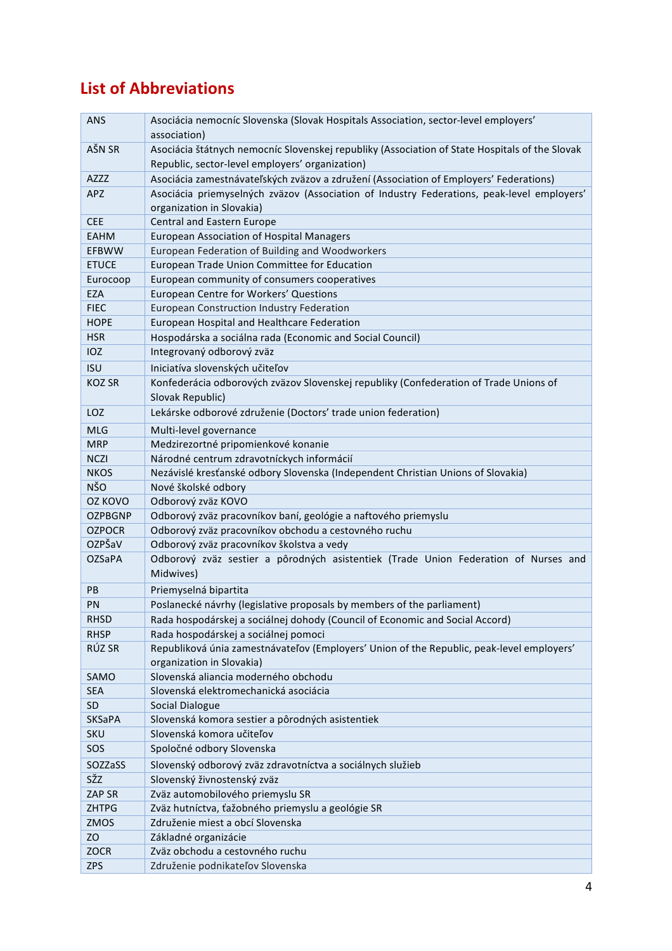# **List of Abbreviations**

| <b>ANS</b>     | Asociácia nemocníc Slovenska (Slovak Hospitals Association, sector-level employers'<br>association) |
|----------------|-----------------------------------------------------------------------------------------------------|
| AŠN SR         | Asociácia štátnych nemocníc Slovenskej republiky (Association of State Hospitals of the Slovak      |
|                | Republic, sector-level employers' organization)                                                     |
| AZZZ           | Asociácia zamestnávateľských zväzov a združení (Association of Employers' Federations)              |
| <b>APZ</b>     | Asociácia priemyselných zväzov (Association of Industry Federations, peak-level employers'          |
|                | organization in Slovakia)                                                                           |
| <b>CEE</b>     | <b>Central and Eastern Europe</b>                                                                   |
| <b>EAHM</b>    | <b>European Association of Hospital Managers</b>                                                    |
| <b>EFBWW</b>   | European Federation of Building and Woodworkers                                                     |
| <b>ETUCE</b>   | European Trade Union Committee for Education                                                        |
| Eurocoop       | European community of consumers cooperatives                                                        |
| EZA            | European Centre for Workers' Questions                                                              |
| <b>FIEC</b>    | <b>European Construction Industry Federation</b>                                                    |
| <b>HOPE</b>    | European Hospital and Healthcare Federation                                                         |
| <b>HSR</b>     | Hospodárska a sociálna rada (Economic and Social Council)                                           |
| <b>IOZ</b>     | Integrovaný odborový zväz                                                                           |
| <b>ISU</b>     | Iniciatíva slovenských učiteľov                                                                     |
| <b>KOZ SR</b>  | Konfederácia odborových zväzov Slovenskej republiky (Confederation of Trade Unions of               |
|                | Slovak Republic)                                                                                    |
| <b>LOZ</b>     | Lekárske odborové združenie (Doctors' trade union federation)                                       |
| <b>MLG</b>     | Multi-level governance                                                                              |
| <b>MRP</b>     | Medzirezortné pripomienkové konanie                                                                 |
| <b>NCZI</b>    | Národné centrum zdravotníckych informácií                                                           |
| <b>NKOS</b>    | Nezávislé kresťanské odbory Slovenska (Independent Christian Unions of Slovakia)                    |
| <b>NŠO</b>     | Nové školské odbory                                                                                 |
| OZ KOVO        | Odborový zväz KOVO                                                                                  |
| <b>OZPBGNP</b> | Odborový zväz pracovníkov baní, geológie a naftového priemyslu                                      |
| <b>OZPOCR</b>  | Odborový zväz pracovníkov obchodu a cestovného ruchu                                                |
| OZPŠaV         | Odborový zväz pracovníkov školstva a vedy                                                           |
| <b>OZSaPA</b>  | Odborový zväz sestier a pôrodných asistentiek (Trade Union Federation of Nurses and                 |
|                | Midwives)                                                                                           |
| PB             | Priemyselná bipartita                                                                               |
| PN             | Poslanecké návrhy (legislative proposals by members of the parliament)                              |
| <b>RHSD</b>    | Rada hospodárskej a sociálnej dohody (Council of Economic and Social Accord)                        |
| <b>RHSP</b>    | Rada hospodárskej a sociálnej pomoci                                                                |
| RÚZ SR         | Republiková únia zamestnávateľov (Employers' Union of the Republic, peak-level employers'           |
|                | organization in Slovakia)                                                                           |
| SAMO           | Slovenská aliancia moderného obchodu                                                                |
| <b>SEA</b>     | Slovenská elektromechanická asociácia                                                               |
| <b>SD</b>      | Social Dialogue                                                                                     |
| <b>SKSaPA</b>  | Slovenská komora sestier a pôrodných asistentiek                                                    |
| SKU            | Slovenská komora učiteľov                                                                           |
| SOS            | Spoločné odbory Slovenska                                                                           |
| SOZZaSS        | Slovenský odborový zväz zdravotníctva a sociálnych služieb                                          |
| sžz            | Slovenský živnostenský zväz                                                                         |
| ZAP SR         | Zväz automobilového priemyslu SR                                                                    |
| <b>ZHTPG</b>   | Zväz hutníctva, ťažobného priemyslu a geológie SR                                                   |
| ZMOS           | Združenie miest a obcí Slovenska                                                                    |
| ZO             | Základné organizácie                                                                                |
| ZOCR           | Zväz obchodu a cestovného ruchu                                                                     |
| <b>ZPS</b>     | Združenie podnikateľov Slovenska                                                                    |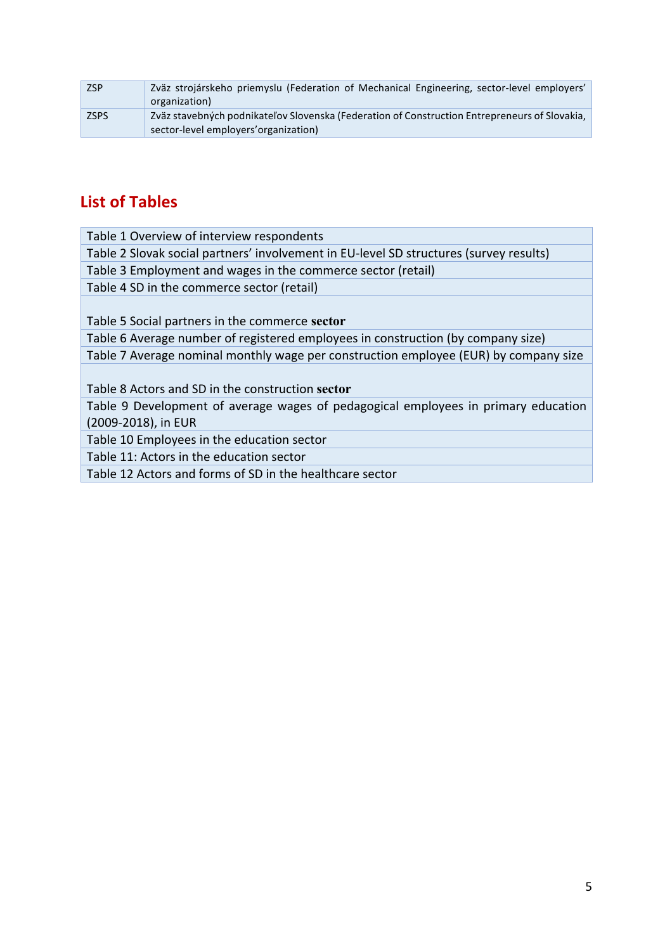| <b>ZSP</b>  | Zväz strojárskeho priemyslu (Federation of Mechanical Engineering, sector-level employers'<br>organization)                            |
|-------------|----------------------------------------------------------------------------------------------------------------------------------------|
| <b>ZSPS</b> | Zväz stavebných podnikateľov Slovenska (Federation of Construction Entrepreneurs of Slovakia,<br>sector-level employers' organization) |

# **List of Tables**

| Table 1 Overview of interview respondents                                              |
|----------------------------------------------------------------------------------------|
| Table 2 Slovak social partners' involvement in EU-level SD structures (survey results) |
| Table 3 Employment and wages in the commerce sector (retail)                           |
| Table 4 SD in the commerce sector (retail)                                             |
|                                                                                        |
| Table 5 Social partners in the commerce sector                                         |
| Table 6 Average number of registered employees in construction (by company size)       |
| Table 7 Average nominal monthly wage per construction employee (EUR) by company size   |
|                                                                                        |
| Table 8 Actors and SD in the construction sector                                       |
| Table 9 Development of average wages of pedagogical employees in primary education     |
| (2009-2018), in EUR                                                                    |
| Table 10 Employees in the education sector                                             |
| Table 11: Actors in the education sector                                               |
| Table 12 Actors and forms of SD in the healthcare sector                               |
|                                                                                        |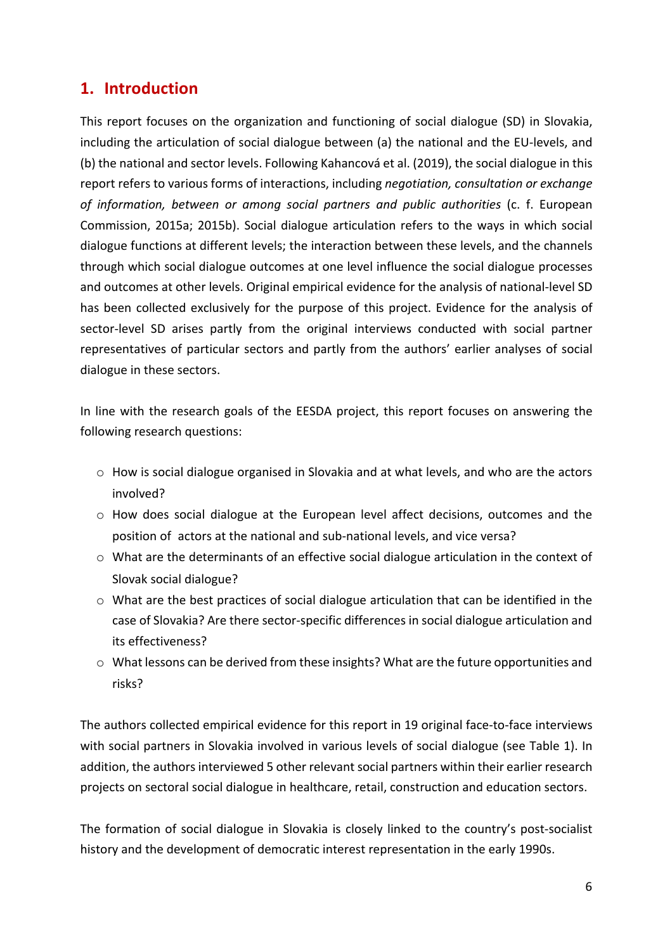# **1. Introduction**

This report focuses on the organization and functioning of social dialogue (SD) in Slovakia, including the articulation of social dialogue between (a) the national and the EU-levels, and (b) the national and sector levels. Following Kahancová et al. (2019), the social dialogue in this report refers to various forms of interactions, including *negotiation, consultation or exchange* of information, between or among social partners and public authorities (c. f. European Commission, 2015a; 2015b). Social dialogue articulation refers to the ways in which social dialogue functions at different levels; the interaction between these levels, and the channels through which social dialogue outcomes at one level influence the social dialogue processes and outcomes at other levels. Original empirical evidence for the analysis of national-level SD has been collected exclusively for the purpose of this project. Evidence for the analysis of sector-level SD arises partly from the original interviews conducted with social partner representatives of particular sectors and partly from the authors' earlier analyses of social dialogue in these sectors.

In line with the research goals of the EESDA project, this report focuses on answering the following research questions:

- $\circ$  How is social dialogue organised in Slovakia and at what levels, and who are the actors involved?
- o How does social dialogue at the European level affect decisions, outcomes and the position of actors at the national and sub-national levels, and vice versa?
- $\circ$  What are the determinants of an effective social dialogue articulation in the context of Slovak social dialogue?
- $\circ$  What are the best practices of social dialogue articulation that can be identified in the case of Slovakia? Are there sector-specific differences in social dialogue articulation and its effectiveness?
- $\circ$  What lessons can be derived from these insights? What are the future opportunities and risks?

The authors collected empirical evidence for this report in 19 original face-to-face interviews with social partners in Slovakia involved in various levels of social dialogue (see Table 1). In addition, the authors interviewed 5 other relevant social partners within their earlier research projects on sectoral social dialogue in healthcare, retail, construction and education sectors.

The formation of social dialogue in Slovakia is closely linked to the country's post-socialist history and the development of democratic interest representation in the early 1990s.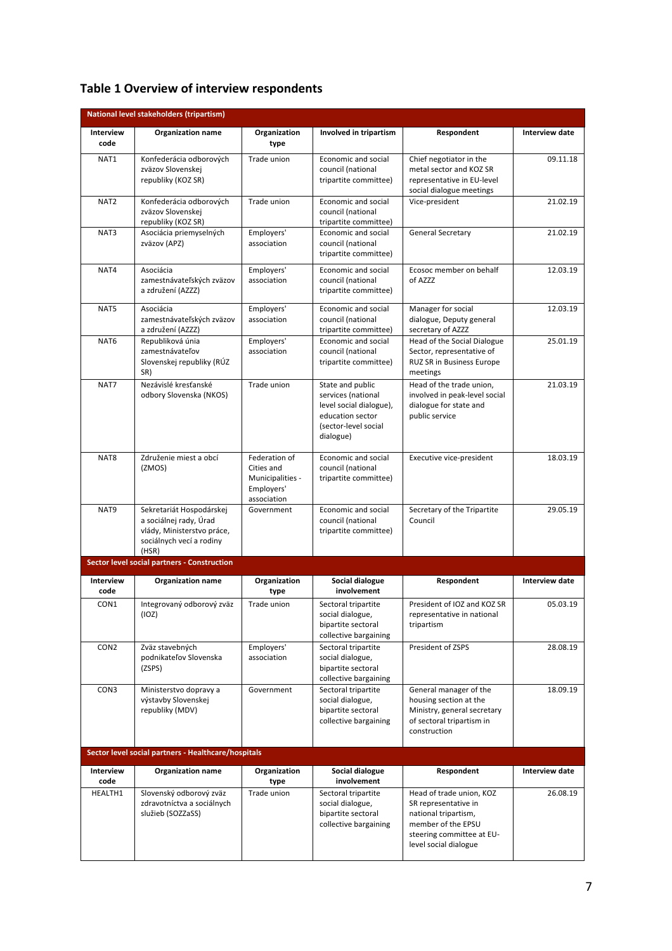| Table 1 Overview of interview respondents |  |  |  |  |
|-------------------------------------------|--|--|--|--|
|-------------------------------------------|--|--|--|--|

|                              | National level stakeholders (tripartism)                                                                              |                                                                              |                                                                                                                                                                                                                        |                                                                                                                          |                            |
|------------------------------|-----------------------------------------------------------------------------------------------------------------------|------------------------------------------------------------------------------|------------------------------------------------------------------------------------------------------------------------------------------------------------------------------------------------------------------------|--------------------------------------------------------------------------------------------------------------------------|----------------------------|
| Interview<br>code            | <b>Organization name</b>                                                                                              | Organization<br>type                                                         | Involved in tripartism                                                                                                                                                                                                 | Respondent                                                                                                               | Interview date             |
| NAT1                         | Konfederácia odborových<br>zväzov Slovenskej<br>republiky (KOZ SR)                                                    | Trade union                                                                  | Economic and social<br>council (national<br>tripartite committee)                                                                                                                                                      | Chief negotiator in the<br>metal sector and KOZ SR<br>representative in EU-level<br>social dialogue meetings             | 09.11.18                   |
| NAT <sub>2</sub>             | Konfederácia odborových<br>zväzov Slovenskej<br>republiky (KOZ SR)                                                    | Trade union                                                                  | Economic and social<br>council (national<br>tripartite committee)                                                                                                                                                      | Vice-president                                                                                                           | 21.02.19                   |
| NAT3                         | Asociácia priemyselných<br>zväzov (APZ)                                                                               | Employers'<br>association                                                    | Economic and social<br>council (national<br>tripartite committee)                                                                                                                                                      | <b>General Secretary</b>                                                                                                 | 21.02.19                   |
| NAT4                         | Asociácia<br>zamestnávateľských zväzov<br>a združení (AZZZ)                                                           | Employers'<br>association                                                    | Economic and social<br>council (national<br>tripartite committee)                                                                                                                                                      | Ecosoc member on behalf<br>of AZZZ                                                                                       | 12.03.19                   |
| NAT5                         | Asociácia<br>zamestnávateľských zväzov<br>a združení (AZZZ)                                                           | Employers'<br>association                                                    | Economic and social<br>council (national<br>tripartite committee)                                                                                                                                                      | Manager for social<br>dialogue, Deputy general<br>secretary of AZZZ                                                      | 12.03.19                   |
| NAT6                         | Republiková únia<br>zamestnávateľov<br>Slovenskej republiky (RÚZ<br>SR)                                               | Employers'<br>association                                                    | Economic and social<br>council (national<br>tripartite committee)                                                                                                                                                      | Head of the Social Dialogue<br>Sector, representative of<br><b>RUZ SR in Business Europe</b><br>meetings                 | 25.01.19                   |
| NAT7                         | Nezávislé kresťanské<br>odbory Slovenska (NKOS)                                                                       | Trade union                                                                  | State and public<br>services (national<br>level social dialogue),<br>education sector<br>(sector-level social<br>dialogue)                                                                                             | Head of the trade union,<br>involved in peak-level social<br>dialogue for state and<br>public service                    | 21.03.19                   |
| NAT8                         | Združenie miest a obcí<br>(ZMOS)                                                                                      | Federation of<br>Cities and<br>Municipalities -<br>Employers'<br>association | Economic and social<br>council (national<br>tripartite committee)                                                                                                                                                      | Executive vice-president                                                                                                 | 18.03.19                   |
| NAT9                         | Sekretariát Hospodárskej<br>a sociálnej rady, Úrad<br>vlády, Ministerstvo práce,<br>sociálnych vecí a rodiny<br>(HSR) | Government                                                                   | Economic and social<br>council (national<br>tripartite committee)                                                                                                                                                      | Secretary of the Tripartite<br>Council                                                                                   | 29.05.19                   |
|                              | Sector level social partners - Construction                                                                           |                                                                              |                                                                                                                                                                                                                        |                                                                                                                          |                            |
| Interview<br>code            | <b>Organization name</b>                                                                                              | Organization<br>type                                                         | Social dialogue<br>involvement                                                                                                                                                                                         | Respondent                                                                                                               | Interview date             |
| CON1                         | Integrovaný odborový zväz<br>(IOZ)                                                                                    | Trade union                                                                  | Sectoral tripartite<br>social dialogue,<br>bipartite sectoral<br>collective bargaining                                                                                                                                 | President of IOZ and KOZ SR<br>representative in national<br>tripartism                                                  | 05.03.19                   |
| CON <sub>2</sub>             | Zväz stavebných<br>podnikateľov Slovenska<br>(ZSPS)                                                                   | Employers'<br>association                                                    | Sectoral tripartite<br>social dialogue,<br>bipartite sectoral<br>collective bargaining                                                                                                                                 | President of ZSPS                                                                                                        | 28.08.19                   |
| CON3                         | Ministerstvo dopravy a<br>výstavby Slovenskej<br>republiky (MDV)                                                      | Government                                                                   | General manager of the<br>Sectoral tripartite<br>social dialogue,<br>housing section at the<br>bipartite sectoral<br>Ministry, general secretary<br>collective bargaining<br>of sectoral tripartism in<br>construction |                                                                                                                          | 18.09.19                   |
|                              | Sector level social partners - Healthcare/hospitals                                                                   |                                                                              |                                                                                                                                                                                                                        |                                                                                                                          |                            |
| Interview<br>code<br>HEALTH1 | <b>Organization name</b><br>Slovenský odborový zväz                                                                   | Organization<br>type<br>Trade union                                          | Social dialogue<br>involvement<br>Sectoral tripartite                                                                                                                                                                  | Respondent<br>Head of trade union, KOZ                                                                                   | Interview date<br>26.08.19 |
|                              | zdravotníctva a sociálnych<br>služieb (SOZZaSS)                                                                       |                                                                              | social dialogue,<br>bipartite sectoral<br>collective bargaining                                                                                                                                                        | SR representative in<br>national tripartism,<br>member of the EPSU<br>steering committee at EU-<br>level social dialogue |                            |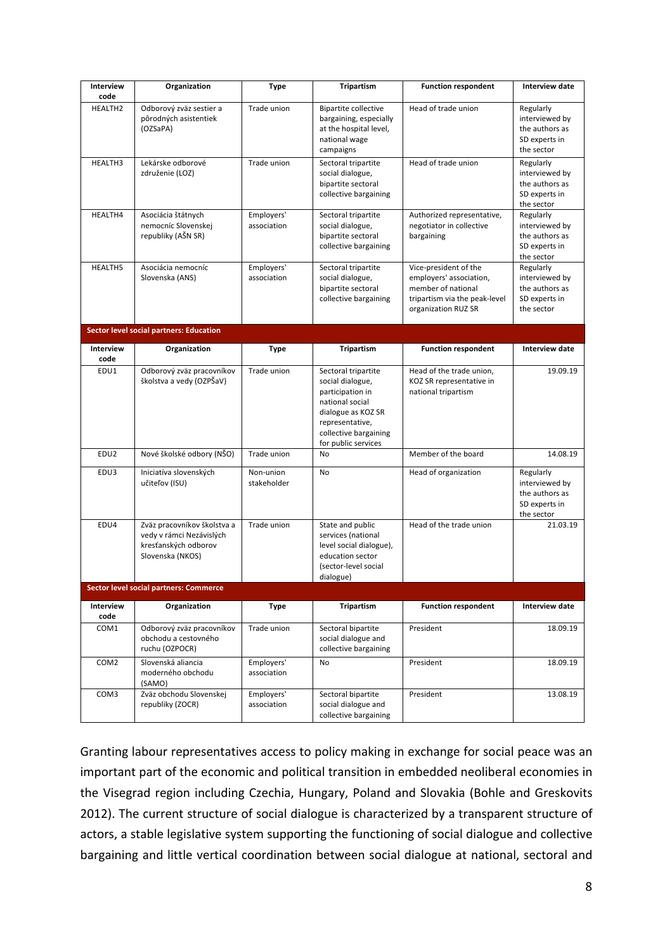| Interview<br>code        | Organization                                                                                        | Type                      | <b>Tripartism</b>                                                                                                                                                       | <b>Function respondent</b>                                                                                                     | <b>Interview date</b>                                                        |
|--------------------------|-----------------------------------------------------------------------------------------------------|---------------------------|-------------------------------------------------------------------------------------------------------------------------------------------------------------------------|--------------------------------------------------------------------------------------------------------------------------------|------------------------------------------------------------------------------|
| <b>HEALTH2</b>           | Odborový zväz sestier a<br>pôrodných asistentiek<br>(OZSaPA)                                        | Trade union               | <b>Bipartite collective</b><br>bargaining, especially<br>at the hospital level,<br>national wage<br>campaigns                                                           | Head of trade union                                                                                                            | Regularly<br>interviewed by<br>the authors as<br>SD experts in<br>the sector |
| HEALTH3                  | Lekárske odborové<br>združenie (LOZ)                                                                | Trade union               | Sectoral tripartite<br>social dialogue,<br>bipartite sectoral<br>collective bargaining                                                                                  | Head of trade union                                                                                                            | Regularly<br>interviewed by<br>the authors as<br>SD experts in<br>the sector |
| HEALTH4                  | Asociácia štátnych<br>nemocníc Slovenskej<br>republiky (AŠN SR)                                     | Employers'<br>association | Sectoral tripartite<br>social dialogue,<br>bipartite sectoral<br>collective bargaining                                                                                  | Authorized representative,<br>negotiator in collective<br>bargaining                                                           | Regularly<br>interviewed by<br>the authors as<br>SD experts in<br>the sector |
| <b>HEALTH5</b>           | Asociácia nemocníc<br>Slovenska (ANS)                                                               | Employers'<br>association | Sectoral tripartite<br>social dialogue,<br>bipartite sectoral<br>collective bargaining                                                                                  | Vice-president of the<br>employers' association,<br>member of national<br>tripartism via the peak-level<br>organization RUZ SR | Regularly<br>interviewed by<br>the authors as<br>SD experts in<br>the sector |
|                          | <b>Sector level social partners: Education</b>                                                      |                           |                                                                                                                                                                         |                                                                                                                                |                                                                              |
| <b>Interview</b><br>code | Organization                                                                                        | Type                      | <b>Tripartism</b>                                                                                                                                                       | <b>Function respondent</b>                                                                                                     | Interview date                                                               |
| EDU1                     | Odborový zväz pracovníkov<br>školstva a vedy (OZPŠaV)                                               | Trade union               | Sectoral tripartite<br>social dialogue,<br>participation in<br>national social<br>dialogue as KOZ SR<br>representative,<br>collective bargaining<br>for public services | Head of the trade union,<br>KOZ SR representative in<br>national tripartism                                                    | 19.09.19                                                                     |
| EDU <sub>2</sub>         | Nové školské odbory (NŠO)                                                                           | Trade union               | No                                                                                                                                                                      | Member of the board                                                                                                            | 14.08.19                                                                     |
| EDU3                     | Iniciatíva slovenských<br>učiteľov (ISU)                                                            | Non-union<br>stakeholder  | No                                                                                                                                                                      | Head of organization                                                                                                           | Regularly<br>interviewed by<br>the authors as<br>SD experts in<br>the sector |
| EDU4                     | Zväz pracovníkov školstva a<br>vedy v rámci Nezávislých<br>kresťanských odborov<br>Slovenska (NKOS) | Trade union               | State and public<br>services (national<br>level social dialogue),<br>education sector<br>(sector-level social<br>dialogue)                                              | Head of the trade union                                                                                                        | 21.03.19                                                                     |
|                          | Sector level social partners: Commerce                                                              |                           |                                                                                                                                                                         |                                                                                                                                |                                                                              |
| Interview<br>code        | Organization                                                                                        | Type                      | <b>Tripartism</b>                                                                                                                                                       | <b>Function respondent</b>                                                                                                     | Interview date                                                               |
| COM1                     | Odborový zväz pracovníkov<br>obchodu a cestovného<br>ruchu (OZPOCR)                                 | Trade union               | Sectoral bipartite<br>social dialogue and<br>collective bargaining                                                                                                      | President                                                                                                                      | 18.09.19                                                                     |
| COM <sub>2</sub>         | Slovenská aliancia<br>moderného obchodu<br>(SAMO)                                                   | Employers'<br>association | No                                                                                                                                                                      | President                                                                                                                      | 18.09.19                                                                     |
| COM3                     | Zväz obchodu Slovenskej<br>republiky (ZOCR)                                                         | Employers'<br>association | Sectoral bipartite<br>social dialogue and<br>collective bargaining                                                                                                      | President                                                                                                                      | 13.08.19                                                                     |

Granting labour representatives access to policy making in exchange for social peace was an important part of the economic and political transition in embedded neoliberal economies in the Visegrad region including Czechia, Hungary, Poland and Slovakia (Bohle and Greskovits 2012). The current structure of social dialogue is characterized by a transparent structure of actors, a stable legislative system supporting the functioning of social dialogue and collective bargaining and little vertical coordination between social dialogue at national, sectoral and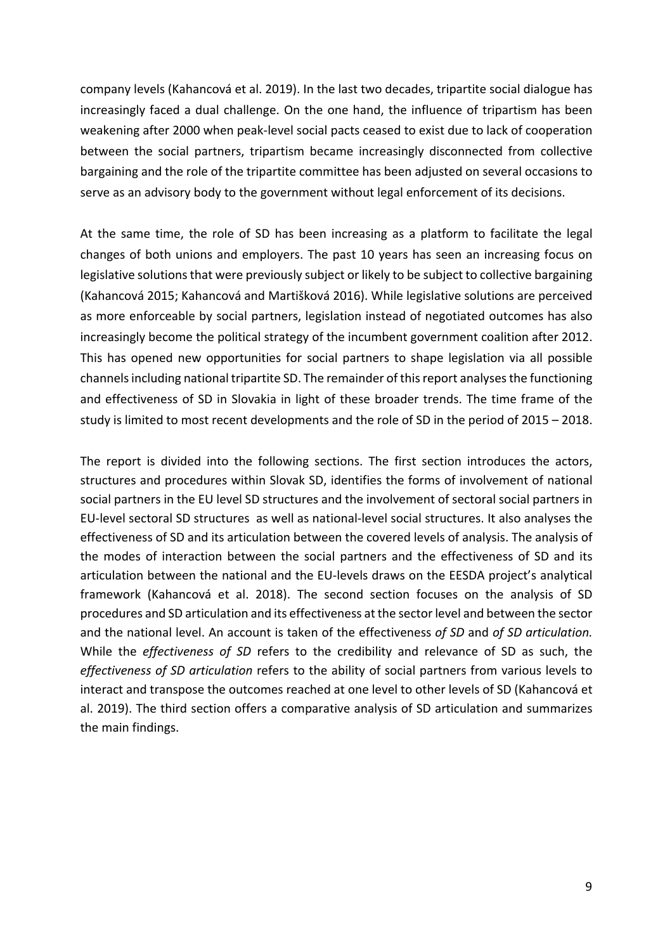company levels (Kahancová et al. 2019). In the last two decades, tripartite social dialogue has increasingly faced a dual challenge. On the one hand, the influence of tripartism has been weakening after 2000 when peak-level social pacts ceased to exist due to lack of cooperation between the social partners, tripartism became increasingly disconnected from collective bargaining and the role of the tripartite committee has been adjusted on several occasions to serve as an advisory body to the government without legal enforcement of its decisions.

At the same time, the role of SD has been increasing as a platform to facilitate the legal changes of both unions and employers. The past 10 years has seen an increasing focus on legislative solutions that were previously subject or likely to be subject to collective bargaining (Kahancová 2015; Kahancová and Martišková 2016). While legislative solutions are perceived as more enforceable by social partners, legislation instead of negotiated outcomes has also increasingly become the political strategy of the incumbent government coalition after 2012. This has opened new opportunities for social partners to shape legislation via all possible channels including national tripartite SD. The remainder of this report analyses the functioning and effectiveness of SD in Slovakia in light of these broader trends. The time frame of the study is limited to most recent developments and the role of SD in the period of  $2015 - 2018$ .

The report is divided into the following sections. The first section introduces the actors, structures and procedures within Slovak SD, identifies the forms of involvement of national social partners in the EU level SD structures and the involvement of sectoral social partners in EU-level sectoral SD structures as well as national-level social structures. It also analyses the effectiveness of SD and its articulation between the covered levels of analysis. The analysis of the modes of interaction between the social partners and the effectiveness of SD and its articulation between the national and the EU-levels draws on the EESDA project's analytical framework (Kahancová et al. 2018). The second section focuses on the analysis of SD procedures and SD articulation and its effectiveness at the sector level and between the sector and the national level. An account is taken of the effectiveness of SD and of SD articulation. While the *effectiveness* of *SD* refers to the credibility and relevance of SD as such, the *effectiveness of SD articulation* refers to the ability of social partners from various levels to interact and transpose the outcomes reached at one level to other levels of SD (Kahancová et al. 2019). The third section offers a comparative analysis of SD articulation and summarizes the main findings.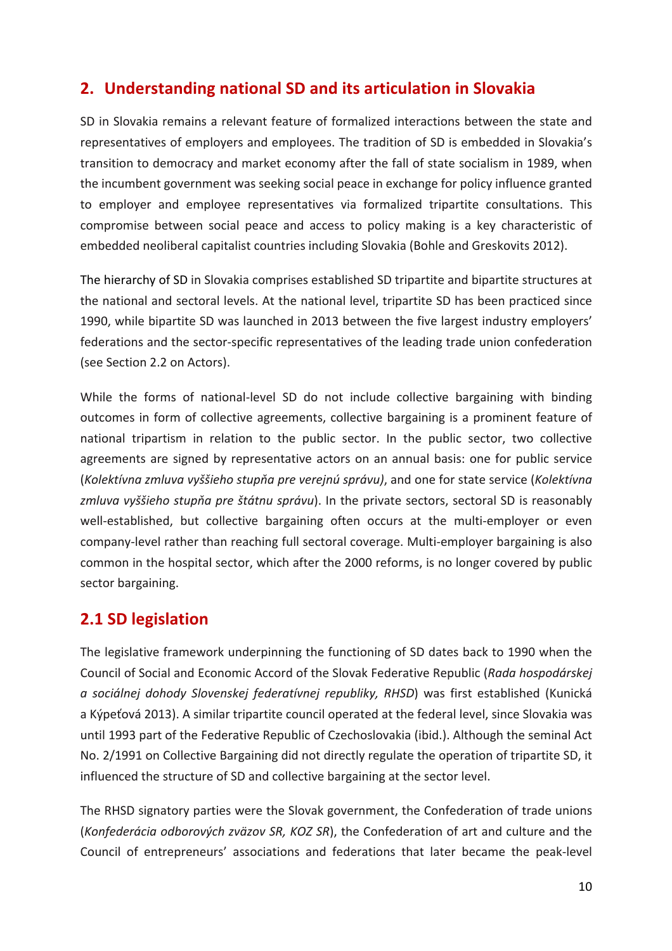# **2.** Understanding national SD and its articulation in Slovakia

SD in Slovakia remains a relevant feature of formalized interactions between the state and representatives of employers and employees. The tradition of SD is embedded in Slovakia's transition to democracy and market economy after the fall of state socialism in 1989, when the incumbent government was seeking social peace in exchange for policy influence granted to employer and employee representatives via formalized tripartite consultations. This compromise between social peace and access to policy making is a key characteristic of embedded neoliberal capitalist countries including Slovakia (Bohle and Greskovits 2012).

The hierarchy of SD in Slovakia comprises established SD tripartite and bipartite structures at the national and sectoral levels. At the national level, tripartite SD has been practiced since 1990, while bipartite SD was launched in 2013 between the five largest industry employers' federations and the sector-specific representatives of the leading trade union confederation (see Section 2.2 on Actors).

While the forms of national-level SD do not include collective bargaining with binding outcomes in form of collective agreements, collective bargaining is a prominent feature of national tripartism in relation to the public sector. In the public sector, two collective agreements are signed by representative actors on an annual basis: one for public service (*Kolektívna zmluva vyššieho stupňa pre verejnú správu)*, and one for state service (*Kolektívna*  zmluva vyššieho stupňa pre štátnu správu). In the private sectors, sectoral SD is reasonably well-established, but collective bargaining often occurs at the multi-employer or even company-level rather than reaching full sectoral coverage. Multi-employer bargaining is also common in the hospital sector, which after the 2000 reforms, is no longer covered by public sector bargaining.

# **2.1 SD legislation**

The legislative framework underpinning the functioning of SD dates back to 1990 when the Council of Social and Economic Accord of the Slovak Federative Republic (*Rada hospodárskej a* sociálnej dohody Slovenskej federatívnej republiky, RHSD) was first established (Kunická a Kýpeťová 2013). A similar tripartite council operated at the federal level, since Slovakia was until 1993 part of the Federative Republic of Czechoslovakia (ibid.). Although the seminal Act No. 2/1991 on Collective Bargaining did not directly regulate the operation of tripartite SD, it influenced the structure of SD and collective bargaining at the sector level.

The RHSD signatory parties were the Slovak government, the Confederation of trade unions (*Konfederácia odborových zväzov SR, KOZ SR*), the Confederation of art and culture and the Council of entrepreneurs' associations and federations that later became the peak-level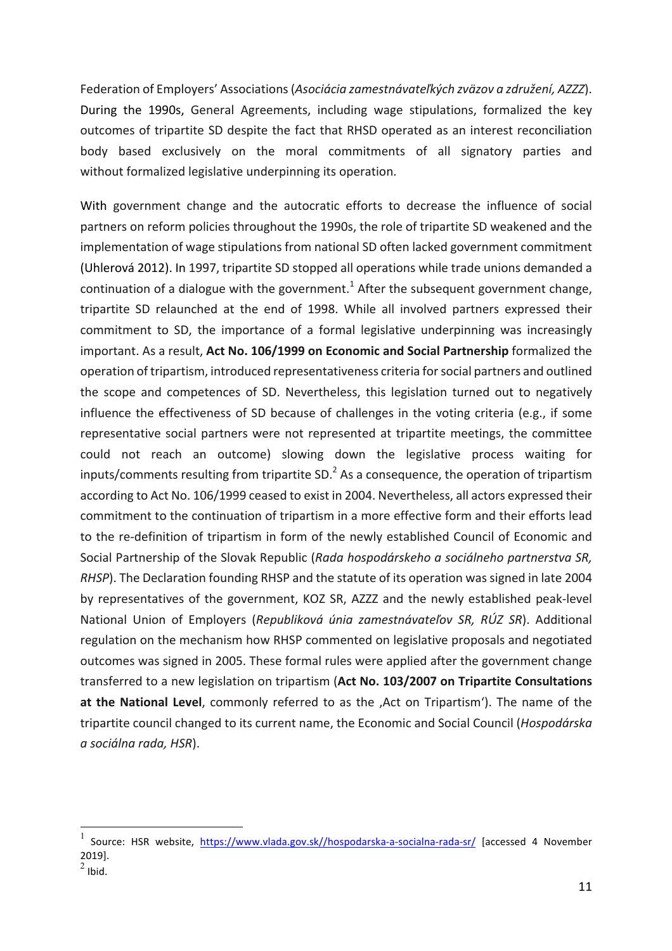Federation of Employers' Associations (Asociácia zamestnávateľkých zväzov a združení, AZZZ). During the 1990s, General Agreements, including wage stipulations, formalized the key outcomes of tripartite SD despite the fact that RHSD operated as an interest reconciliation body based exclusively on the moral commitments of all signatory parties and without formalized legislative underpinning its operation.

With government change and the autocratic efforts to decrease the influence of social partners on reform policies throughout the 1990s, the role of tripartite SD weakened and the implementation of wage stipulations from national SD often lacked government commitment (Uhlerová 2012). In 1997, tripartite SD stopped all operations while trade unions demanded a continuation of a dialogue with the government.<sup>1</sup> After the subsequent government change, tripartite SD relaunched at the end of 1998. While all involved partners expressed their commitment to SD, the importance of a formal legislative underpinning was increasingly important. As a result, Act No. 106/1999 on Economic and Social Partnership formalized the operation of tripartism, introduced representativeness criteria for social partners and outlined the scope and competences of SD. Nevertheless, this legislation turned out to negatively influence the effectiveness of SD because of challenges in the voting criteria (e.g., if some representative social partners were not represented at tripartite meetings, the committee could not reach an outcome) slowing down the legislative process waiting for inputs/comments resulting from tripartite SD.<sup>2</sup> As a consequence, the operation of tripartism according to Act No. 106/1999 ceased to exist in 2004. Nevertheless, all actors expressed their commitment to the continuation of tripartism in a more effective form and their efforts lead to the re-definition of tripartism in form of the newly established Council of Economic and Social Partnership of the Slovak Republic (*Rada hospodárskeho a sociálneho partnerstva SR*, *RHSP*). The Declaration founding RHSP and the statute of its operation was signed in late 2004 by representatives of the government, KOZ SR, AZZZ and the newly established peak-level National Union of Employers (*Republiková únia zamestnávateľov SR, RÚZ SR*). Additional regulation on the mechanism how RHSP commented on legislative proposals and negotiated outcomes was signed in 2005. These formal rules were applied after the government change transferred to a new legislation on tripartism (Act No. 103/2007 on Tripartite Consultations at the National Level, commonly referred to as the , Act on Tripartism'). The name of the tripartite council changed to its current name, the Economic and Social Council (*Hospodárska*) *a sociálna rada, HSR*).

<sup>&</sup>lt;sup>1</sup> Source: HSR website, https://www.vlada.gov.sk//hospodarska-a-socialna-rada-sr/ [accessed 4 November 2019].  $\frac{2}{2}$  Ibid.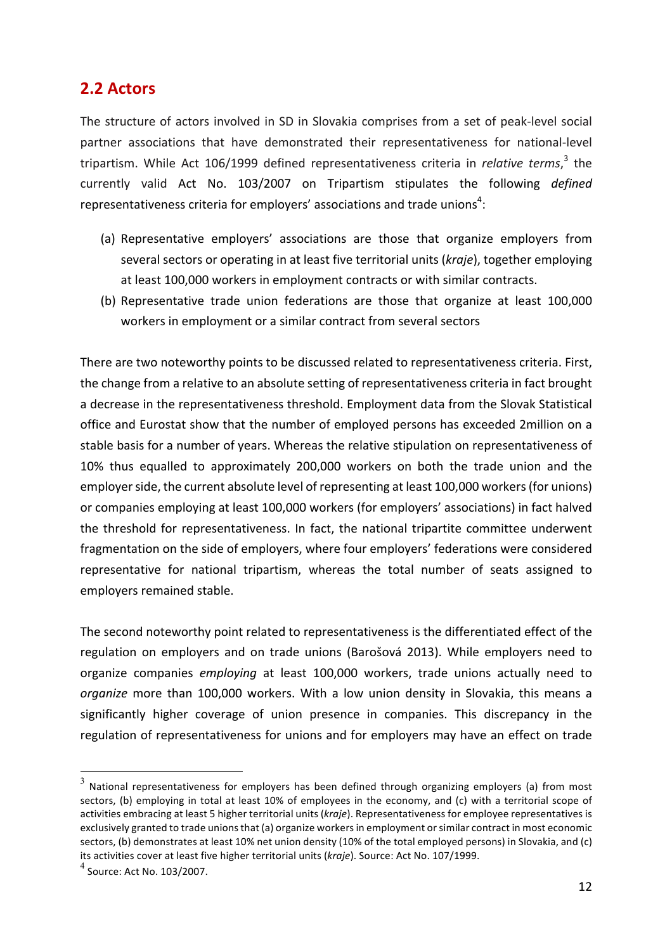### **2.2 Actors**

The structure of actors involved in SD in Slovakia comprises from a set of peak-level social partner associations that have demonstrated their representativeness for national-level tripartism. While Act 106/1999 defined representativeness criteria in *relative terms*,<sup>3</sup> the currently valid Act No. 103/2007 on Tripartism stipulates the following *defined* representativeness criteria for employers' associations and trade unions ${}^4$ :

- (a) Representative employers' associations are those that organize employers from several sectors or operating in at least five territorial units (*kraje*), together employing at least 100,000 workers in employment contracts or with similar contracts.
- (b) Representative trade union federations are those that organize at least 100,000 workers in employment or a similar contract from several sectors

There are two noteworthy points to be discussed related to representativeness criteria. First, the change from a relative to an absolute setting of representativeness criteria in fact brought a decrease in the representativeness threshold. Employment data from the Slovak Statistical office and Eurostat show that the number of employed persons has exceeded 2million on a stable basis for a number of years. Whereas the relative stipulation on representativeness of 10% thus equalled to approximately 200,000 workers on both the trade union and the employer side, the current absolute level of representing at least 100,000 workers (for unions) or companies employing at least 100,000 workers (for employers' associations) in fact halved the threshold for representativeness. In fact, the national tripartite committee underwent fragmentation on the side of employers, where four employers' federations were considered representative for national tripartism, whereas the total number of seats assigned to employers remained stable.

The second noteworthy point related to representativeness is the differentiated effect of the regulation on employers and on trade unions (Barošová 2013). While employers need to organize companies *employing* at least 100,000 workers, trade unions actually need to *organize* more than 100,000 workers. With a low union density in Slovakia, this means a significantly higher coverage of union presence in companies. This discrepancy in the regulation of representativeness for unions and for employers may have an effect on trade

 $3$  National representativeness for employers has been defined through organizing employers (a) from most sectors, (b) employing in total at least 10% of employees in the economy, and (c) with a territorial scope of activities embracing at least 5 higher territorial units (*kraje*). Representativeness for employee representatives is exclusively granted to trade unions that (a) organize workers in employment or similar contract in most economic sectors, (b) demonstrates at least 10% net union density (10% of the total employed persons) in Slovakia, and (c) its activities cover at least five higher territorial units (*kraje*). Source: Act No. 107/1999.

 $^4$  Source: Act No. 103/2007.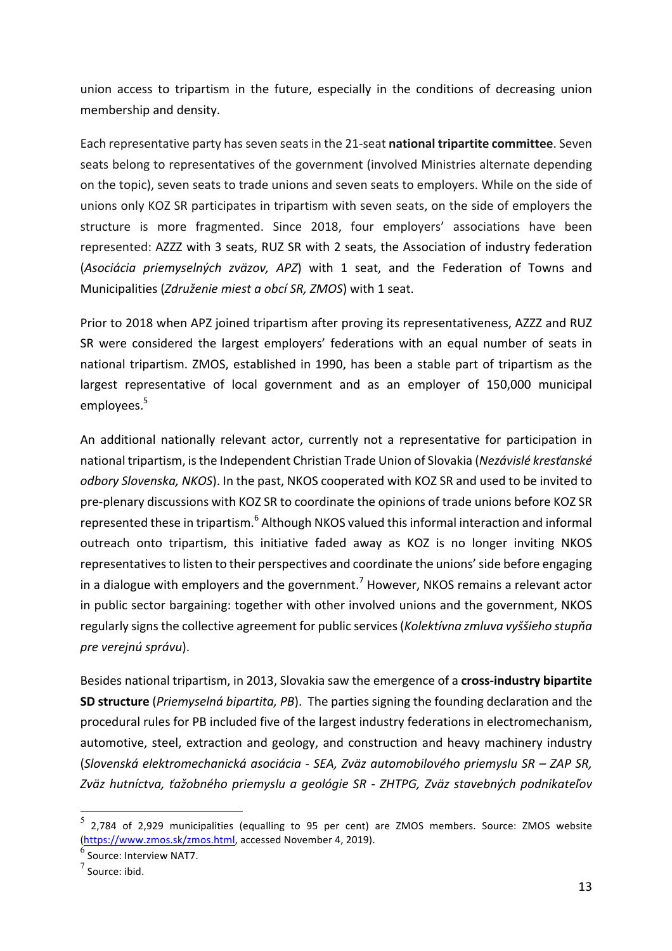union access to tripartism in the future, especially in the conditions of decreasing union membership and density.

Each representative party has seven seats in the 21-seat national tripartite committee. Seven seats belong to representatives of the government (involved Ministries alternate depending on the topic), seven seats to trade unions and seven seats to employers. While on the side of unions only KOZ SR participates in tripartism with seven seats, on the side of employers the structure is more fragmented. Since 2018, four employers' associations have been represented: AZZZ with 3 seats, RUZ SR with 2 seats, the Association of industry federation (Asociácia priemyselných zväzov, APZ) with 1 seat, and the Federation of Towns and Municipalities (*Združenie miest a obcí SR, ZMOS*) with 1 seat.

Prior to 2018 when APZ joined tripartism after proving its representativeness, AZZZ and RUZ SR were considered the largest employers' federations with an equal number of seats in national tripartism. ZMOS, established in 1990, has been a stable part of tripartism as the largest representative of local government and as an employer of 150,000 municipal employees.<sup>5</sup>

An additional nationally relevant actor, currently not a representative for participation in national tripartism, is the Independent Christian Trade Union of Slovakia (Nezávislé kresťanské *odbory Slovenska, NKOS*). In the past, NKOS cooperated with KOZ SR and used to be invited to pre-plenary discussions with KOZ SR to coordinate the opinions of trade unions before KOZ SR represented these in tripartism.<sup>6</sup> Although NKOS valued this informal interaction and informal outreach onto tripartism, this initiative faded away as KOZ is no longer inviting NKOS representatives to listen to their perspectives and coordinate the unions' side before engaging in a dialogue with employers and the government.<sup>7</sup> However, NKOS remains a relevant actor in public sector bargaining: together with other involved unions and the government, NKOS regularly signs the collective agreement for public services (*Kolektívna zmluva vyššieho stupňa pre verejnú správu*). 

Besides national tripartism, in 2013, Slovakia saw the emergence of a cross-industry bipartite **SD structure** (*Priemyselná bipartita, PB*). The parties signing the founding declaration and the procedural rules for PB included five of the largest industry federations in electromechanism, automotive, steel, extraction and geology, and construction and heavy machinery industry (*Slovenská elektromechanická asociácia - SEA, Zväz automobilového priemyslu SR – ZAP SR, Zväz hutníctva, ťažobného priemyslu a geológie SR - ZHTPG, Zväz stavebných podnikateľov* 

<sup>2,784</sup> of 2,929 municipalities (equalling to 95 per cent) are ZMOS members. Source: ZMOS website (https://www.zmos.sk/zmos.html, accessed November 4, 2019).

 $^6$  Source: Interview NAT7.

 $7$  Source: ibid.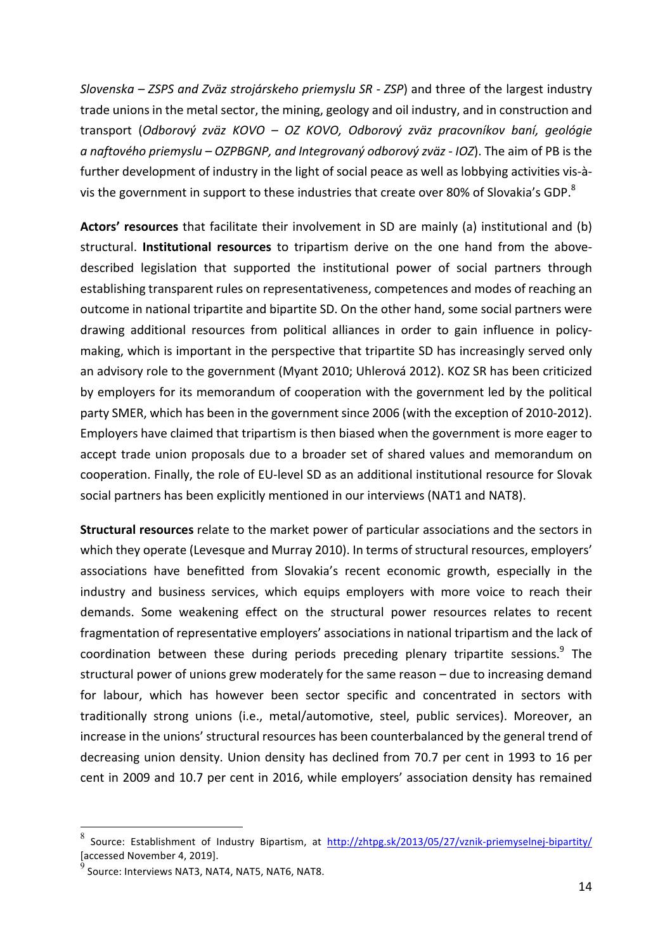*Slovenska – ZSPS and Zväz strojárskeho priemyslu SR - ZSP*) and three of the largest industry trade unions in the metal sector, the mining, geology and oil industry, and in construction and transport (Odborový zväz KOVO – OZ KOVO, Odborový zväz pracovníkov baní, geológie *a naftového priemyslu* – *OZPBGNP, and Integrovaný odborový zväz - IOZ*). The aim of PB is the further development of industry in the light of social peace as well as lobbying activities vis-àvis the government in support to these industries that create over 80% of Slovakia's GDP.<sup>8</sup>

**Actors' resources** that facilitate their involvement in SD are mainly (a) institutional and (b) structural. **Institutional resources** to tripartism derive on the one hand from the abovedescribed legislation that supported the institutional power of social partners through establishing transparent rules on representativeness, competences and modes of reaching an outcome in national tripartite and bipartite SD. On the other hand, some social partners were drawing additional resources from political alliances in order to gain influence in policymaking, which is important in the perspective that tripartite SD has increasingly served only an advisory role to the government (Myant 2010; Uhlerová 2012). KOZ SR has been criticized by employers for its memorandum of cooperation with the government led by the political party SMER, which has been in the government since 2006 (with the exception of 2010-2012). Employers have claimed that tripartism is then biased when the government is more eager to accept trade union proposals due to a broader set of shared values and memorandum on cooperation. Finally, the role of EU-level SD as an additional institutional resource for Slovak social partners has been explicitly mentioned in our interviews (NAT1 and NAT8).

**Structural resources** relate to the market power of particular associations and the sectors in which they operate (Levesque and Murray 2010). In terms of structural resources, employers' associations have benefitted from Slovakia's recent economic growth, especially in the industry and business services, which equips employers with more voice to reach their demands. Some weakening effect on the structural power resources relates to recent fragmentation of representative employers' associations in national tripartism and the lack of coordination between these during periods preceding plenary tripartite sessions.<sup>9</sup> The structural power of unions grew moderately for the same reason  $-$  due to increasing demand for labour, which has however been sector specific and concentrated in sectors with traditionally strong unions (i.e., metal/automotive, steel, public services). Moreover, an increase in the unions' structural resources has been counterbalanced by the general trend of decreasing union density. Union density has declined from 70.7 per cent in 1993 to 16 per cent in 2009 and 10.7 per cent in 2016, while employers' association density has remained

<sup>&</sup>lt;sup>8</sup> Source: Establishment of Industry Bipartism, at http://zhtpg.sk/2013/05/27/vznik-priemyselnej-bipartity/ [accessed November 4, 2019].

 $^9$  Source: Interviews NAT3, NAT4, NAT5, NAT6, NAT8.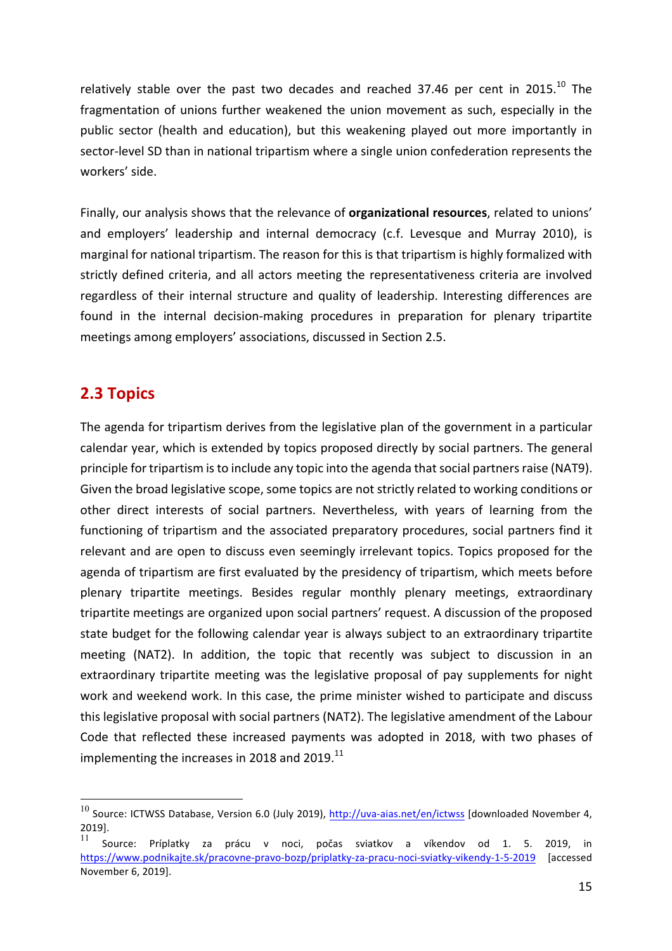relatively stable over the past two decades and reached 37.46 per cent in 2015.<sup>10</sup> The fragmentation of unions further weakened the union movement as such, especially in the public sector (health and education), but this weakening played out more importantly in sector-level SD than in national tripartism where a single union confederation represents the workers' side.

Finally, our analysis shows that the relevance of **organizational resources**, related to unions' and employers' leadership and internal democracy (c.f. Levesque and Murray 2010), is marginal for national tripartism. The reason for this is that tripartism is highly formalized with strictly defined criteria, and all actors meeting the representativeness criteria are involved regardless of their internal structure and quality of leadership. Interesting differences are found in the internal decision-making procedures in preparation for plenary tripartite meetings among employers' associations, discussed in Section 2.5.

# **2.3 Topics**

The agenda for tripartism derives from the legislative plan of the government in a particular calendar year, which is extended by topics proposed directly by social partners. The general principle for tripartism is to include any topic into the agenda that social partners raise (NAT9). Given the broad legislative scope, some topics are not strictly related to working conditions or other direct interests of social partners. Nevertheless, with years of learning from the functioning of tripartism and the associated preparatory procedures, social partners find it relevant and are open to discuss even seemingly irrelevant topics. Topics proposed for the agenda of tripartism are first evaluated by the presidency of tripartism, which meets before plenary tripartite meetings. Besides regular monthly plenary meetings, extraordinary tripartite meetings are organized upon social partners' request. A discussion of the proposed state budget for the following calendar year is always subject to an extraordinary tripartite meeting (NAT2). In addition, the topic that recently was subject to discussion in an extraordinary tripartite meeting was the legislative proposal of pay supplements for night work and weekend work. In this case, the prime minister wished to participate and discuss this legislative proposal with social partners (NAT2). The legislative amendment of the Labour Code that reflected these increased payments was adopted in 2018, with two phases of implementing the increases in 2018 and 2019. $^{11}$ 

 $^{10}$  Source: ICTWSS Database, Version 6.0 (July 2019),  $\frac{http://uva-aias.net/en/ictwss}{http://uva-aias.net/en/ictwss}$  [downloaded November 4, 2019].

Source: Príplatky za prácu v noci, počas sviatkov a víkendov od 1. 5. 2019, in https://www.podnikajte.sk/pracovne-pravo-bozp/priplatky-za-pracu-noci-sviatky-vikendy-1-5-2019 [accessed November 6, 2019].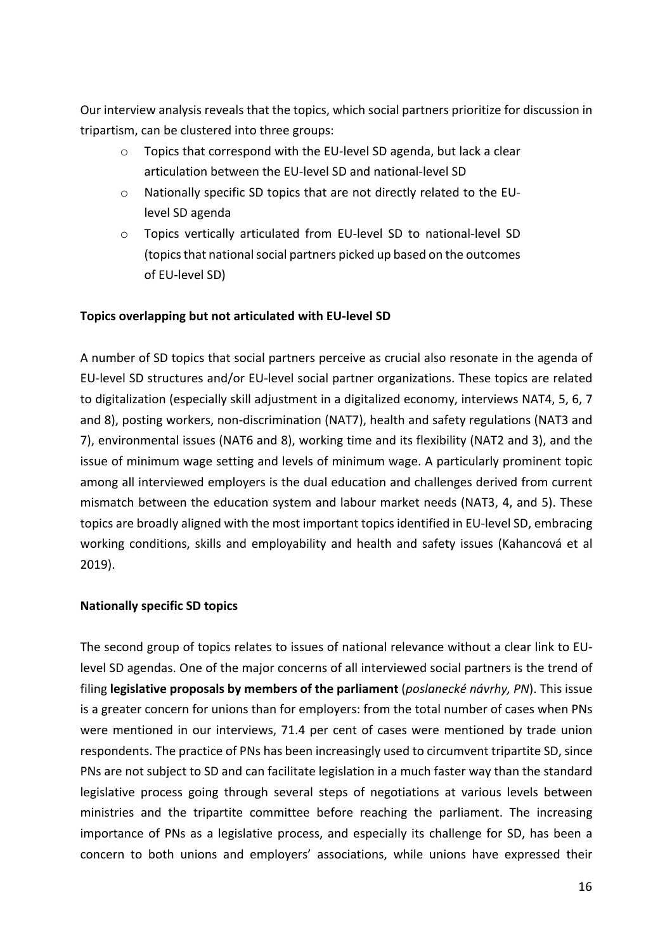Our interview analysis reveals that the topics, which social partners prioritize for discussion in tripartism, can be clustered into three groups:

- $\circ$  Topics that correspond with the EU-level SD agenda, but lack a clear articulation between the EU-level SD and national-level SD
- $\circ$  Nationally specific SD topics that are not directly related to the EUlevel SD agenda
- o Topics vertically articulated from EU-level SD to national-level SD (topics that national social partners picked up based on the outcomes of EU-level SD)

#### Topics overlapping but not articulated with EU-level SD

A number of SD topics that social partners perceive as crucial also resonate in the agenda of EU-level SD structures and/or EU-level social partner organizations. These topics are related to digitalization (especially skill adjustment in a digitalized economy, interviews NAT4, 5, 6, 7 and 8), posting workers, non-discrimination (NAT7), health and safety regulations (NAT3 and 7), environmental issues (NAT6 and 8), working time and its flexibility (NAT2 and 3), and the issue of minimum wage setting and levels of minimum wage. A particularly prominent topic among all interviewed employers is the dual education and challenges derived from current mismatch between the education system and labour market needs (NAT3, 4, and 5). These topics are broadly aligned with the most important topics identified in EU-level SD, embracing working conditions, skills and employability and health and safety issues (Kahancová et al 2019). 

#### **Nationally specific SD topics**

The second group of topics relates to issues of national relevance without a clear link to EUlevel SD agendas. One of the major concerns of all interviewed social partners is the trend of filing **legislative proposals by members of the parliament** (*poslanecké návrhy, PN*). This issue is a greater concern for unions than for employers: from the total number of cases when PNs were mentioned in our interviews, 71.4 per cent of cases were mentioned by trade union respondents. The practice of PNs has been increasingly used to circumvent tripartite SD, since PNs are not subject to SD and can facilitate legislation in a much faster way than the standard legislative process going through several steps of negotiations at various levels between ministries and the tripartite committee before reaching the parliament. The increasing importance of PNs as a legislative process, and especially its challenge for SD, has been a concern to both unions and employers' associations, while unions have expressed their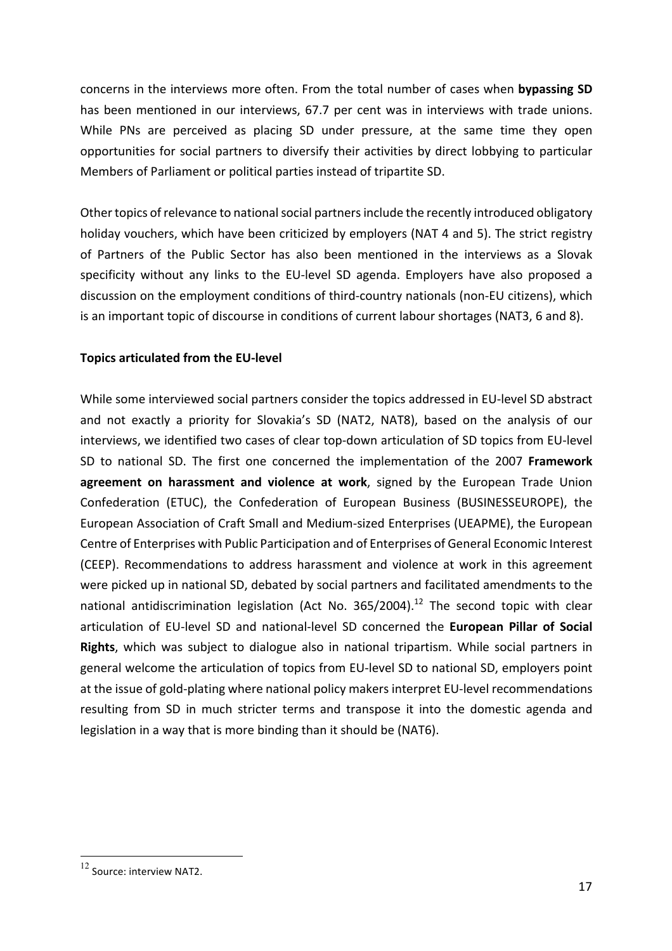concerns in the interviews more often. From the total number of cases when **bypassing SD** has been mentioned in our interviews, 67.7 per cent was in interviews with trade unions. While PNs are perceived as placing SD under pressure, at the same time they open opportunities for social partners to diversify their activities by direct lobbying to particular Members of Parliament or political parties instead of tripartite SD.

Other topics of relevance to national social partners include the recently introduced obligatory holiday vouchers, which have been criticized by employers (NAT 4 and 5). The strict registry of Partners of the Public Sector has also been mentioned in the interviews as a Slovak specificity without any links to the EU-level SD agenda. Employers have also proposed a discussion on the employment conditions of third-country nationals (non-EU citizens), which is an important topic of discourse in conditions of current labour shortages (NAT3, 6 and 8).

#### **Topics articulated from the EU-level**

While some interviewed social partners consider the topics addressed in EU-level SD abstract and not exactly a priority for Slovakia's SD (NAT2, NAT8), based on the analysis of our interviews, we identified two cases of clear top-down articulation of SD topics from EU-level SD to national SD. The first one concerned the implementation of the 2007 Framework agreement on harassment and violence at work, signed by the European Trade Union Confederation (ETUC), the Confederation of European Business (BUSINESSEUROPE), the European Association of Craft Small and Medium-sized Enterprises (UEAPME), the European Centre of Enterprises with Public Participation and of Enterprises of General Economic Interest (CEEP). Recommendations to address harassment and violence at work in this agreement were picked up in national SD, debated by social partners and facilitated amendments to the national antidiscrimination legislation (Act No.  $365/2004$ ).<sup>12</sup> The second topic with clear articulation of EU-level SD and national-level SD concerned the **European Pillar of Social** Rights, which was subject to dialogue also in national tripartism. While social partners in general welcome the articulation of topics from EU-level SD to national SD, employers point at the issue of gold-plating where national policy makers interpret EU-level recommendations resulting from SD in much stricter terms and transpose it into the domestic agenda and legislation in a way that is more binding than it should be (NAT6).

 $12$  Source: interview NAT2.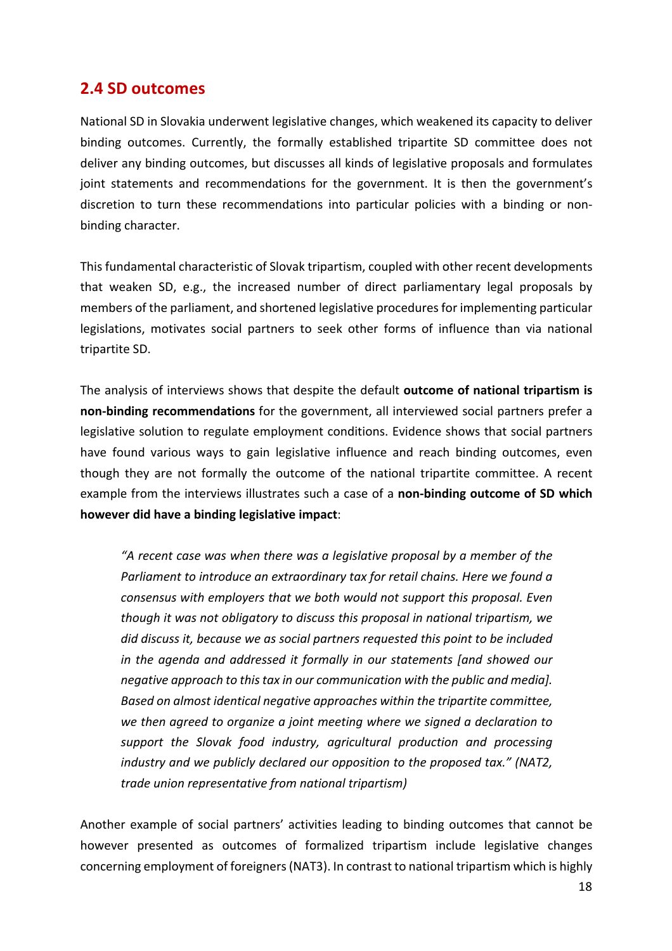## **2.4 SD outcomes**

National SD in Slovakia underwent legislative changes, which weakened its capacity to deliver binding outcomes. Currently, the formally established tripartite SD committee does not deliver any binding outcomes, but discusses all kinds of legislative proposals and formulates joint statements and recommendations for the government. It is then the government's discretion to turn these recommendations into particular policies with a binding or nonbinding character.

This fundamental characteristic of Slovak tripartism, coupled with other recent developments that weaken SD, e.g., the increased number of direct parliamentary legal proposals by members of the parliament, and shortened legislative procedures for implementing particular legislations, motivates social partners to seek other forms of influence than via national tripartite SD.

The analysis of interviews shows that despite the default **outcome of national tripartism is non-binding recommendations** for the government, all interviewed social partners prefer a legislative solution to regulate employment conditions. Evidence shows that social partners have found various ways to gain legislative influence and reach binding outcomes, even though they are not formally the outcome of the national tripartite committee. A recent example from the interviews illustrates such a case of a **non-binding outcome of SD which however did have a binding legislative impact:** 

"A recent case was when there was a legislative proposal by a member of the Parliament to introduce an extraordinary tax for retail chains. Here we found a *consensus* with employers that we both would not support this proposal. Even *though* it was not obligatory to discuss this proposal in national tripartism, we did discuss it, because we as social partners requested this point to be included in the agenda and addressed it formally in our statements [and showed our *negative approach to this tax in our communication with the public and media].* Based on almost *identical negative approaches* within the tripartite committee, we then agreed to organize a joint meeting where we signed a declaration to support the Slovak food industry, agricultural production and processing *industry* and we publicly declared our opposition to the proposed tax." (NAT2, *trade union representative from national tripartism)*

Another example of social partners' activities leading to binding outcomes that cannot be however presented as outcomes of formalized tripartism include legislative changes concerning employment of foreigners (NAT3). In contrast to national tripartism which is highly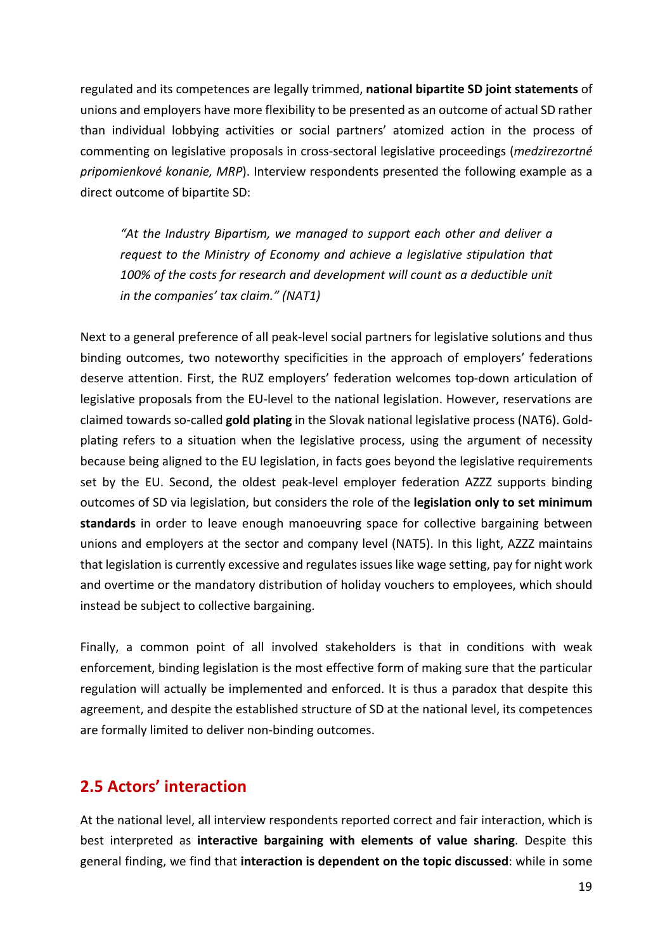regulated and its competences are legally trimmed, **national bipartite SD** joint statements of unions and employers have more flexibility to be presented as an outcome of actual SD rather than individual lobbying activities or social partners' atomized action in the process of commenting on legislative proposals in cross-sectoral legislative proceedings (*medzirezortné* pripomienkové konanie, MRP). Interview respondents presented the following example as a direct outcome of bipartite SD:

*"At the Industry Bipartism, we managed to support each other and deliver a request to the Ministry of Economy and achieve a legislative stipulation that* 100% of the costs for research and development will count as a deductible unit *in* the companies' tax claim." (NAT1)

Next to a general preference of all peak-level social partners for legislative solutions and thus binding outcomes, two noteworthy specificities in the approach of employers' federations deserve attention. First, the RUZ employers' federation welcomes top-down articulation of legislative proposals from the EU-level to the national legislation. However, reservations are claimed towards so-called **gold plating** in the Slovak national legislative process (NAT6). Goldplating refers to a situation when the legislative process, using the argument of necessity because being aligned to the EU legislation, in facts goes beyond the legislative requirements set by the EU. Second, the oldest peak-level employer federation AZZZ supports binding outcomes of SD via legislation, but considers the role of the **legislation only to set minimum standards** in order to leave enough manoeuvring space for collective bargaining between unions and employers at the sector and company level (NAT5). In this light, AZZZ maintains that legislation is currently excessive and regulates issues like wage setting, pay for night work and overtime or the mandatory distribution of holiday vouchers to employees, which should instead be subject to collective bargaining.

Finally, a common point of all involved stakeholders is that in conditions with weak enforcement, binding legislation is the most effective form of making sure that the particular regulation will actually be implemented and enforced. It is thus a paradox that despite this agreement, and despite the established structure of SD at the national level, its competences are formally limited to deliver non-binding outcomes.

# **2.5 Actors' interaction**

At the national level, all interview respondents reported correct and fair interaction, which is best interpreted as **interactive bargaining with elements of value sharing**. Despite this general finding, we find that **interaction is dependent on the topic discussed**: while in some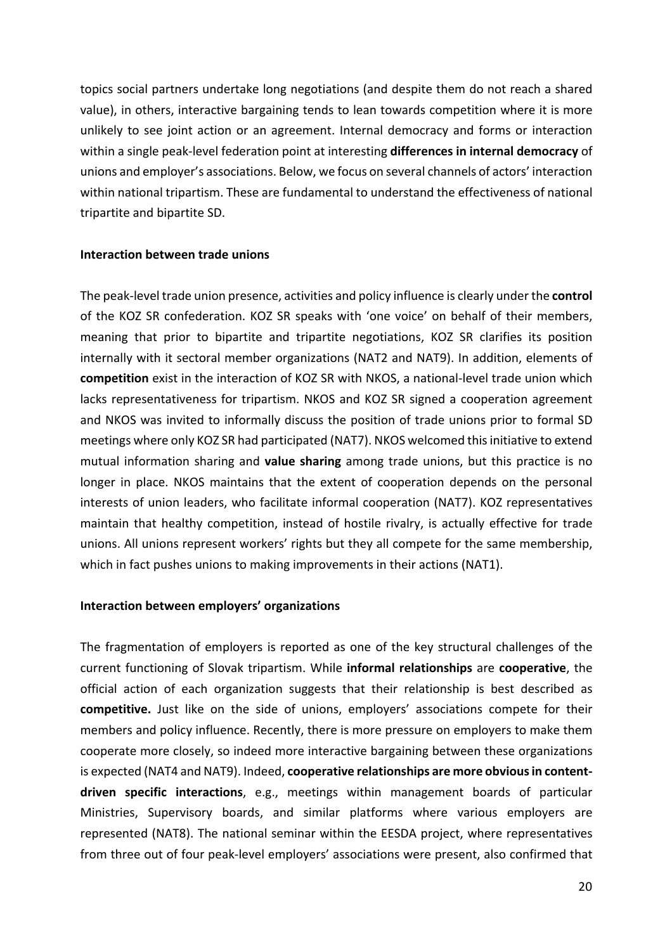topics social partners undertake long negotiations (and despite them do not reach a shared value), in others, interactive bargaining tends to lean towards competition where it is more unlikely to see joint action or an agreement. Internal democracy and forms or interaction within a single peak-level federation point at interesting **differences in internal democracy** of unions and employer's associations. Below, we focus on several channels of actors' interaction within national tripartism. These are fundamental to understand the effectiveness of national tripartite and bipartite SD.

#### **Interaction between trade unions**

The peak-level trade union presence, activities and policy influence is clearly under the **control** of the KOZ SR confederation. KOZ SR speaks with 'one voice' on behalf of their members, meaning that prior to bipartite and tripartite negotiations, KOZ SR clarifies its position internally with it sectoral member organizations (NAT2 and NAT9). In addition, elements of **competition** exist in the interaction of KOZ SR with NKOS, a national-level trade union which lacks representativeness for tripartism. NKOS and KOZ SR signed a cooperation agreement and NKOS was invited to informally discuss the position of trade unions prior to formal SD meetings where only KOZ SR had participated (NAT7). NKOS welcomed this initiative to extend mutual information sharing and **value sharing** among trade unions, but this practice is no longer in place. NKOS maintains that the extent of cooperation depends on the personal interests of union leaders, who facilitate informal cooperation (NAT7). KOZ representatives maintain that healthy competition, instead of hostile rivalry, is actually effective for trade unions. All unions represent workers' rights but they all compete for the same membership, which in fact pushes unions to making improvements in their actions (NAT1).

#### **Interaction between employers' organizations**

The fragmentation of employers is reported as one of the key structural challenges of the current functioning of Slovak tripartism. While **informal relationships** are **cooperative**, the official action of each organization suggests that their relationship is best described as **competitive.** Just like on the side of unions, employers' associations compete for their members and policy influence. Recently, there is more pressure on employers to make them cooperate more closely, so indeed more interactive bargaining between these organizations is expected (NAT4 and NAT9). Indeed, **cooperative relationships are more obvious in content**driven specific interactions, e.g., meetings within management boards of particular Ministries, Supervisory boards, and similar platforms where various employers are represented (NAT8). The national seminar within the EESDA project, where representatives from three out of four peak-level employers' associations were present, also confirmed that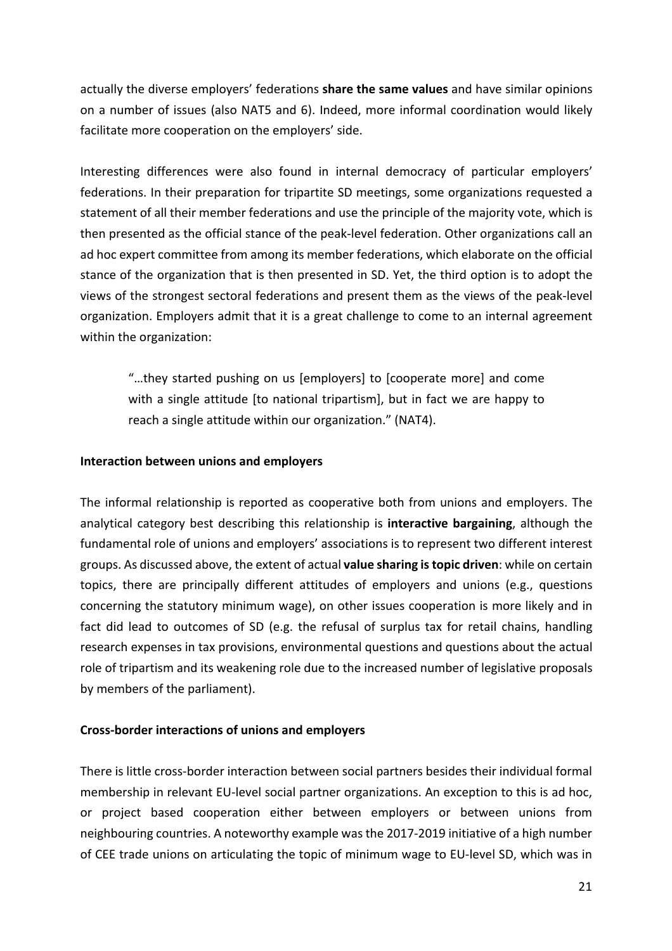actually the diverse employers' federations **share the same values** and have similar opinions on a number of issues (also NAT5 and 6). Indeed, more informal coordination would likely facilitate more cooperation on the employers' side.

Interesting differences were also found in internal democracy of particular employers' federations. In their preparation for tripartite SD meetings, some organizations requested a statement of all their member federations and use the principle of the majority vote, which is then presented as the official stance of the peak-level federation. Other organizations call an ad hoc expert committee from among its member federations, which elaborate on the official stance of the organization that is then presented in SD. Yet, the third option is to adopt the views of the strongest sectoral federations and present them as the views of the peak-level organization. Employers admit that it is a great challenge to come to an internal agreement within the organization:

"...they started pushing on us [employers] to [cooperate more] and come with a single attitude [to national tripartism], but in fact we are happy to reach a single attitude within our organization." (NAT4).

#### **Interaction between unions and employers**

The informal relationship is reported as cooperative both from unions and employers. The analytical category best describing this relationship is **interactive bargaining**, although the fundamental role of unions and employers' associations is to represent two different interest groups. As discussed above, the extent of actual **value sharing is topic driven**: while on certain topics, there are principally different attitudes of employers and unions (e.g., questions concerning the statutory minimum wage), on other issues cooperation is more likely and in fact did lead to outcomes of SD (e.g. the refusal of surplus tax for retail chains, handling research expenses in tax provisions, environmental questions and questions about the actual role of tripartism and its weakening role due to the increased number of legislative proposals by members of the parliament).

#### **Cross-border interactions of unions and employers**

There is little cross-border interaction between social partners besides their individual formal membership in relevant EU-level social partner organizations. An exception to this is ad hoc, or project based cooperation either between employers or between unions from neighbouring countries. A noteworthy example was the 2017-2019 initiative of a high number of CEE trade unions on articulating the topic of minimum wage to EU-level SD, which was in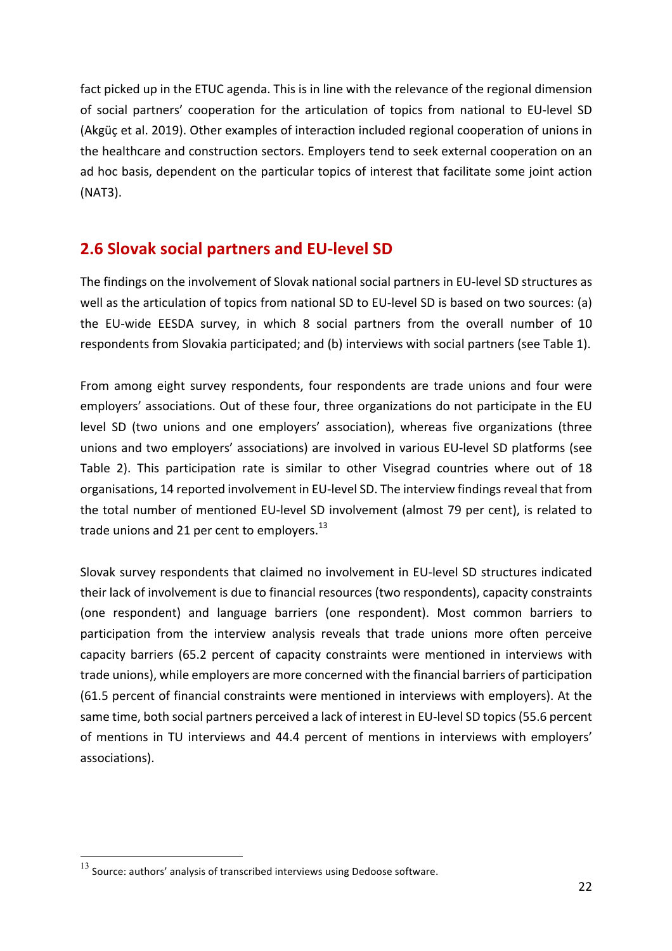fact picked up in the ETUC agenda. This is in line with the relevance of the regional dimension of social partners' cooperation for the articulation of topics from national to EU-level SD (Akgüc et al. 2019). Other examples of interaction included regional cooperation of unions in the healthcare and construction sectors. Employers tend to seek external cooperation on an ad hoc basis, dependent on the particular topics of interest that facilitate some joint action (NAT3). 

# **2.6 Slovak social partners and EU-level SD**

The findings on the involvement of Slovak national social partners in EU-level SD structures as well as the articulation of topics from national SD to EU-level SD is based on two sources: (a) the EU-wide EESDA survey, in which 8 social partners from the overall number of 10 respondents from Slovakia participated; and (b) interviews with social partners (see Table 1).

From among eight survey respondents, four respondents are trade unions and four were employers' associations. Out of these four, three organizations do not participate in the EU level SD (two unions and one employers' association), whereas five organizations (three unions and two employers' associations) are involved in various EU-level SD platforms (see Table 2). This participation rate is similar to other Visegrad countries where out of 18 organisations, 14 reported involvement in EU-level SD. The interview findings reveal that from the total number of mentioned EU-level SD involvement (almost 79 per cent), is related to trade unions and 21 per cent to employers. $^{13}$ 

Slovak survey respondents that claimed no involvement in EU-level SD structures indicated their lack of involvement is due to financial resources (two respondents), capacity constraints (one respondent) and language barriers (one respondent). Most common barriers to participation from the interview analysis reveals that trade unions more often perceive capacity barriers (65.2 percent of capacity constraints were mentioned in interviews with trade unions), while employers are more concerned with the financial barriers of participation (61.5 percent of financial constraints were mentioned in interviews with employers). At the same time, both social partners perceived a lack of interest in EU-level SD topics (55.6 percent of mentions in TU interviews and 44.4 percent of mentions in interviews with employers' associations).

 $^{13}$  Source: authors' analysis of transcribed interviews using Dedoose software.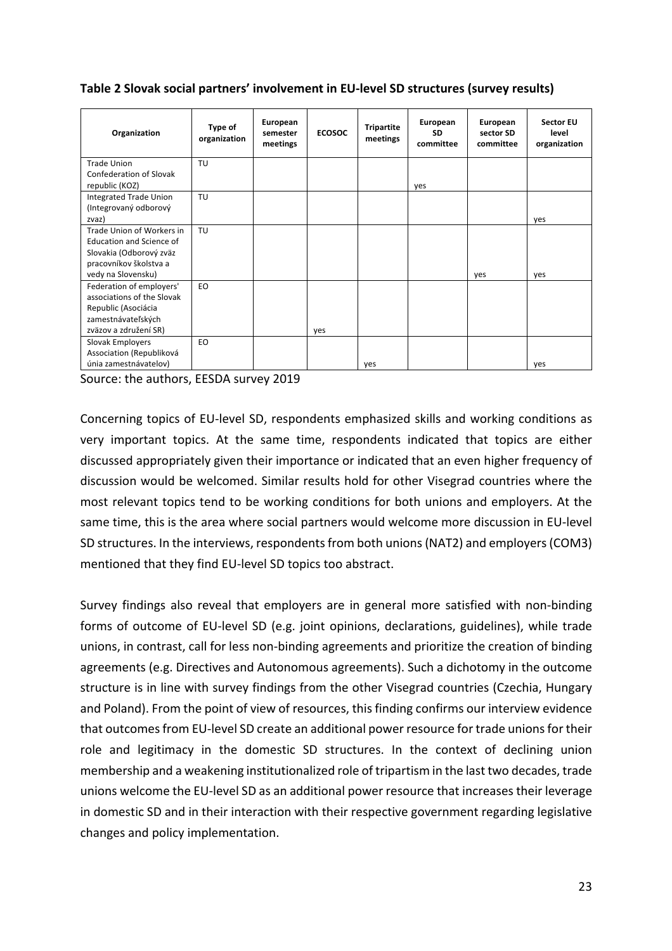**Table 2 Slovak social partners' involvement in EU-level SD structures (survey results)** 

| Organization               | Type of<br>organization | European<br>semester<br>meetings | <b>ECOSOC</b> | <b>Tripartite</b><br>meetings | European<br><b>SD</b><br>committee | European<br>sector SD<br>committee | <b>Sector EU</b><br>level<br>organization |
|----------------------------|-------------------------|----------------------------------|---------------|-------------------------------|------------------------------------|------------------------------------|-------------------------------------------|
| <b>Trade Union</b>         | TU                      |                                  |               |                               |                                    |                                    |                                           |
| Confederation of Slovak    |                         |                                  |               |                               |                                    |                                    |                                           |
| republic (KOZ)             |                         |                                  |               |                               | yes                                |                                    |                                           |
| Integrated Trade Union     | TU                      |                                  |               |                               |                                    |                                    |                                           |
| (Integrovaný odborový      |                         |                                  |               |                               |                                    |                                    |                                           |
| zvaz)                      |                         |                                  |               |                               |                                    |                                    | yes                                       |
| Trade Union of Workers in  | TU                      |                                  |               |                               |                                    |                                    |                                           |
| Education and Science of   |                         |                                  |               |                               |                                    |                                    |                                           |
| Slovakia (Odborový zväz    |                         |                                  |               |                               |                                    |                                    |                                           |
| pracovníkov školstva a     |                         |                                  |               |                               |                                    |                                    |                                           |
| vedy na Slovensku)         |                         |                                  |               |                               |                                    | yes                                | yes                                       |
| Federation of employers'   | EO.                     |                                  |               |                               |                                    |                                    |                                           |
| associations of the Slovak |                         |                                  |               |                               |                                    |                                    |                                           |
| Republic (Asociácia        |                         |                                  |               |                               |                                    |                                    |                                           |
| zamestnávateľských         |                         |                                  |               |                               |                                    |                                    |                                           |
| zväzov a združení SR)      |                         |                                  | yes           |                               |                                    |                                    |                                           |
| Slovak Employers           | EO                      |                                  |               |                               |                                    |                                    |                                           |
| Association (Republiková   |                         |                                  |               |                               |                                    |                                    |                                           |
| únia zamestnávatelov)      |                         |                                  |               | yes                           |                                    |                                    | yes                                       |

Source: the authors, EESDA survey 2019

Concerning topics of EU-level SD, respondents emphasized skills and working conditions as very important topics. At the same time, respondents indicated that topics are either discussed appropriately given their importance or indicated that an even higher frequency of discussion would be welcomed. Similar results hold for other Visegrad countries where the most relevant topics tend to be working conditions for both unions and employers. At the same time, this is the area where social partners would welcome more discussion in EU-level SD structures. In the interviews, respondents from both unions (NAT2) and employers (COM3) mentioned that they find EU-level SD topics too abstract.

Survey findings also reveal that employers are in general more satisfied with non-binding forms of outcome of EU-level SD (e.g. joint opinions, declarations, guidelines), while trade unions, in contrast, call for less non-binding agreements and prioritize the creation of binding agreements (e.g. Directives and Autonomous agreements). Such a dichotomy in the outcome structure is in line with survey findings from the other Visegrad countries (Czechia, Hungary and Poland). From the point of view of resources, this finding confirms our interview evidence that outcomes from EU-level SD create an additional power resource for trade unions for their role and legitimacy in the domestic SD structures. In the context of declining union membership and a weakening institutionalized role of tripartism in the last two decades, trade unions welcome the EU-level SD as an additional power resource that increases their leverage in domestic SD and in their interaction with their respective government regarding legislative changes and policy implementation.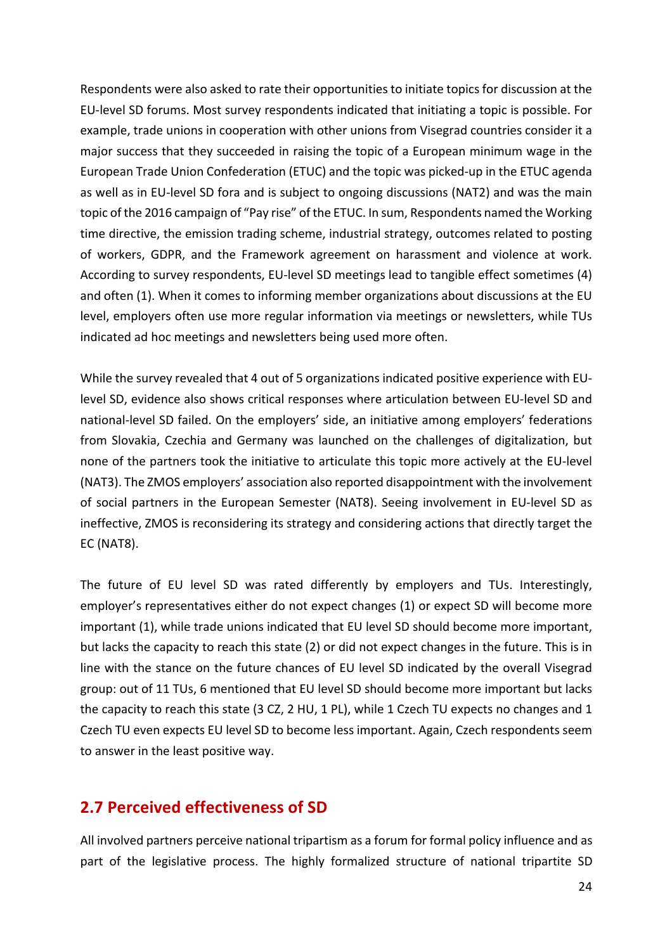Respondents were also asked to rate their opportunities to initiate topics for discussion at the EU-level SD forums. Most survey respondents indicated that initiating a topic is possible. For example, trade unions in cooperation with other unions from Visegrad countries consider it a major success that they succeeded in raising the topic of a European minimum wage in the European Trade Union Confederation (ETUC) and the topic was picked-up in the ETUC agenda as well as in EU-level SD fora and is subject to ongoing discussions (NAT2) and was the main topic of the 2016 campaign of "Pay rise" of the ETUC. In sum, Respondents named the Working time directive, the emission trading scheme, industrial strategy, outcomes related to posting of workers, GDPR, and the Framework agreement on harassment and violence at work. According to survey respondents, EU-level SD meetings lead to tangible effect sometimes (4) and often (1). When it comes to informing member organizations about discussions at the EU level, employers often use more regular information via meetings or newsletters, while TUs indicated ad hoc meetings and newsletters being used more often.

While the survey revealed that 4 out of 5 organizations indicated positive experience with EUlevel SD, evidence also shows critical responses where articulation between EU-level SD and national-level SD failed. On the employers' side, an initiative among employers' federations from Slovakia, Czechia and Germany was launched on the challenges of digitalization, but none of the partners took the initiative to articulate this topic more actively at the EU-level (NAT3). The ZMOS employers' association also reported disappointment with the involvement of social partners in the European Semester (NAT8). Seeing involvement in EU-level SD as ineffective, ZMOS is reconsidering its strategy and considering actions that directly target the EC (NAT8).

The future of EU level SD was rated differently by employers and TUs. Interestingly, employer's representatives either do not expect changes (1) or expect SD will become more important (1), while trade unions indicated that EU level SD should become more important, but lacks the capacity to reach this state (2) or did not expect changes in the future. This is in line with the stance on the future chances of EU level SD indicated by the overall Visegrad group: out of 11 TUs, 6 mentioned that EU level SD should become more important but lacks the capacity to reach this state (3 CZ, 2 HU, 1 PL), while 1 Czech TU expects no changes and 1 Czech TU even expects EU level SD to become less important. Again, Czech respondents seem to answer in the least positive way.

# **2.7 Perceived effectiveness of SD**

All involved partners perceive national tripartism as a forum for formal policy influence and as part of the legislative process. The highly formalized structure of national tripartite SD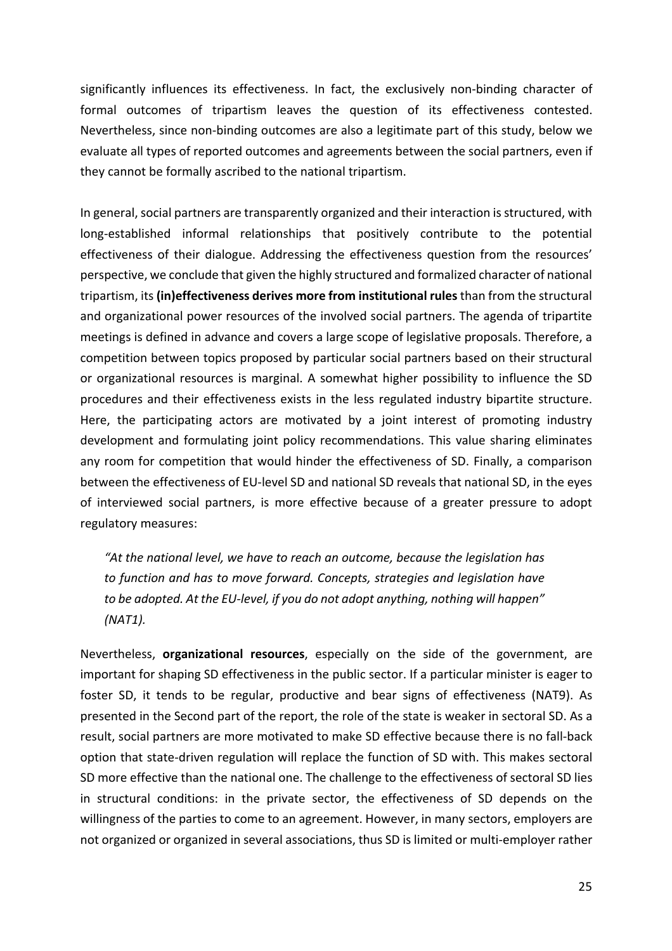significantly influences its effectiveness. In fact, the exclusively non-binding character of formal outcomes of tripartism leaves the question of its effectiveness contested. Nevertheless, since non-binding outcomes are also a legitimate part of this study, below we evaluate all types of reported outcomes and agreements between the social partners, even if they cannot be formally ascribed to the national tripartism.

In general, social partners are transparently organized and their interaction is structured, with long-established informal relationships that positively contribute to the potential effectiveness of their dialogue. Addressing the effectiveness question from the resources' perspective, we conclude that given the highly structured and formalized character of national tripartism, its (in)effectiveness derives more from institutional rules than from the structural and organizational power resources of the involved social partners. The agenda of tripartite meetings is defined in advance and covers a large scope of legislative proposals. Therefore, a competition between topics proposed by particular social partners based on their structural or organizational resources is marginal. A somewhat higher possibility to influence the SD procedures and their effectiveness exists in the less regulated industry bipartite structure. Here, the participating actors are motivated by a joint interest of promoting industry development and formulating joint policy recommendations. This value sharing eliminates any room for competition that would hinder the effectiveness of SD. Finally, a comparison between the effectiveness of EU-level SD and national SD reveals that national SD, in the eyes of interviewed social partners, is more effective because of a greater pressure to adopt regulatory measures:

"At the national level, we have to reach an outcome, because the legislation has to function and has to move forward. Concepts, strategies and legislation have to be adopted. At the EU-level, if you do not adopt anything, nothing will happen" *(NAT1).* 

Nevertheless, **organizational resources**, especially on the side of the government, are important for shaping SD effectiveness in the public sector. If a particular minister is eager to foster SD, it tends to be regular, productive and bear signs of effectiveness (NAT9). As presented in the Second part of the report, the role of the state is weaker in sectoral SD. As a result, social partners are more motivated to make SD effective because there is no fall-back option that state-driven regulation will replace the function of SD with. This makes sectoral SD more effective than the national one. The challenge to the effectiveness of sectoral SD lies in structural conditions: in the private sector, the effectiveness of SD depends on the willingness of the parties to come to an agreement. However, in many sectors, employers are not organized or organized in several associations, thus SD is limited or multi-employer rather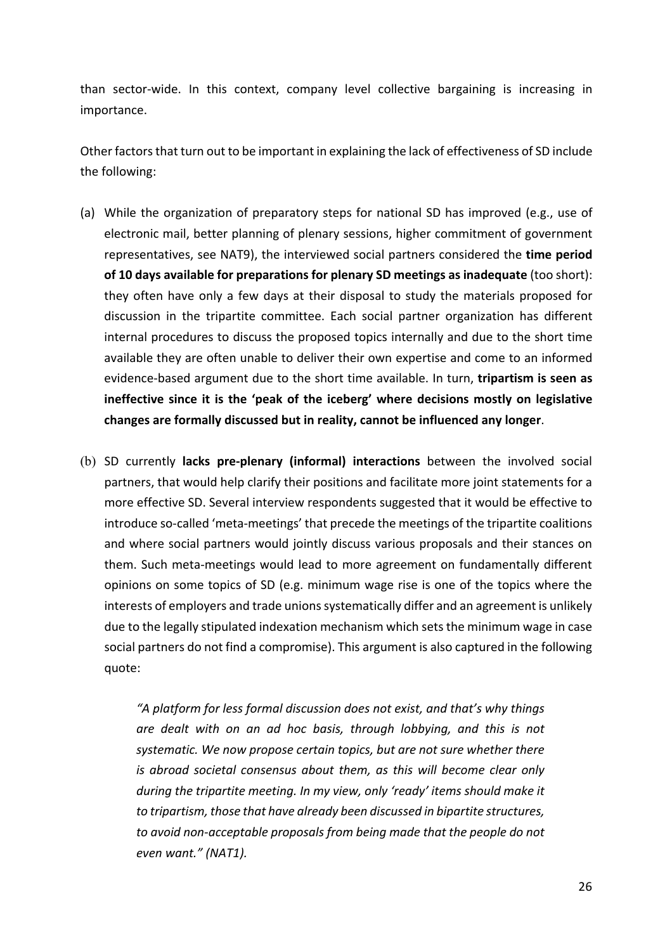than sector-wide. In this context, company level collective bargaining is increasing in importance. 

Other factors that turn out to be important in explaining the lack of effectiveness of SD include the following:

- (a) While the organization of preparatory steps for national SD has improved (e.g., use of electronic mail, better planning of plenary sessions, higher commitment of government representatives, see NAT9), the interviewed social partners considered the **time period of 10 days available for preparations for plenary SD meetings as inadequate** (too short): they often have only a few days at their disposal to study the materials proposed for discussion in the tripartite committee. Each social partner organization has different internal procedures to discuss the proposed topics internally and due to the short time available they are often unable to deliver their own expertise and come to an informed evidence-based argument due to the short time available. In turn, tripartism is seen as **ineffective since it is the 'peak of the iceberg' where decisions mostly on legislative** changes are formally discussed but in reality, cannot be influenced any longer.
- (b) SD currently **lacks pre-plenary (informal) interactions** between the involved social partners, that would help clarify their positions and facilitate more joint statements for a more effective SD. Several interview respondents suggested that it would be effective to introduce so-called 'meta-meetings' that precede the meetings of the tripartite coalitions and where social partners would jointly discuss various proposals and their stances on them. Such meta-meetings would lead to more agreement on fundamentally different opinions on some topics of SD (e.g. minimum wage rise is one of the topics where the interests of employers and trade unions systematically differ and an agreement is unlikely due to the legally stipulated indexation mechanism which sets the minimum wage in case social partners do not find a compromise). This argument is also captured in the following quote:

*"A platform for less formal discussion does not exist, and that's why things*  are dealt with on an ad hoc basis, through lobbying, and this is not systematic. We now propose certain topics, but are not sure whether there *is* abroad societal consensus about them, as this will become clear only *during* the tripartite meeting. In my view, only 'ready' items should make it *to* tripartism, those that have already been discussed in bipartite structures, *to* avoid non-acceptable proposals from being made that the people do not *even want." (NAT1).*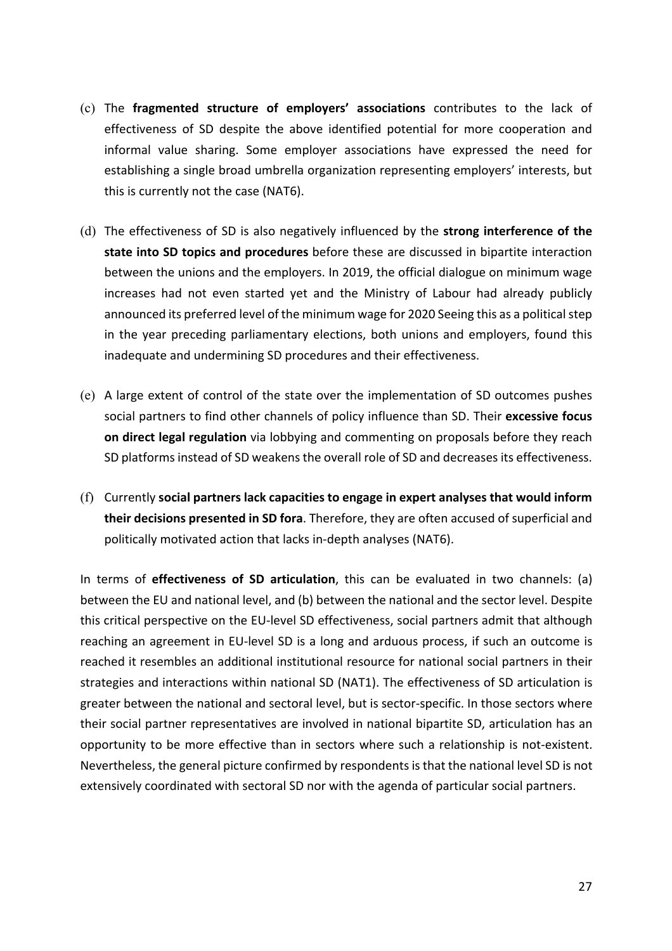- (c) The **fragmented structure of employers' associations** contributes to the lack of effectiveness of SD despite the above identified potential for more cooperation and informal value sharing. Some employer associations have expressed the need for establishing a single broad umbrella organization representing employers' interests, but this is currently not the case (NAT6).
- (d) The effectiveness of SD is also negatively influenced by the **strong interference of the** state into SD topics and procedures before these are discussed in bipartite interaction between the unions and the employers. In 2019, the official dialogue on minimum wage increases had not even started yet and the Ministry of Labour had already publicly announced its preferred level of the minimum wage for 2020 Seeing this as a political step in the year preceding parliamentary elections, both unions and employers, found this inadequate and undermining SD procedures and their effectiveness.
- (e) A large extent of control of the state over the implementation of SD outcomes pushes social partners to find other channels of policy influence than SD. Their excessive focus **on direct legal regulation** via lobbying and commenting on proposals before they reach SD platforms instead of SD weakens the overall role of SD and decreases its effectiveness.
- (f) Currently social partners lack capacities to engage in expert analyses that would inform **their decisions presented in SD fora**. Therefore, they are often accused of superficial and politically motivated action that lacks in-depth analyses (NAT6).

In terms of **effectiveness of SD articulation**, this can be evaluated in two channels: (a) between the EU and national level, and (b) between the national and the sector level. Despite this critical perspective on the EU-level SD effectiveness, social partners admit that although reaching an agreement in EU-level SD is a long and arduous process, if such an outcome is reached it resembles an additional institutional resource for national social partners in their strategies and interactions within national SD (NAT1). The effectiveness of SD articulation is greater between the national and sectoral level, but is sector-specific. In those sectors where their social partner representatives are involved in national bipartite SD, articulation has an opportunity to be more effective than in sectors where such a relationship is not-existent. Nevertheless, the general picture confirmed by respondents is that the national level SD is not extensively coordinated with sectoral SD nor with the agenda of particular social partners.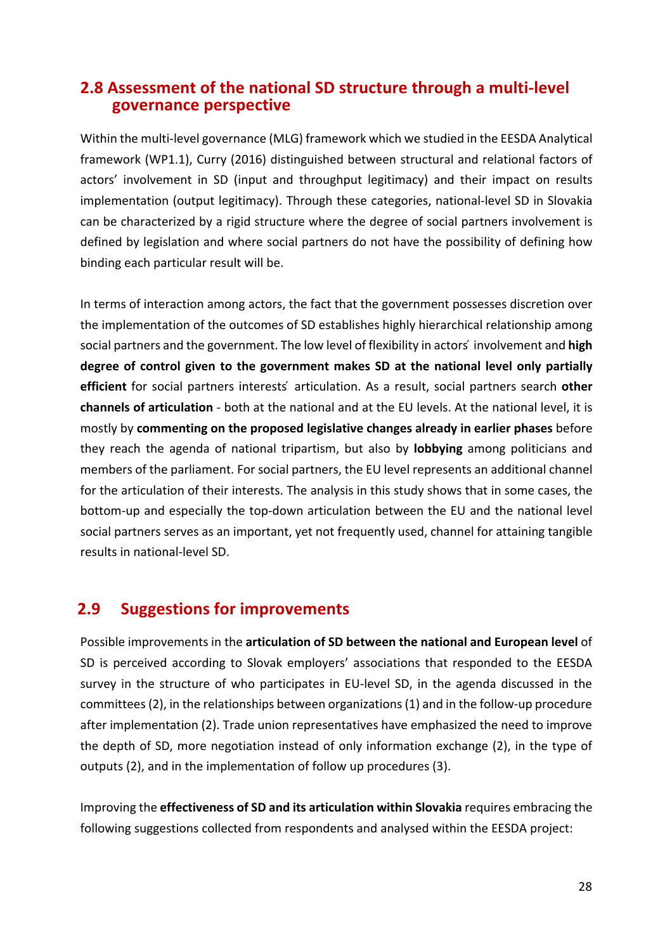## **2.8 Assessment of the national SD structure through a multi-level governance perspective**

Within the multi-level governance (MLG) framework which we studied in the EESDA Analytical framework (WP1.1), Curry (2016) distinguished between structural and relational factors of actors' involvement in SD (input and throughput legitimacy) and their impact on results implementation (output legitimacy). Through these categories, national-level SD in Slovakia can be characterized by a rigid structure where the degree of social partners involvement is defined by legislation and where social partners do not have the possibility of defining how binding each particular result will be.

In terms of interaction among actors, the fact that the government possesses discretion over the implementation of the outcomes of SD establishes highly hierarchical relationship among social partners and the government. The low level of flexibility in actors' involvement and **high** degree of control given to the government makes SD at the national level only partially **efficient** for social partners interests articulation. As a result, social partners search **other channels of articulation** - both at the national and at the EU levels. At the national level, it is mostly by **commenting on the proposed legislative changes already in earlier phases** before they reach the agenda of national tripartism, but also by **lobbying** among politicians and members of the parliament. For social partners, the EU level represents an additional channel for the articulation of their interests. The analysis in this study shows that in some cases, the bottom-up and especially the top-down articulation between the EU and the national level social partners serves as an important, yet not frequently used, channel for attaining tangible results in national-level SD.

# **2.9** Suggestions for improvements

Possible improvements in the articulation of SD between the national and European level of SD is perceived according to Slovak employers' associations that responded to the EESDA survey in the structure of who participates in EU-level SD, in the agenda discussed in the committees (2), in the relationships between organizations (1) and in the follow-up procedure after implementation (2). Trade union representatives have emphasized the need to improve the depth of SD, more negotiation instead of only information exchange (2), in the type of outputs (2), and in the implementation of follow up procedures (3).

Improving the **effectiveness of SD and its articulation within Slovakia** requires embracing the following suggestions collected from respondents and analysed within the EESDA project: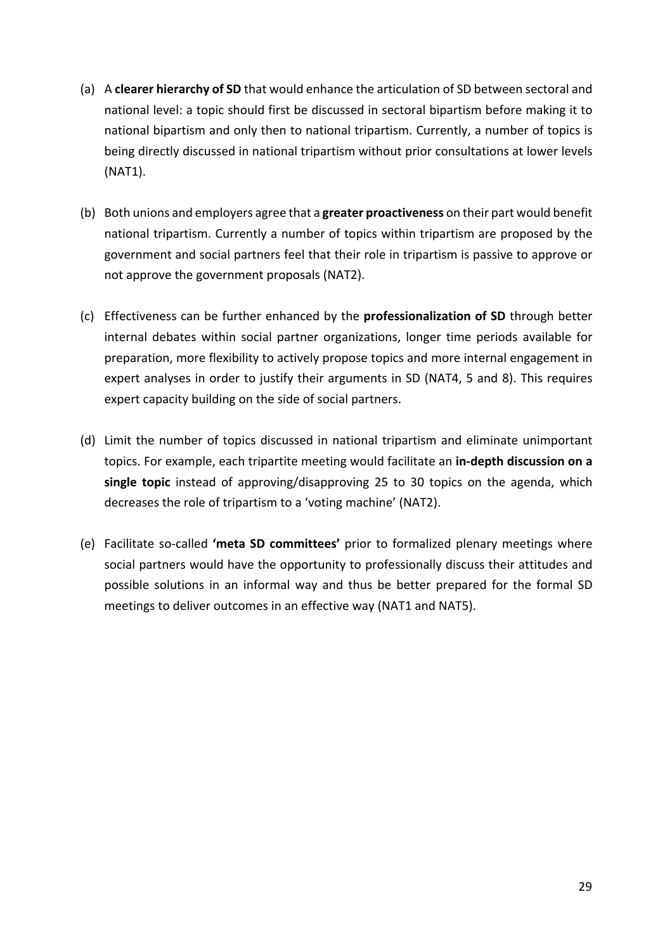- (a) A **clearer hierarchy of SD** that would enhance the articulation of SD between sectoral and national level: a topic should first be discussed in sectoral bipartism before making it to national bipartism and only then to national tripartism. Currently, a number of topics is being directly discussed in national tripartism without prior consultations at lower levels (NAT1).
- (b) Both unions and employers agree that a **greater proactiveness** on their part would benefit national tripartism. Currently a number of topics within tripartism are proposed by the government and social partners feel that their role in tripartism is passive to approve or not approve the government proposals (NAT2).
- (c) Effectiveness can be further enhanced by the **professionalization of SD** through better internal debates within social partner organizations, longer time periods available for preparation, more flexibility to actively propose topics and more internal engagement in expert analyses in order to justify their arguments in SD (NAT4, 5 and 8). This requires expert capacity building on the side of social partners.
- (d) Limit the number of topics discussed in national tripartism and eliminate unimportant topics. For example, each tripartite meeting would facilitate an in-depth discussion on a single topic instead of approving/disapproving 25 to 30 topics on the agenda, which decreases the role of tripartism to a 'voting machine' (NAT2).
- (e) Facilitate so-called 'meta SD committees' prior to formalized plenary meetings where social partners would have the opportunity to professionally discuss their attitudes and possible solutions in an informal way and thus be better prepared for the formal SD meetings to deliver outcomes in an effective way (NAT1 and NAT5).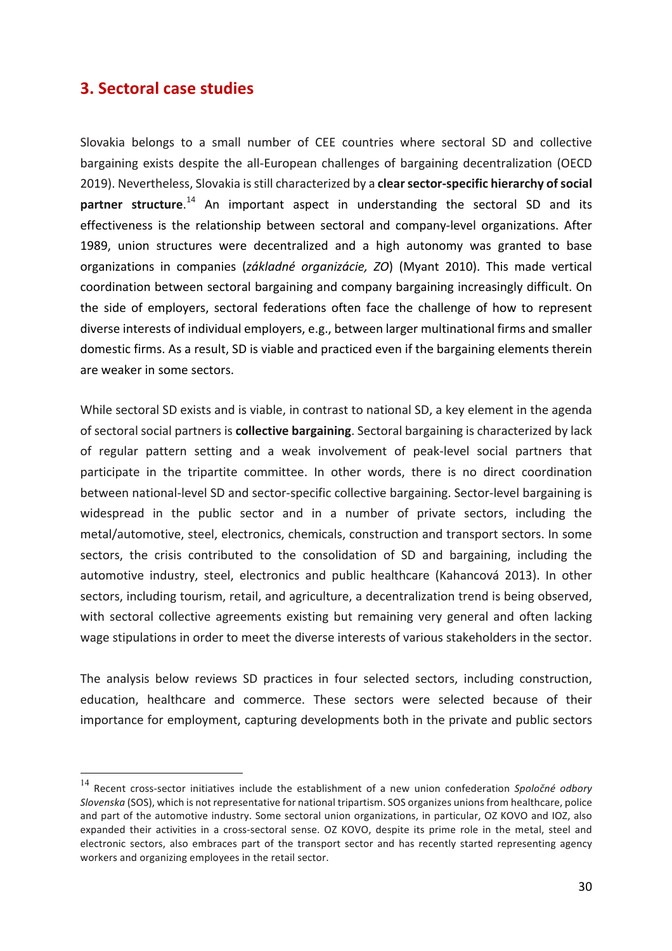# **3. Sectoral case studies**

Slovakia belongs to a small number of CEE countries where sectoral SD and collective bargaining exists despite the all-European challenges of bargaining decentralization (OECD 2019). Nevertheless, Slovakia is still characterized by a clear sector-specific hierarchy of social partner structure.<sup>14</sup> An important aspect in understanding the sectoral SD and its effectiveness is the relationship between sectoral and company-level organizations. After 1989, union structures were decentralized and a high autonomy was granted to base organizations in companies (*základné organizácie, ZO*) (Myant 2010). This made vertical coordination between sectoral bargaining and company bargaining increasingly difficult. On the side of employers, sectoral federations often face the challenge of how to represent diverse interests of individual employers, e.g., between larger multinational firms and smaller domestic firms. As a result, SD is viable and practiced even if the bargaining elements therein are weaker in some sectors.

While sectoral SD exists and is viable, in contrast to national SD, a key element in the agenda of sectoral social partners is **collective bargaining**. Sectoral bargaining is characterized by lack of regular pattern setting and a weak involvement of peak-level social partners that participate in the tripartite committee. In other words, there is no direct coordination between national-level SD and sector-specific collective bargaining. Sector-level bargaining is widespread in the public sector and in a number of private sectors, including the metal/automotive, steel, electronics, chemicals, construction and transport sectors. In some sectors, the crisis contributed to the consolidation of SD and bargaining, including the automotive industry, steel, electronics and public healthcare (Kahancová 2013). In other sectors, including tourism, retail, and agriculture, a decentralization trend is being observed, with sectoral collective agreements existing but remaining very general and often lacking wage stipulations in order to meet the diverse interests of various stakeholders in the sector.

The analysis below reviews SD practices in four selected sectors, including construction, education, healthcare and commerce. These sectors were selected because of their importance for employment, capturing developments both in the private and public sectors

<sup>&</sup>lt;sup>14</sup> Recent cross-sector initiatives include the establishment of a new union confederation Spoločné odbory *Slovenska* (SOS), which is not representative for national tripartism. SOS organizes unions from healthcare, police and part of the automotive industry. Some sectoral union organizations, in particular, OZ KOVO and IOZ, also expanded their activities in a cross-sectoral sense. OZ KOVO, despite its prime role in the metal, steel and electronic sectors, also embraces part of the transport sector and has recently started representing agency workers and organizing employees in the retail sector.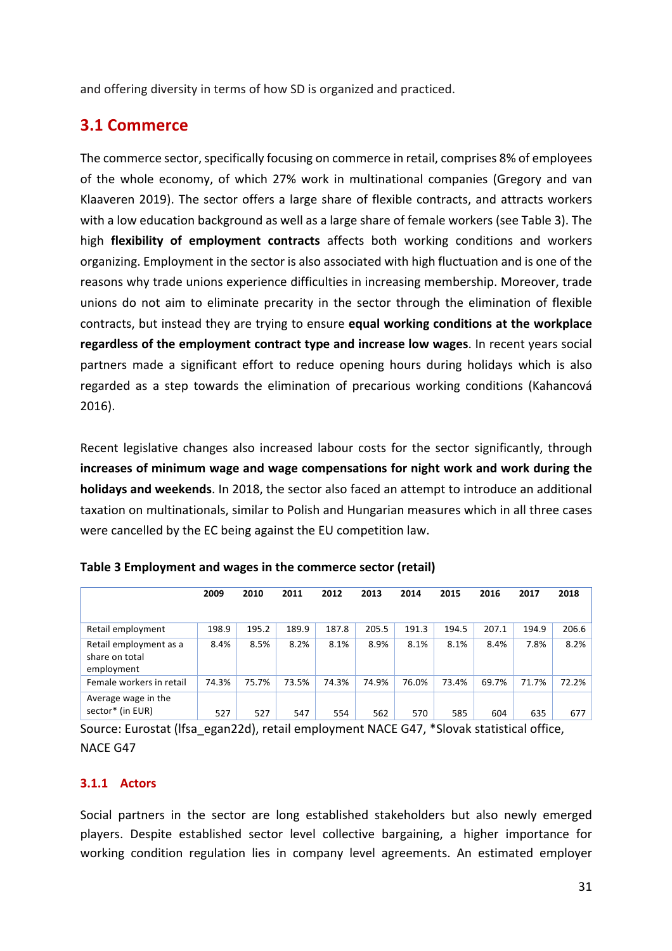and offering diversity in terms of how SD is organized and practiced.

# **3.1 Commerce**

The commerce sector, specifically focusing on commerce in retail, comprises 8% of employees of the whole economy, of which 27% work in multinational companies (Gregory and van Klaaveren 2019). The sector offers a large share of flexible contracts, and attracts workers with a low education background as well as a large share of female workers (see Table 3). The high **flexibility of employment contracts** affects both working conditions and workers organizing. Employment in the sector is also associated with high fluctuation and is one of the reasons why trade unions experience difficulties in increasing membership. Moreover, trade unions do not aim to eliminate precarity in the sector through the elimination of flexible contracts, but instead they are trying to ensure **equal working conditions at the workplace** regardless of the employment contract type and increase low wages. In recent years social partners made a significant effort to reduce opening hours during holidays which is also regarded as a step towards the elimination of precarious working conditions (Kahancová 2016). 

Recent legislative changes also increased labour costs for the sector significantly, through **increases of minimum wage and wage compensations for night work and work during the holidays and weekends**. In 2018, the sector also faced an attempt to introduce an additional taxation on multinationals, similar to Polish and Hungarian measures which in all three cases were cancelled by the EC being against the EU competition law.

|                                                        | 2009  | 2010  | 2011  | 2012  | 2013  | 2014  | 2015  | 2016  | 2017  | 2018  |
|--------------------------------------------------------|-------|-------|-------|-------|-------|-------|-------|-------|-------|-------|
|                                                        |       |       |       |       |       |       |       |       |       |       |
| Retail employment                                      | 198.9 | 195.2 | 189.9 | 187.8 | 205.5 | 191.3 | 194.5 | 207.1 | 194.9 | 206.6 |
| Retail employment as a<br>share on total<br>employment | 8.4%  | 8.5%  | 8.2%  | 8.1%  | 8.9%  | 8.1%  | 8.1%  | 8.4%  | 7.8%  | 8.2%  |
| Female workers in retail                               | 74.3% | 75.7% | 73.5% | 74.3% | 74.9% | 76.0% | 73.4% | 69.7% | 71.7% | 72.2% |
| Average wage in the<br>sector* (in EUR)                | 527   | 527   | 547   | 554   | 562   | 570   | 585   | 604   | 635   | 677   |

**Table 3 Employment and wages in the commerce sector (retail)** 

Source: Eurostat (Ifsa\_egan22d), retail employment NACE G47, \*Slovak statistical office, NACE G47

#### **3.1.1 Actors**

Social partners in the sector are long established stakeholders but also newly emerged players. Despite established sector level collective bargaining, a higher importance for working condition regulation lies in company level agreements. An estimated employer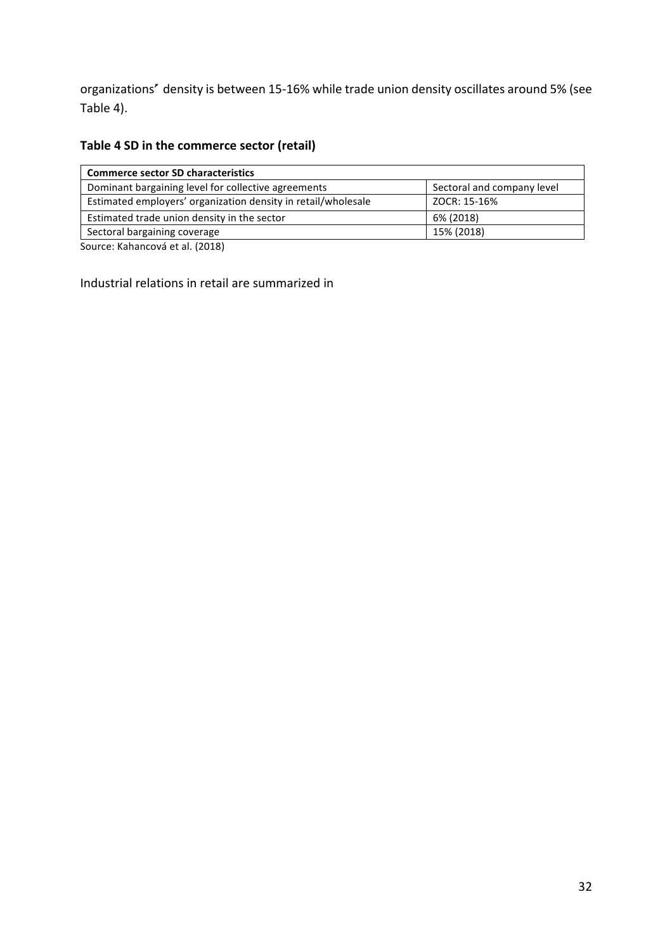organizations' density is between 15-16% while trade union density oscillates around 5% (see Table 4).

# Table 4 SD in the commerce sector (retail)

| <b>Commerce sector SD characteristics</b>                     |                            |  |  |  |  |
|---------------------------------------------------------------|----------------------------|--|--|--|--|
| Dominant bargaining level for collective agreements           | Sectoral and company level |  |  |  |  |
| Estimated employers' organization density in retail/wholesale | ZOCR: 15-16%               |  |  |  |  |
| Estimated trade union density in the sector                   | 6% (2018)                  |  |  |  |  |
| Sectoral bargaining coverage                                  | 15% (2018)                 |  |  |  |  |
|                                                               |                            |  |  |  |  |

Source: Kahancová et al. (2018)

Industrial relations in retail are summarized in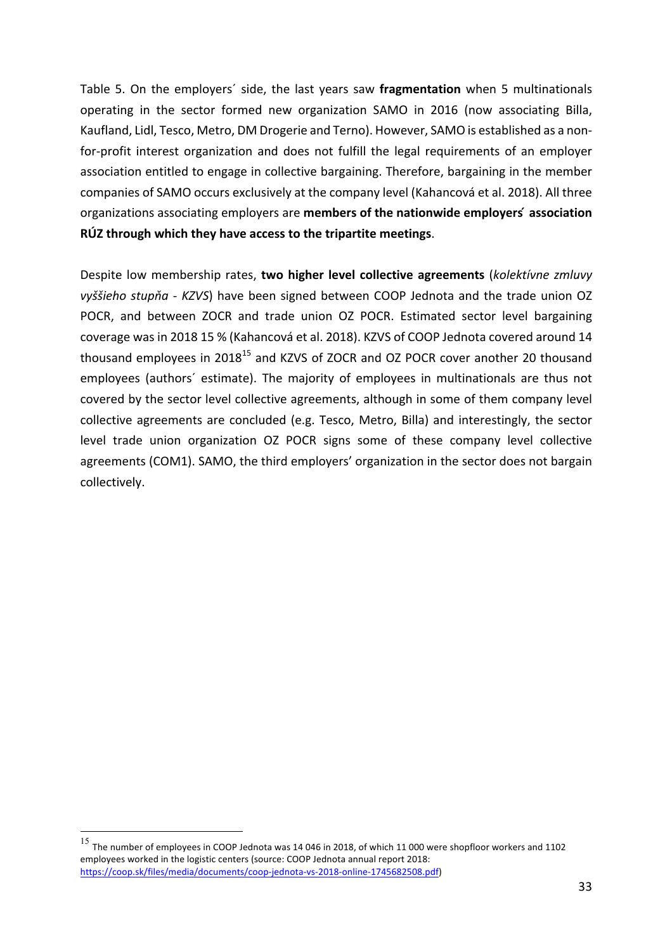Table 5. On the employers' side, the last years saw fragmentation when 5 multinationals operating in the sector formed new organization SAMO in 2016 (now associating Billa, Kaufland, Lidl, Tesco, Metro, DM Drogerie and Terno). However, SAMO is established as a nonfor-profit interest organization and does not fulfill the legal requirements of an employer association entitled to engage in collective bargaining. Therefore, bargaining in the member companies of SAMO occurs exclusively at the company level (Kahancová et al. 2018). All three organizations associating employers are **members of the nationwide employers' association RÚZ through which they have access to the tripartite meetings**. 

Despite low membership rates, **two higher level collective agreements** (*kolektívne zmluvy vyššieho stupňa - KZVS*) have been signed between COOP Jednota and the trade union OZ POCR, and between ZOCR and trade union OZ POCR. Estimated sector level bargaining coverage was in 2018 15 % (Kahancová et al. 2018). KZVS of COOP Jednota covered around 14 thousand employees in 2018<sup>15</sup> and KZVS of ZOCR and OZ POCR cover another 20 thousand employees (authors' estimate). The majority of employees in multinationals are thus not covered by the sector level collective agreements, although in some of them company level collective agreements are concluded (e.g. Tesco, Metro, Billa) and interestingly, the sector level trade union organization OZ POCR signs some of these company level collective agreements (COM1). SAMO, the third employers' organization in the sector does not bargain collectively. 

 $^{15}$  The number of employees in COOP Jednota was 14 046 in 2018, of which 11 000 were shopfloor workers and 1102 employees worked in the logistic centers (source: COOP Jednota annual report 2018: https://coop.sk/files/media/documents/coop-jednota-vs-2018-online-1745682508.pdf)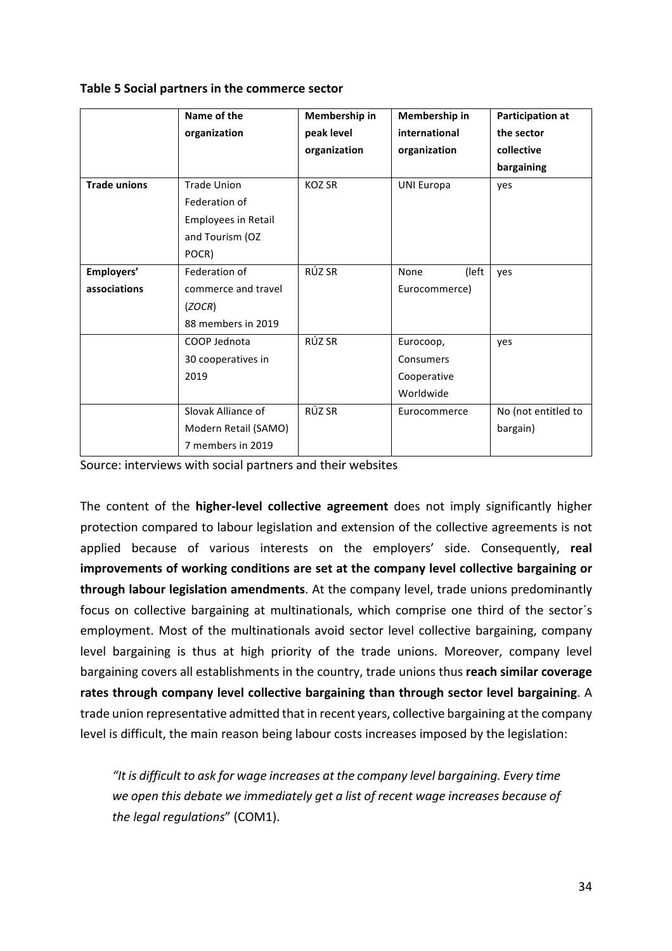| Table 5 Social partners in the commerce sector |  |  |  |  |
|------------------------------------------------|--|--|--|--|
|------------------------------------------------|--|--|--|--|

|                     | Name of the          | Membership in | Membership in     | <b>Participation at</b> |
|---------------------|----------------------|---------------|-------------------|-------------------------|
|                     | organization         | peak level    | international     | the sector              |
|                     |                      | organization  | organization      | collective              |
|                     |                      |               |                   | bargaining              |
| <b>Trade unions</b> | <b>Trade Union</b>   | <b>KOZ SR</b> | <b>UNI Europa</b> | yes                     |
|                     | Federation of        |               |                   |                         |
|                     | Employees in Retail  |               |                   |                         |
|                     | and Tourism (OZ      |               |                   |                         |
|                     | POCR)                |               |                   |                         |
| Employers'          | Federation of        | RÚZ SR        | None<br>(left     | yes                     |
| associations        | commerce and travel  |               | Eurocommerce)     |                         |
|                     | (ZOCR)               |               |                   |                         |
|                     | 88 members in 2019   |               |                   |                         |
|                     | COOP Jednota         | RÚZ SR        | Eurocoop,         | ves                     |
|                     | 30 cooperatives in   |               | Consumers         |                         |
|                     | 2019                 |               | Cooperative       |                         |
|                     |                      |               | Worldwide         |                         |
|                     | Slovak Alliance of   | RÚZ SR        | Eurocommerce      | No (not entitled to     |
|                     | Modern Retail (SAMO) |               |                   | bargain)                |
|                     | 7 members in 2019    |               |                   |                         |

Source: interviews with social partners and their websites

The content of the **higher-level collective agreement** does not imply significantly higher protection compared to labour legislation and extension of the collective agreements is not applied because of various interests on the employers' side. Consequently, real improvements of working conditions are set at the company level collective bargaining or **through labour legislation amendments**. At the company level, trade unions predominantly focus on collective bargaining at multinationals, which comprise one third of the sector's employment. Most of the multinationals avoid sector level collective bargaining, company level bargaining is thus at high priority of the trade unions. Moreover, company level bargaining covers all establishments in the country, trade unions thus reach similar coverage rates through company level collective bargaining than through sector level bargaining. A trade union representative admitted that in recent years, collective bargaining at the company level is difficult, the main reason being labour costs increases imposed by the legislation:

"It is difficult to ask for wage increases at the company level bargaining. Every time we open this debate we immediately get a list of recent wage increases because of *the legal regulations*" (COM1).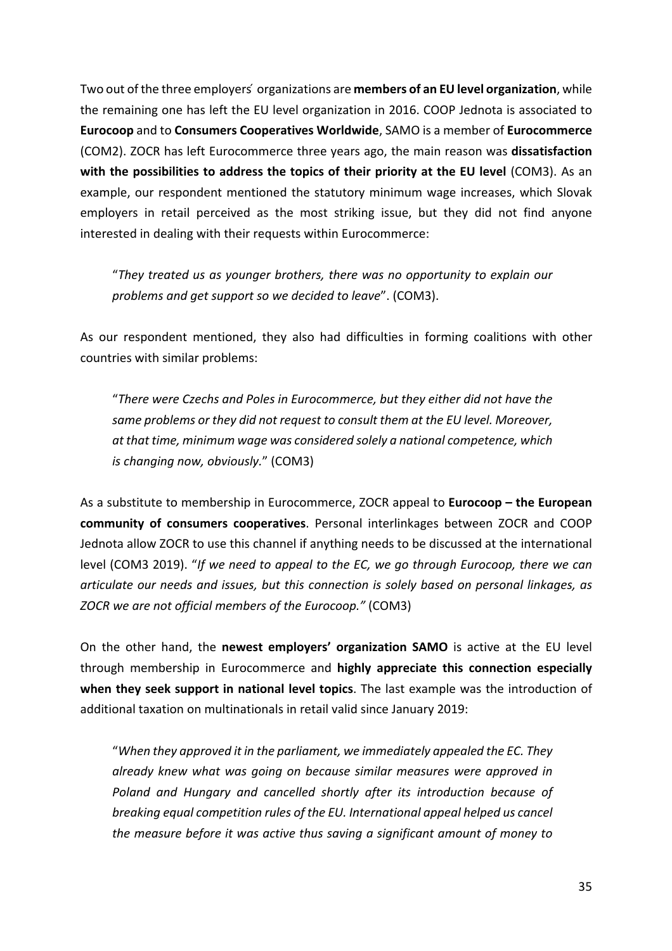Two out of the three employers' organizations are **members of an EU level organization**, while the remaining one has left the EU level organization in 2016. COOP Jednota is associated to **Eurocoop** and to **Consumers Cooperatives Worldwide**, SAMO is a member of **Eurocommerce** (COM2). ZOCR has left Eurocommerce three years ago, the main reason was **dissatisfaction** with the possibilities to address the topics of their priority at the EU level (COM3). As an example, our respondent mentioned the statutory minimum wage increases, which Slovak employers in retail perceived as the most striking issue, but they did not find anyone interested in dealing with their requests within Eurocommerce:

"They treated us as younger brothers, there was no opportunity to explain our *problems and get support so we decided to leave".* (COM3).

As our respondent mentioned, they also had difficulties in forming coalitions with other countries with similar problems:

"*There were Czechs and Poles in Eurocommerce, but they either did not have the*  same problems or they did not request to consult them at the EU level. Moreover, *at* that time, minimum wage was considered solely a national competence, which *is changing now, obviously.*" (COM3)

As a substitute to membership in Eurocommerce, ZOCR appeal to **Eurocoop** – the European **community of consumers cooperatives**. Personal interlinkages between ZOCR and COOP Jednota allow ZOCR to use this channel if anything needs to be discussed at the international level (COM3 2019). "If we need to appeal to the *EC*, we go through Eurocoop, there we can *articulate* our needs and *issues, but this connection is solely based on personal linkages, as ZOCR we are not official members of the Eurocoop."* (COM3)

On the other hand, the newest employers' organization SAMO is active at the EU level through membership in Eurocommerce and **highly appreciate this connection especially when they seek support in national level topics**. The last example was the introduction of additional taxation on multinationals in retail valid since January 2019:

"When they approved it in the parliament, we immediately appealed the EC. They already knew what was going on because similar measures were approved in Poland and Hungary and cancelled shortly after its introduction because of *breaking equal competition rules of the EU. International appeal helped us cancel the measure before it was active thus saving a significant amount of money to*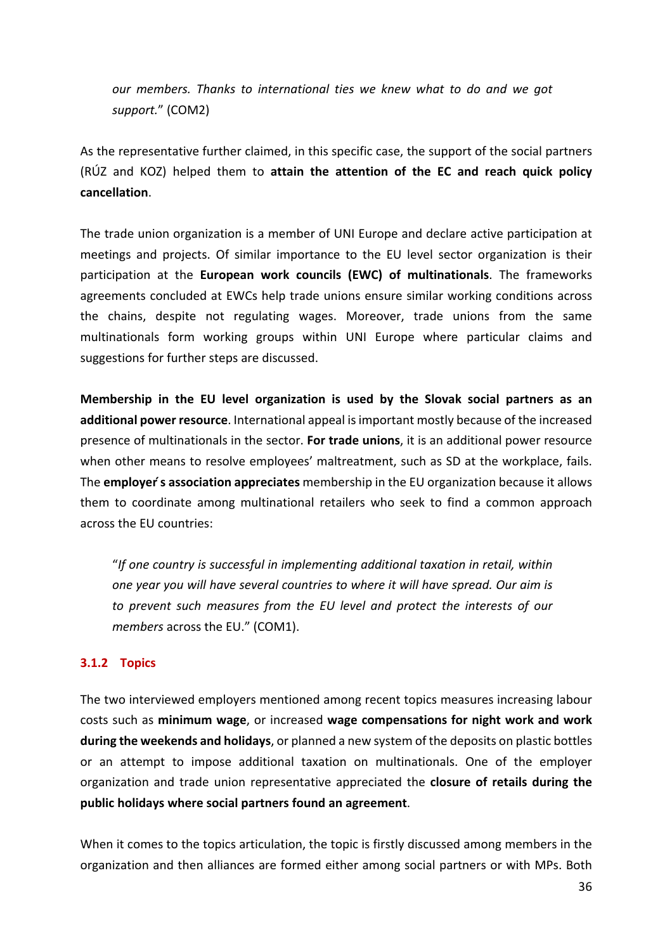*our* members. Thanks to international ties we knew what to do and we got support." (COM2)

As the representative further claimed, in this specific case, the support of the social partners (RÚZ and KOZ) helped them to **attain the attention of the EC and reach quick policy cancellation**. 

The trade union organization is a member of UNI Europe and declare active participation at meetings and projects. Of similar importance to the EU level sector organization is their participation at the **European work councils (EWC) of multinationals**. The frameworks agreements concluded at EWCs help trade unions ensure similar working conditions across the chains, despite not regulating wages. Moreover, trade unions from the same multinationals form working groups within UNI Europe where particular claims and suggestions for further steps are discussed.

**Membership in the EU level organization is used by the Slovak social partners as an additional power resource**. International appeal is important mostly because of the increased presence of multinationals in the sector. **For trade unions**, it is an additional power resource when other means to resolve employees' maltreatment, such as SD at the workplace, fails. The **employer's association appreciates** membership in the EU organization because it allows them to coordinate among multinational retailers who seek to find a common approach across the EU countries:

"If one country is successful in implementing additional taxation in retail, within *one* year you will have several countries to where it will have spread. Our aim is to prevent such measures from the EU level and protect the interests of our *members* across the EU." (COM1).

#### **3.1.2 Topics**

The two interviewed employers mentioned among recent topics measures increasing labour costs such as **minimum wage**, or increased **wage compensations for night work and work during the weekends and holidays**, or planned a new system of the deposits on plastic bottles or an attempt to impose additional taxation on multinationals. One of the employer organization and trade union representative appreciated the **closure of retails during the** public holidays where social partners found an agreement.

When it comes to the topics articulation, the topic is firstly discussed among members in the organization and then alliances are formed either among social partners or with MPs. Both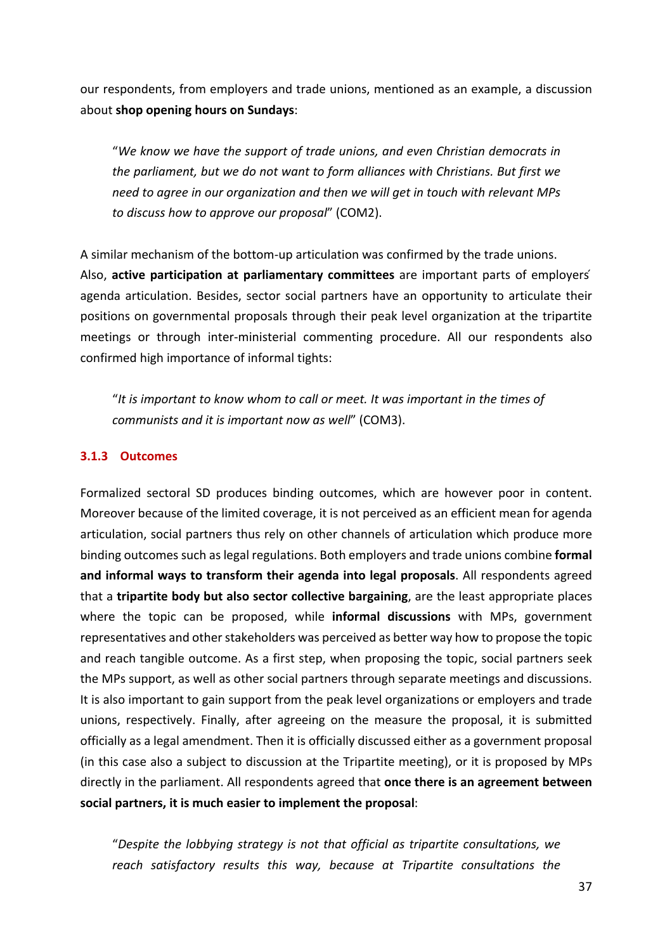our respondents, from employers and trade unions, mentioned as an example, a discussion about **shop opening hours on Sundays:** 

"We know we have the support of trade unions, and even Christian democrats in *the parliament, but we do not want to form alliances with Christians. But first we* need to garee in our organization and then we will get in touch with relevant MPs *to discuss how to approve our proposal*" (COM2). 

A similar mechanism of the bottom-up articulation was confirmed by the trade unions. Also, **active participation at parliamentary committees** are important parts of employers' agenda articulation. Besides, sector social partners have an opportunity to articulate their positions on governmental proposals through their peak level organization at the tripartite meetings or through inter-ministerial commenting procedure. All our respondents also confirmed high importance of informal tights:

"It is important to know whom to call or meet. It was important in the times of *communists and it is important now as well*" (COM3).

#### **3.1.3 Outcomes**

Formalized sectoral SD produces binding outcomes, which are however poor in content. Moreover because of the limited coverage, it is not perceived as an efficient mean for agenda articulation, social partners thus rely on other channels of articulation which produce more binding outcomes such as legal regulations. Both employers and trade unions combine **formal** and informal ways to transform their agenda into legal proposals. All respondents agreed that a **tripartite body but also sector collective bargaining**, are the least appropriate places where the topic can be proposed, while **informal discussions** with MPs, government representatives and other stakeholders was perceived as better way how to propose the topic and reach tangible outcome. As a first step, when proposing the topic, social partners seek the MPs support, as well as other social partners through separate meetings and discussions. It is also important to gain support from the peak level organizations or employers and trade unions, respectively. Finally, after agreeing on the measure the proposal, it is submitted officially as a legal amendment. Then it is officially discussed either as a government proposal (in this case also a subject to discussion at the Tripartite meeting), or it is proposed by MPs directly in the parliament. All respondents agreed that **once there is an agreement between** social partners, it is much easier to implement the proposal:

"Despite the *lobbying* strategy is not that official as tripartite consultations, we reach satisfactory results this way, because at Tripartite consultations the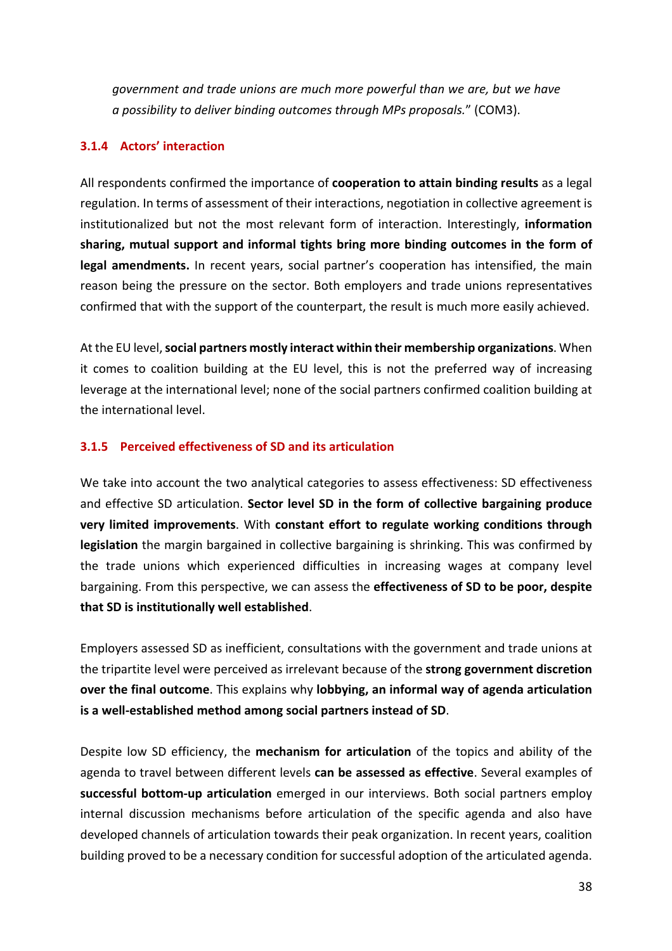*government and trade unions are much more powerful than we are, but we have a possibility to deliver binding outcomes through MPs proposals.*" (COM3). 

#### **3.1.4 Actors' interaction**

All respondents confirmed the importance of **cooperation to attain binding results** as a legal regulation. In terms of assessment of their interactions, negotiation in collective agreement is institutionalized but not the most relevant form of interaction. Interestingly, **information** sharing, mutual support and informal tights bring more binding outcomes in the form of **legal amendments.** In recent years, social partner's cooperation has intensified, the main reason being the pressure on the sector. Both employers and trade unions representatives confirmed that with the support of the counterpart, the result is much more easily achieved.

At the EU level, social partners mostly interact within their membership organizations. When it comes to coalition building at the EU level, this is not the preferred way of increasing leverage at the international level; none of the social partners confirmed coalition building at the international level.

#### **3.1.5 Perceived effectiveness of SD and its articulation**

We take into account the two analytical categories to assess effectiveness: SD effectiveness and effective SD articulation. **Sector level SD in the form of collective bargaining produce** very limited improvements. With constant effort to regulate working conditions through **legislation** the margin bargained in collective bargaining is shrinking. This was confirmed by the trade unions which experienced difficulties in increasing wages at company level bargaining. From this perspective, we can assess the **effectiveness of SD to be poor, despite that SD is institutionally well established**. 

Employers assessed SD as inefficient, consultations with the government and trade unions at the tripartite level were perceived as irrelevant because of the **strong government discretion over the final outcome**. This explains why **lobbying, an informal way of agenda articulation is** a well-established method among social partners instead of SD.

Despite low SD efficiency, the **mechanism for articulation** of the topics and ability of the agenda to travel between different levels **can be assessed as effective**. Several examples of **successful bottom-up articulation** emerged in our interviews. Both social partners employ internal discussion mechanisms before articulation of the specific agenda and also have developed channels of articulation towards their peak organization. In recent years, coalition building proved to be a necessary condition for successful adoption of the articulated agenda.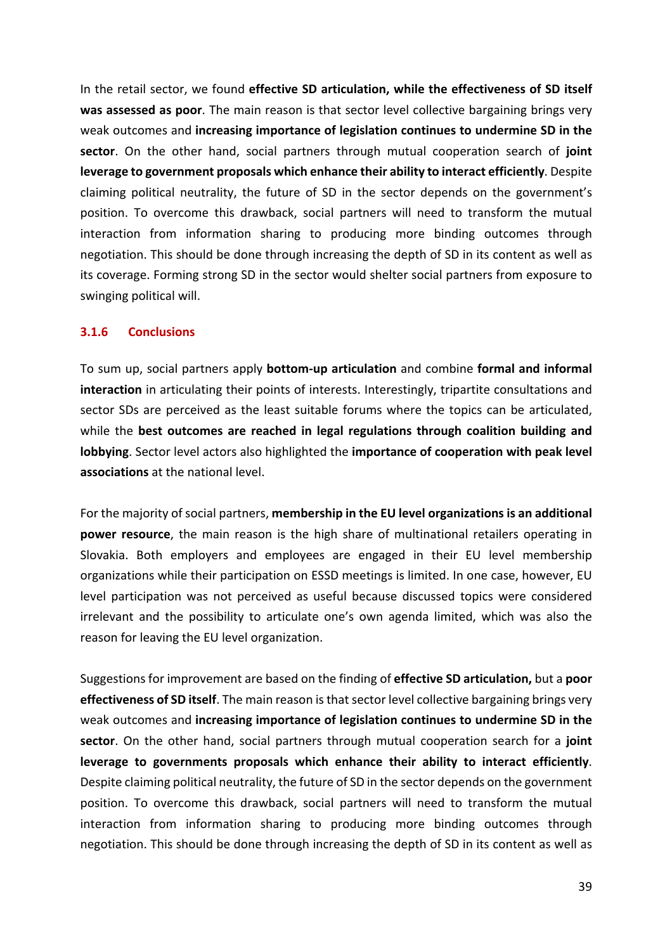In the retail sector, we found **effective SD articulation, while the effectiveness of SD itself was assessed as poor**. The main reason is that sector level collective bargaining brings very weak outcomes and **increasing importance of legislation continues to undermine SD in the sector**. On the other hand, social partners through mutual cooperation search of **joint leverage to government proposals which enhance their ability to interact efficiently**. Despite claiming political neutrality, the future of SD in the sector depends on the government's position. To overcome this drawback, social partners will need to transform the mutual interaction from information sharing to producing more binding outcomes through negotiation. This should be done through increasing the depth of SD in its content as well as its coverage. Forming strong SD in the sector would shelter social partners from exposure to swinging political will.

#### **3.1.6 Conclusions**

To sum up, social partners apply **bottom-up articulation** and combine **formal and informal interaction** in articulating their points of interests. Interestingly, tripartite consultations and sector SDs are perceived as the least suitable forums where the topics can be articulated, while the **best outcomes are reached in legal regulations through coalition building and lobbying**. Sector level actors also highlighted the **importance of cooperation with peak level associations** at the national level.

For the majority of social partners, **membership in the EU level organizations is an additional power resource**, the main reason is the high share of multinational retailers operating in Slovakia. Both employers and employees are engaged in their EU level membership organizations while their participation on ESSD meetings is limited. In one case, however, EU level participation was not perceived as useful because discussed topics were considered irrelevant and the possibility to articulate one's own agenda limited, which was also the reason for leaving the EU level organization.

Suggestions for improvement are based on the finding of effective SD articulation, but a poor **effectiveness of SD itself**. The main reason is that sector level collective bargaining brings very weak outcomes and **increasing importance of legislation continues to undermine SD in the sector**. On the other hand, social partners through mutual cooperation search for a **joint** leverage to governments proposals which enhance their ability to interact efficiently. Despite claiming political neutrality, the future of SD in the sector depends on the government position. To overcome this drawback, social partners will need to transform the mutual interaction from information sharing to producing more binding outcomes through negotiation. This should be done through increasing the depth of SD in its content as well as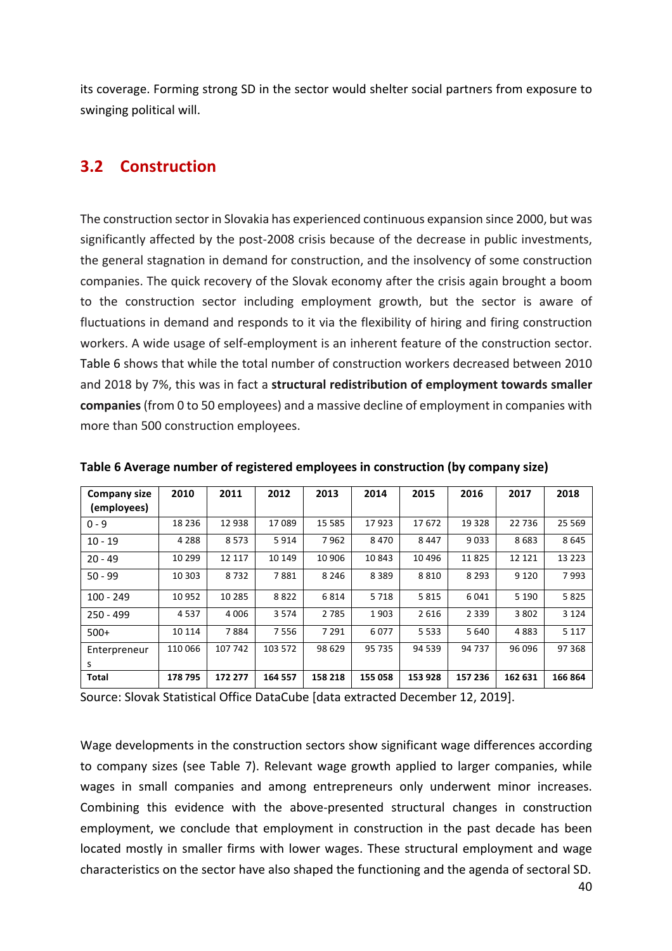its coverage. Forming strong SD in the sector would shelter social partners from exposure to swinging political will.

# **3.2 Construction**

The construction sector in Slovakia has experienced continuous expansion since 2000, but was significantly affected by the post-2008 crisis because of the decrease in public investments, the general stagnation in demand for construction, and the insolvency of some construction companies. The quick recovery of the Slovak economy after the crisis again brought a boom to the construction sector including employment growth, but the sector is aware of fluctuations in demand and responds to it via the flexibility of hiring and firing construction workers. A wide usage of self-employment is an inherent feature of the construction sector. Table 6 shows that while the total number of construction workers decreased between 2010 and 2018 by 7%, this was in fact a structural redistribution of employment towards smaller **companies** (from 0 to 50 employees) and a massive decline of employment in companies with more than 500 construction employees.

| <b>Company size</b><br>(employees) | 2010    | 2011    | 2012    | 2013     | 2014    | 2015    | 2016    | 2017    | 2018    |
|------------------------------------|---------|---------|---------|----------|---------|---------|---------|---------|---------|
| $0 - 9$                            | 18 2 36 | 12 938  | 17089   | 15 5 8 5 | 17923   | 17672   | 19 3 28 | 22 736  | 25 5 69 |
| $10 - 19$                          | 4 2 8 8 | 8573    | 5914    | 7962     | 8470    | 8447    | 9033    | 8683    | 8645    |
| $20 - 49$                          | 10 299  | 12 117  | 10 149  | 10 906   | 10 843  | 10 4 96 | 11825   | 12 12 1 | 13 2 23 |
| $50 - 99$                          | 10 303  | 8732    | 7881    | 8 2 4 6  | 8 3 8 9 | 8810    | 8 2 9 3 | 9 1 2 0 | 7993    |
| $100 - 249$                        | 10952   | 10 285  | 8822    | 6814     | 5 7 1 8 | 5815    | 6041    | 5 1 9 0 | 5825    |
| $250 - 499$                        | 4537    | 4 0 0 6 | 3 5 7 4 | 2785     | 1903    | 2616    | 2 3 3 9 | 3 8 0 2 | 3 1 2 4 |
| $500+$                             | 10 114  | 7884    | 7556    | 7 2 9 1  | 6077    | 5 5 3 3 | 5 6 4 0 | 4883    | 5 1 1 7 |
| Enterpreneur                       | 110 066 | 107 742 | 103 572 | 98 629   | 95 735  | 94 539  | 94 737  | 96 096  | 97 368  |
| s                                  |         |         |         |          |         |         |         |         |         |
| <b>Total</b>                       | 178795  | 172 277 | 164 557 | 158 218  | 155 058 | 153 928 | 157 236 | 162 631 | 166 864 |

Table 6 Average number of registered employees in construction (by company size)

Source: Slovak Statistical Office DataCube [data extracted December 12, 2019].

Wage developments in the construction sectors show significant wage differences according to company sizes (see Table 7). Relevant wage growth applied to larger companies, while wages in small companies and among entrepreneurs only underwent minor increases. Combining this evidence with the above-presented structural changes in construction employment, we conclude that employment in construction in the past decade has been located mostly in smaller firms with lower wages. These structural employment and wage characteristics on the sector have also shaped the functioning and the agenda of sectoral SD.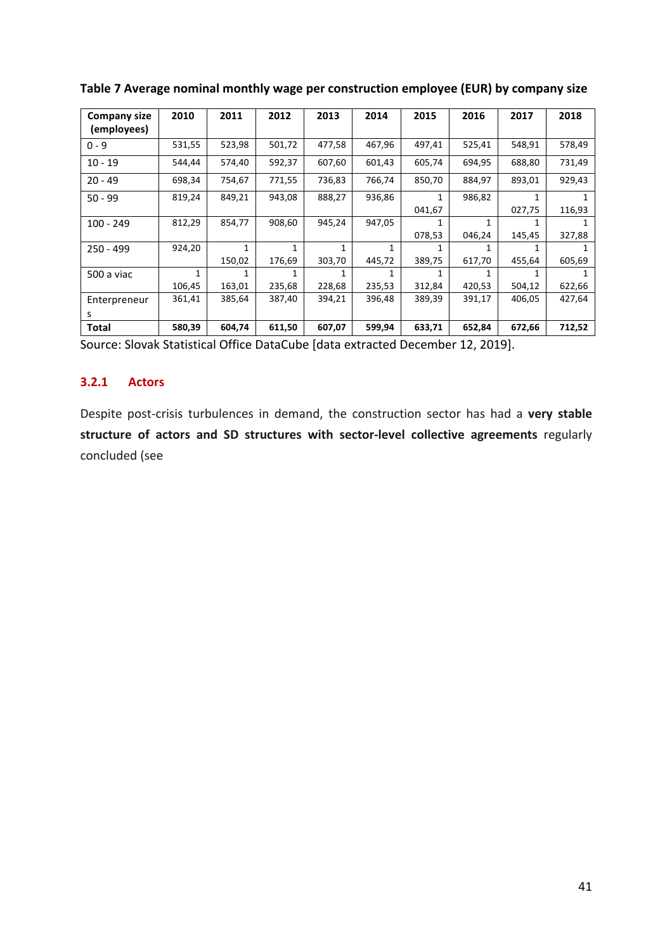| <b>Company size</b><br>(employees) | 2010   | 2011   | 2012   | 2013   | 2014   | 2015   | 2016   | 2017   | 2018   |
|------------------------------------|--------|--------|--------|--------|--------|--------|--------|--------|--------|
| $0 - 9$                            | 531,55 | 523,98 | 501,72 | 477,58 | 467,96 | 497,41 | 525,41 | 548,91 | 578,49 |
| $10 - 19$                          | 544,44 | 574,40 | 592,37 | 607,60 | 601,43 | 605,74 | 694,95 | 688,80 | 731,49 |
| $20 - 49$                          | 698,34 | 754,67 | 771,55 | 736,83 | 766,74 | 850,70 | 884,97 | 893,01 | 929,43 |
| $50 - 99$                          | 819,24 | 849,21 | 943,08 | 888,27 | 936,86 | 1      | 986,82 |        |        |
|                                    |        |        |        |        |        | 041,67 |        | 027,75 | 116,93 |
| $100 - 249$                        | 812,29 | 854,77 | 908,60 | 945,24 | 947,05 | 1      |        |        |        |
|                                    |        |        |        |        |        | 078,53 | 046,24 | 145,45 | 327,88 |
| $250 - 499$                        | 924,20 | 1      | 1      | 1      |        |        |        |        |        |
|                                    |        | 150,02 | 176,69 | 303,70 | 445,72 | 389,75 | 617,70 | 455,64 | 605,69 |
| 500 a viac                         | 1      | 1      |        |        |        |        |        |        |        |
|                                    | 106,45 | 163,01 | 235,68 | 228,68 | 235,53 | 312,84 | 420,53 | 504,12 | 622,66 |
| Enterpreneur                       | 361,41 | 385,64 | 387,40 | 394,21 | 396,48 | 389,39 | 391,17 | 406,05 | 427,64 |
| s                                  |        |        |        |        |        |        |        |        |        |
| Total                              | 580,39 | 604,74 | 611,50 | 607,07 | 599,94 | 633,71 | 652,84 | 672,66 | 712,52 |

Table 7 Average nominal monthly wage per construction employee (EUR) by company size

Source: Slovak Statistical Office DataCube [data extracted December 12, 2019].

#### **3.2.1 Actors**

Despite post-crisis turbulences in demand, the construction sector has had a very stable structure of actors and SD structures with sector-level collective agreements regularly concluded (see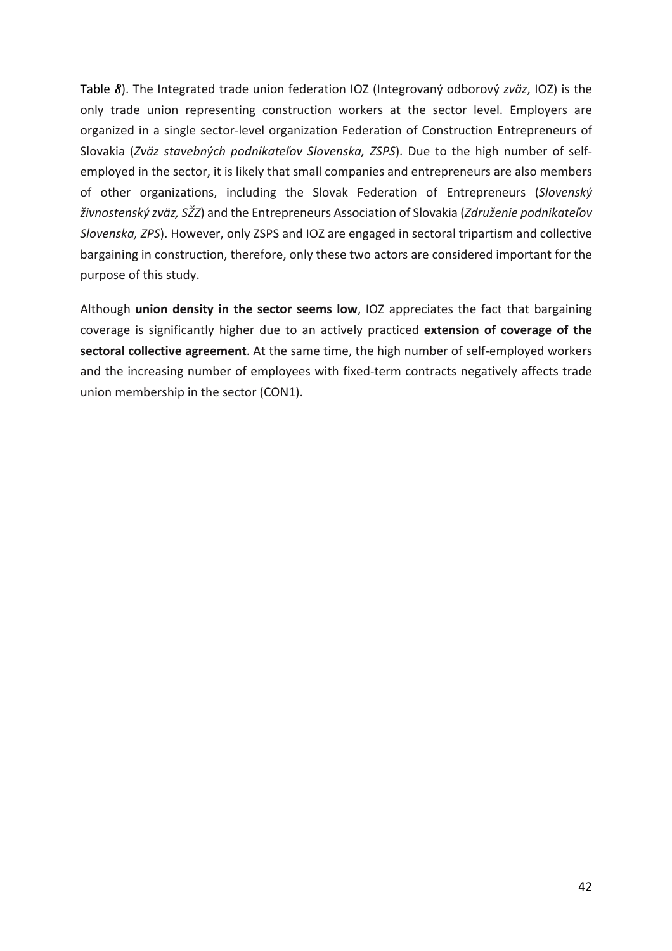Table 8). The Integrated trade union federation IOZ (Integrovaný odborový zväz, IOZ) is the only trade union representing construction workers at the sector level. Employers are organized in a single sector-level organization Federation of Construction Entrepreneurs of Slovakia (Zväz stavebných podnikateľov Slovenska, ZSPS). Due to the high number of selfemployed in the sector, it is likely that small companies and entrepreneurs are also members of other organizations, including the Slovak Federation of Entrepreneurs (Slovenský *živnostenský zväz, SŽZ*) and the Entrepreneurs Association of Slovakia (*Združenie podnikateľov Slovenska, ZPS*). However, only ZSPS and IOZ are engaged in sectoral tripartism and collective bargaining in construction, therefore, only these two actors are considered important for the purpose of this study.

Although **union density in the sector seems low**, IOZ appreciates the fact that bargaining coverage is significantly higher due to an actively practiced extension of coverage of the sectoral collective agreement. At the same time, the high number of self-employed workers and the increasing number of employees with fixed-term contracts negatively affects trade union membership in the sector (CON1).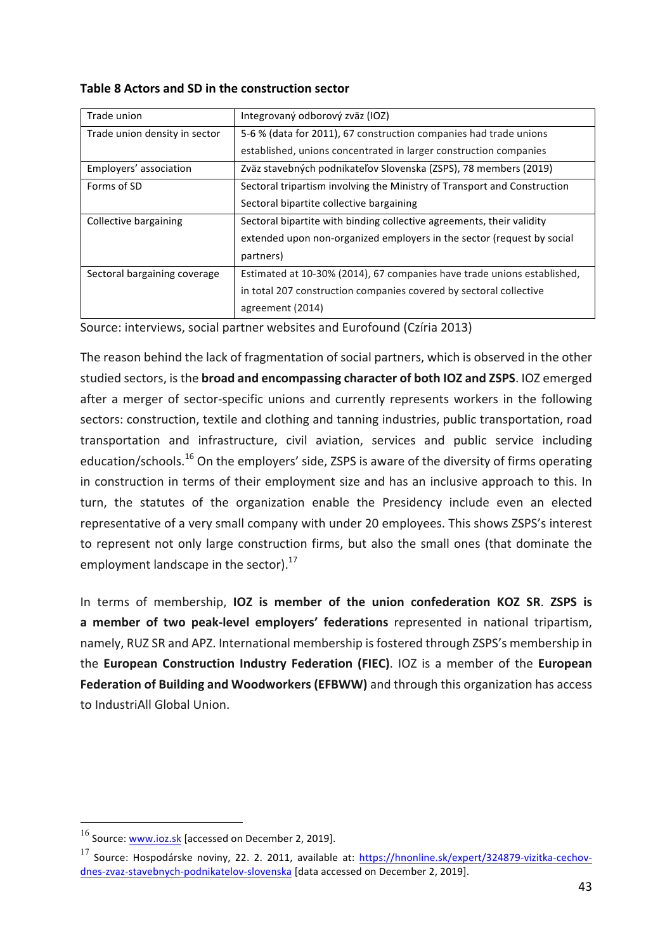| Table 8 Actors and SD in the construction sector |  |
|--------------------------------------------------|--|
|--------------------------------------------------|--|

| Trade union                   | Integrovaný odborový zväz (IOZ)                                          |
|-------------------------------|--------------------------------------------------------------------------|
| Trade union density in sector | 5-6 % (data for 2011), 67 construction companies had trade unions        |
|                               | established, unions concentrated in larger construction companies        |
| Employers' association        | Zväz stavebných podnikateľov Slovenska (ZSPS), 78 members (2019)         |
| Forms of SD                   | Sectoral tripartism involving the Ministry of Transport and Construction |
|                               | Sectoral bipartite collective bargaining                                 |
| Collective bargaining         | Sectoral bipartite with binding collective agreements, their validity    |
|                               | extended upon non-organized employers in the sector (request by social   |
|                               | partners)                                                                |
| Sectoral bargaining coverage  | Estimated at 10-30% (2014), 67 companies have trade unions established,  |
|                               | in total 207 construction companies covered by sectoral collective       |
|                               | agreement (2014)                                                         |

Source: interviews, social partner websites and Eurofound (Czíria 2013)

The reason behind the lack of fragmentation of social partners, which is observed in the other studied sectors, is the **broad and encompassing character of both IOZ and ZSPS**. IOZ emerged after a merger of sector-specific unions and currently represents workers in the following sectors: construction, textile and clothing and tanning industries, public transportation, road transportation and infrastructure, civil aviation, services and public service including education/schools.<sup>16</sup> On the employers' side, ZSPS is aware of the diversity of firms operating in construction in terms of their employment size and has an inclusive approach to this. In turn, the statutes of the organization enable the Presidency include even an elected representative of a very small company with under 20 employees. This shows ZSPS's interest to represent not only large construction firms, but also the small ones (that dominate the employment landscape in the sector). $^{17}$ 

In terms of membership, IOZ is member of the union confederation KOZ SR. ZSPS is a member of two peak-level employers' federations represented in national tripartism, namely, RUZ SR and APZ. International membership is fostered through ZSPS's membership in the **European Construction Industry Federation (FIEC)**. IOZ is a member of the **European Federation of Building and Woodworkers (EFBWW)** and through this organization has access to IndustriAll Global Union.

 $16$  Source: www.ioz.sk [accessed on December 2, 2019].

 $17$  Source: Hospodárske noviny, 22. 2. 2011, available at: https://hnonline.sk/expert/324879-vizitka-cechovdnes-zvaz-stavebnych-podnikatelov-slovenska [data accessed on December 2, 2019].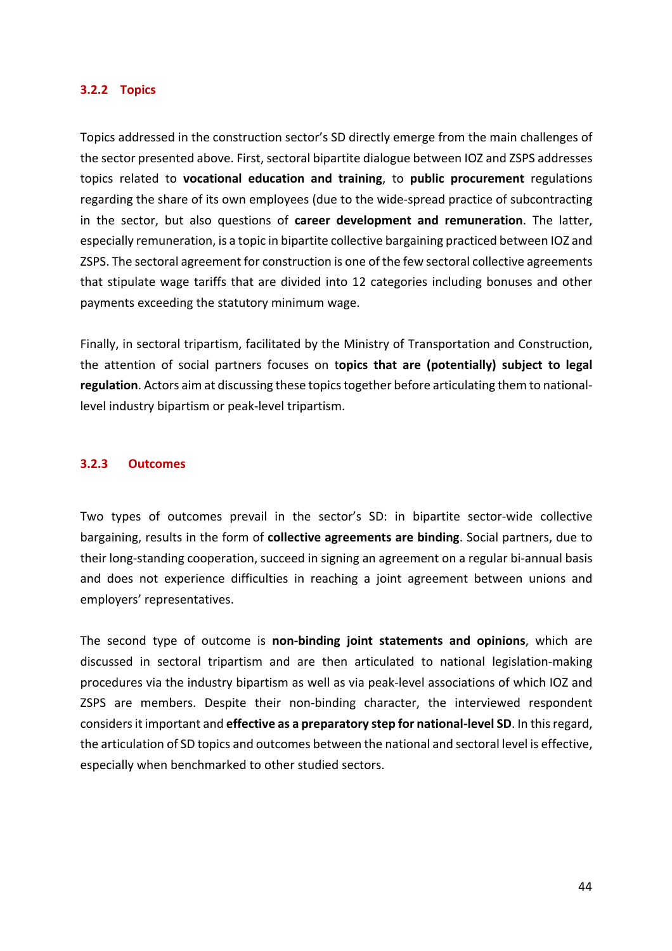#### **3.2.2 Topics**

Topics addressed in the construction sector's SD directly emerge from the main challenges of the sector presented above. First, sectoral bipartite dialogue between IOZ and ZSPS addresses topics related to **vocational education and training**, to public procurement regulations regarding the share of its own employees (due to the wide-spread practice of subcontracting in the sector, but also questions of **career development and remuneration**. The latter, especially remuneration, is a topic in bipartite collective bargaining practiced between IOZ and ZSPS. The sectoral agreement for construction is one of the few sectoral collective agreements that stipulate wage tariffs that are divided into 12 categories including bonuses and other payments exceeding the statutory minimum wage.

Finally, in sectoral tripartism, facilitated by the Ministry of Transportation and Construction, the attention of social partners focuses on topics that are (potentially) subject to legal **regulation**. Actors aim at discussing these topics together before articulating them to nationallevel industry bipartism or peak-level tripartism.

#### **3.2.3 Outcomes**

Two types of outcomes prevail in the sector's SD: in bipartite sector-wide collective bargaining, results in the form of **collective agreements are binding**. Social partners, due to their long-standing cooperation, succeed in signing an agreement on a regular bi-annual basis and does not experience difficulties in reaching a joint agreement between unions and employers' representatives.

The second type of outcome is non-binding joint statements and opinions, which are discussed in sectoral tripartism and are then articulated to national legislation-making procedures via the industry bipartism as well as via peak-level associations of which IOZ and ZSPS are members. Despite their non-binding character, the interviewed respondent considers it important and **effective as a preparatory step for national-level SD**. In this regard, the articulation of SD topics and outcomes between the national and sectoral level is effective, especially when benchmarked to other studied sectors.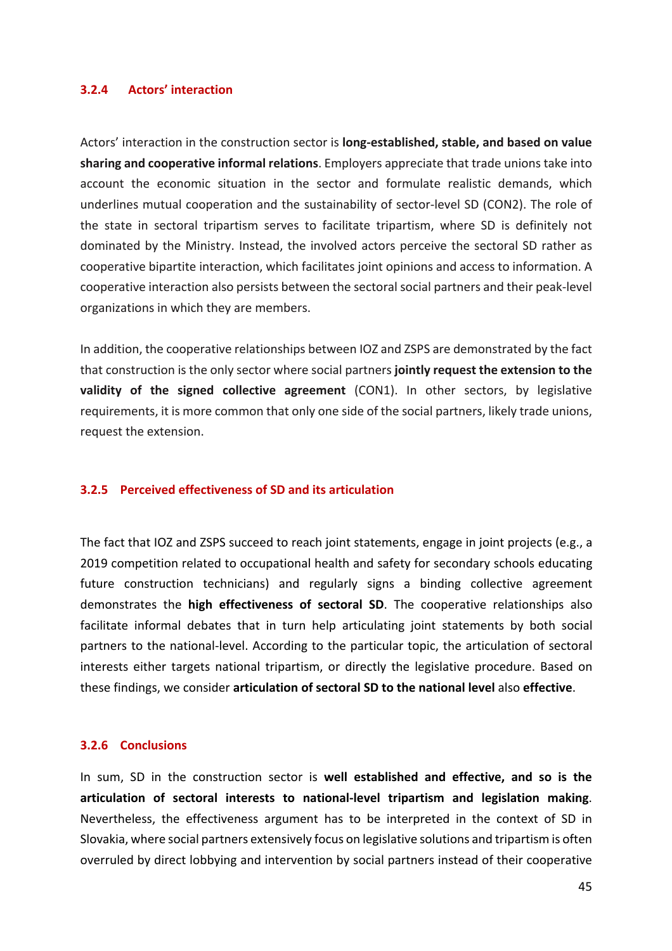#### **3.2.4 Actors' interaction**

Actors' interaction in the construction sector is **long-established, stable, and based on value** sharing and cooperative informal relations. Employers appreciate that trade unions take into account the economic situation in the sector and formulate realistic demands, which underlines mutual cooperation and the sustainability of sector-level SD (CON2). The role of the state in sectoral tripartism serves to facilitate tripartism, where SD is definitely not dominated by the Ministry. Instead, the involved actors perceive the sectoral SD rather as cooperative bipartite interaction, which facilitates joint opinions and access to information. A cooperative interaction also persists between the sectoral social partners and their peak-level organizations in which they are members.

In addition, the cooperative relationships between IOZ and ZSPS are demonstrated by the fact that construction is the only sector where social partners **jointly request the extension to the validity** of the signed collective agreement (CON1). In other sectors, by legislative requirements, it is more common that only one side of the social partners, likely trade unions, request the extension.

#### **3.2.5 Perceived effectiveness of SD and its articulation**

The fact that IOZ and ZSPS succeed to reach joint statements, engage in joint projects (e.g., a 2019 competition related to occupational health and safety for secondary schools educating future construction technicians) and regularly signs a binding collective agreement demonstrates the **high effectiveness of sectoral SD**. The cooperative relationships also facilitate informal debates that in turn help articulating joint statements by both social partners to the national-level. According to the particular topic, the articulation of sectoral interests either targets national tripartism, or directly the legislative procedure. Based on these findings, we consider articulation of sectoral SD to the national level also effective.

#### **3.2.6 Conclusions**

In sum, SD in the construction sector is **well established and effective, and so is the articulation of sectoral interests to national-level tripartism and legislation making**. Nevertheless, the effectiveness argument has to be interpreted in the context of SD in Slovakia, where social partners extensively focus on legislative solutions and tripartism is often overruled by direct lobbying and intervention by social partners instead of their cooperative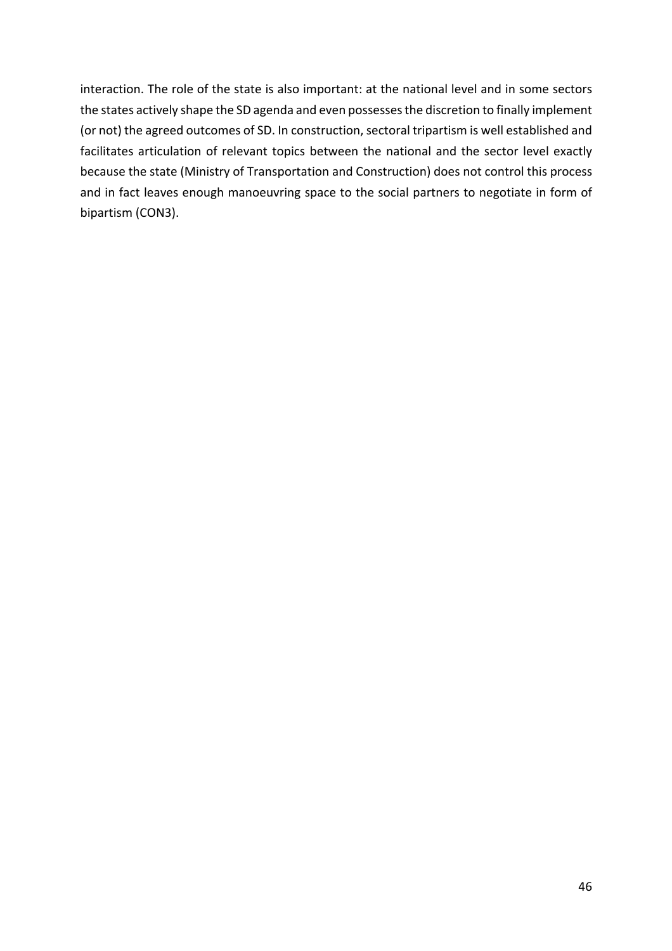interaction. The role of the state is also important: at the national level and in some sectors the states actively shape the SD agenda and even possesses the discretion to finally implement (or not) the agreed outcomes of SD. In construction, sectoral tripartism is well established and facilitates articulation of relevant topics between the national and the sector level exactly because the state (Ministry of Transportation and Construction) does not control this process and in fact leaves enough manoeuvring space to the social partners to negotiate in form of bipartism (CON3).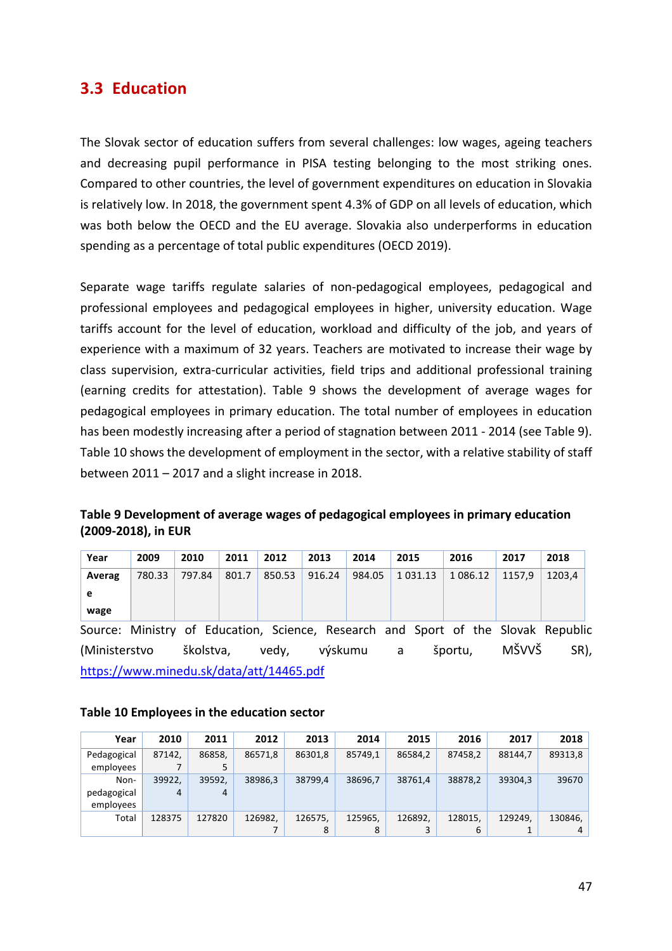# **3.3 Education**

The Slovak sector of education suffers from several challenges: low wages, ageing teachers and decreasing pupil performance in PISA testing belonging to the most striking ones. Compared to other countries, the level of government expenditures on education in Slovakia is relatively low. In 2018, the government spent 4.3% of GDP on all levels of education, which was both below the OECD and the EU average. Slovakia also underperforms in education spending as a percentage of total public expenditures (OECD 2019).

Separate wage tariffs regulate salaries of non-pedagogical employees, pedagogical and professional employees and pedagogical employees in higher, university education. Wage tariffs account for the level of education, workload and difficulty of the job, and years of experience with a maximum of 32 years. Teachers are motivated to increase their wage by class supervision, extra-curricular activities, field trips and additional professional training (earning credits for attestation). Table 9 shows the development of average wages for pedagogical employees in primary education. The total number of employees in education has been modestly increasing after a period of stagnation between 2011 - 2014 (see Table 9). Table 10 shows the development of employment in the sector, with a relative stability of staff between  $2011 - 2017$  and a slight increase in 2018.

| Table 9 Development of average wages of pedagogical employees in primary education |
|------------------------------------------------------------------------------------|
| (2009-2018), in EUR                                                                |

| Year   | 2009   | 2010   | 2011  | 2012   | 2013   | 2014   | 2015    | 2016     | 2017   | 2018   |
|--------|--------|--------|-------|--------|--------|--------|---------|----------|--------|--------|
| Averag | 780.33 | 797.84 | 801.7 | 850.53 | 916.24 | 984.05 | 1031.13 | 1 086.12 | 1157.9 | 1203.4 |
| e      |        |        |       |        |        |        |         |          |        |        |
| wage   |        |        |       |        |        |        |         |          |        |        |

Source: Ministry of Education, Science, Research and Sport of the Slovak Republic (Ministerstvo školstva, vedy, výskumu a športu, MŠVVŠ SR), https://www.minedu.sk/data/att/14465.pdf

#### **Table 10 Employees in the education sector**

| Year                             | 2010        | 2011        | 2012    | 2013         | 2014    | 2015    | 2016         | 2017    | 2018         |
|----------------------------------|-------------|-------------|---------|--------------|---------|---------|--------------|---------|--------------|
| Pedagogical<br>employees         | 87142.      | 86858.      | 86571.8 | 86301.8      | 85749.1 | 86584.2 | 87458.2      | 88144.7 | 89313,8      |
| Non-<br>pedagogical<br>employees | 39922.<br>4 | 39592.<br>4 | 38986.3 | 38799.4      | 38696.7 | 38761.4 | 38878.2      | 39304.3 | 39670        |
| Total                            | 128375      | 127820      | 126982. | 126575.<br>8 | 125965. | 126892. | 128015.<br>6 | 129249. | 130846,<br>4 |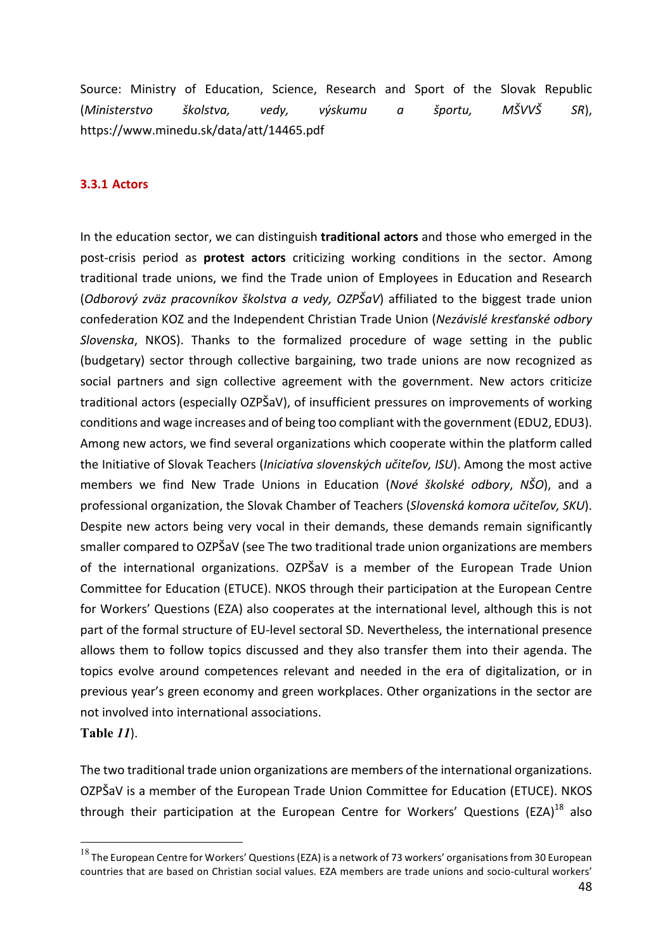Source: Ministry of Education, Science, Research and Sport of the Slovak Republic (*Ministerstvo školstva, vedy, výskumu a športu, MŠVVŠ SR*), https://www.minedu.sk/data/att/14465.pdf

#### **3.3.1 Actors**

In the education sector, we can distinguish **traditional actors** and those who emerged in the post-crisis period as **protest actors** criticizing working conditions in the sector. Among traditional trade unions, we find the Trade union of Employees in Education and Research (*Odborový zväz pracovníkov školstva a vedy, OZPŠaV*) affiliated to the biggest trade union confederation KOZ and the Independent Christian Trade Union (Nezávislé kresťanské odbory *Slovenska*, NKOS). Thanks to the formalized procedure of wage setting in the public (budgetary) sector through collective bargaining, two trade unions are now recognized as social partners and sign collective agreement with the government. New actors criticize traditional actors (especially OZPŠaV), of insufficient pressures on improvements of working conditions and wage increases and of being too compliant with the government (EDU2, EDU3). Among new actors, we find several organizations which cooperate within the platform called the Initiative of Slovak Teachers (*Iniciatíva slovenských učiteľov, ISU*). Among the most active members we find New Trade Unions in Education (Nové školské odbory, NŠO), and a professional organization, the Slovak Chamber of Teachers (Slovenská komora učiteľov, SKU). Despite new actors being very vocal in their demands, these demands remain significantly smaller compared to OZPŠaV (see The two traditional trade union organizations are members of the international organizations. OZPŠaV is a member of the European Trade Union Committee for Education (ETUCE). NKOS through their participation at the European Centre for Workers' Questions (EZA) also cooperates at the international level, although this is not part of the formal structure of EU-level sectoral SD. Nevertheless, the international presence allows them to follow topics discussed and they also transfer them into their agenda. The topics evolve around competences relevant and needed in the era of digitalization, or in previous year's green economy and green workplaces. Other organizations in the sector are not involved into international associations.

**Table** *11*).

The two traditional trade union organizations are members of the international organizations. OZPŠaV is a member of the European Trade Union Committee for Education (ETUCE). NKOS through their participation at the European Centre for Workers' Questions (EZA)<sup>18</sup> also

 $^{18}$  The European Centre for Workers' Questions (EZA) is a network of 73 workers' organisations from 30 European countries that are based on Christian social values. EZA members are trade unions and socio-cultural workers'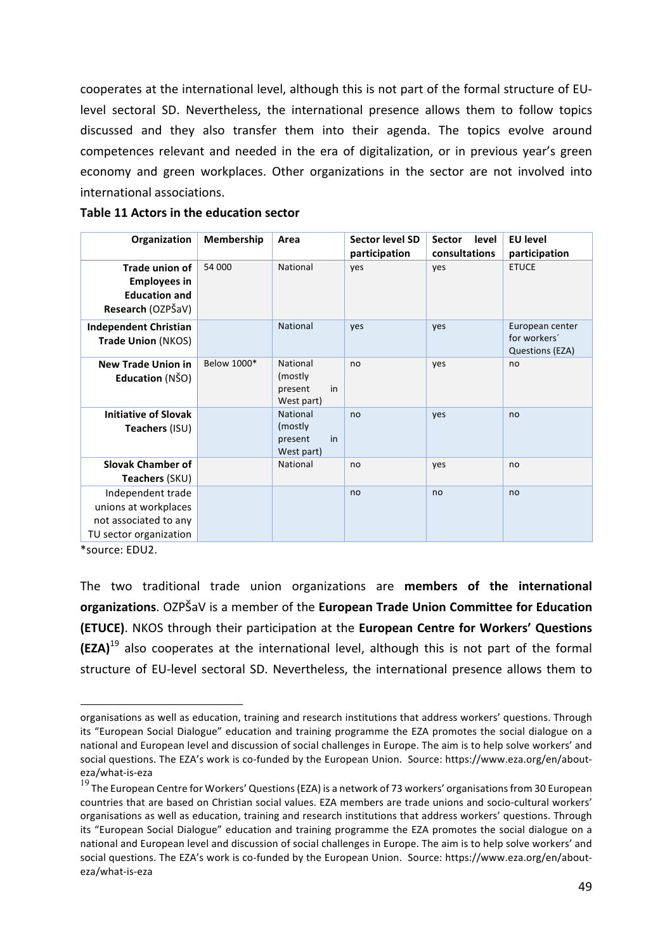cooperates at the international level, although this is not part of the formal structure of EUlevel sectoral SD. Nevertheless, the international presence allows them to follow topics discussed and they also transfer them into their agenda. The topics evolve around competences relevant and needed in the era of digitalization, or in previous year's green economy and green workplaces. Other organizations in the sector are not involved into international associations.

| Organization                                                                                                     | Membership  | Area                                                | <b>Sector level SD</b><br>participation | level<br><b>Sector</b><br>consultations | <b>EU level</b><br>participation                   |
|------------------------------------------------------------------------------------------------------------------|-------------|-----------------------------------------------------|-----------------------------------------|-----------------------------------------|----------------------------------------------------|
| Trade union of<br><b>Employees in</b><br><b>Education and</b><br>Research (OZPŠaV)                               | 54 000      | National                                            | yes                                     | yes                                     | <b>ETUCE</b>                                       |
| <b>Independent Christian</b><br><b>Trade Union (NKOS)</b>                                                        |             | National                                            | yes                                     | ves                                     | European center<br>for workers'<br>Questions (EZA) |
| <b>New Trade Union in</b><br>Education (NŠO)                                                                     | Below 1000* | National<br>(mostly)<br>in<br>present<br>West part) | no                                      | yes                                     | no                                                 |
| <b>Initiative of Slovak</b><br>Teachers (ISU)                                                                    |             | National<br>(mostly)<br>in<br>present<br>West part) | no                                      | yes                                     | no                                                 |
| <b>Slovak Chamber of</b><br>Teachers (SKU)                                                                       |             | National                                            | no                                      | yes                                     | no                                                 |
| Independent trade<br>unions at workplaces<br>not associated to any<br>TU sector organization<br>$F^{\text{min}}$ |             |                                                     | no                                      | no                                      | no                                                 |

**Table 11 Actors in the education sector** 

\*source: EDU2. 

 $\overline{a}$ 

The two traditional trade union organizations are **members of the international organizations**. OZPŠaV is a member of the **European Trade Union Committee for Education (ETUCE)**. NKOS through their participation at the European Centre for Workers' Questions  $(EZA)<sup>19</sup>$  also cooperates at the international level, although this is not part of the formal structure of EU-level sectoral SD. Nevertheless, the international presence allows them to

organisations as well as education, training and research institutions that address workers' questions. Through its "European Social Dialogue" education and training programme the EZA promotes the social dialogue on a national and European level and discussion of social challenges in Europe. The aim is to help solve workers' and social questions. The EZA's work is co-funded by the European Union. Source: https://www.eza.org/en/abouteza/what-is-eza

 $19$  The European Centre for Workers' Questions (EZA) is a network of 73 workers' organisations from 30 European countries that are based on Christian social values. EZA members are trade unions and socio-cultural workers' organisations as well as education, training and research institutions that address workers' questions. Through its "European Social Dialogue" education and training programme the EZA promotes the social dialogue on a national and European level and discussion of social challenges in Europe. The aim is to help solve workers' and social questions. The EZA's work is co-funded by the European Union. Source: https://www.eza.org/en/abouteza/what-is-eza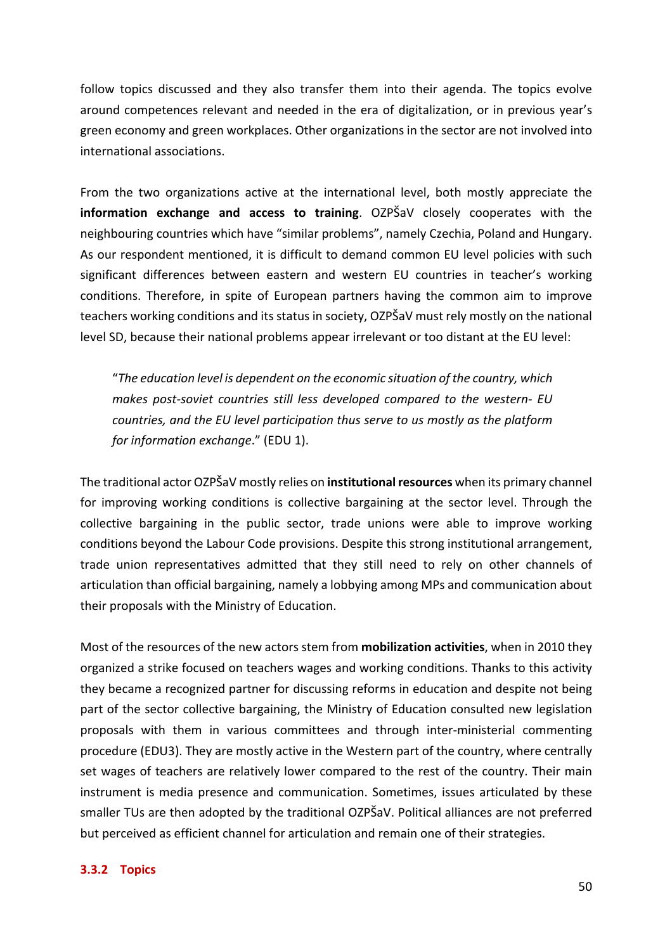follow topics discussed and they also transfer them into their agenda. The topics evolve around competences relevant and needed in the era of digitalization, or in previous year's green economy and green workplaces. Other organizations in the sector are not involved into international associations.

From the two organizations active at the international level, both mostly appreciate the **information exchange and access to training**. OZPŠaV closely cooperates with the neighbouring countries which have "similar problems", namely Czechia, Poland and Hungary. As our respondent mentioned, it is difficult to demand common EU level policies with such significant differences between eastern and western EU countries in teacher's working conditions. Therefore, in spite of European partners having the common aim to improve teachers working conditions and its status in society, OZPŠaV must rely mostly on the national level SD, because their national problems appear irrelevant or too distant at the EU level:

"The education level is dependent on the economic situation of the country, which *makes post-soviet countries still less developed compared to the western- EU countries, and the EU level participation thus serve to us mostly as the platform for information exchange.*" (EDU 1).

The traditional actor OZPŠaV mostly relies on *institutional resources* when its primary channel for improving working conditions is collective bargaining at the sector level. Through the collective bargaining in the public sector, trade unions were able to improve working conditions beyond the Labour Code provisions. Despite this strong institutional arrangement, trade union representatives admitted that they still need to rely on other channels of articulation than official bargaining, namely a lobbying among MPs and communication about their proposals with the Ministry of Education.

Most of the resources of the new actors stem from **mobilization activities**, when in 2010 they organized a strike focused on teachers wages and working conditions. Thanks to this activity they became a recognized partner for discussing reforms in education and despite not being part of the sector collective bargaining, the Ministry of Education consulted new legislation proposals with them in various committees and through inter-ministerial commenting procedure (EDU3). They are mostly active in the Western part of the country, where centrally set wages of teachers are relatively lower compared to the rest of the country. Their main instrument is media presence and communication. Sometimes, issues articulated by these smaller TUs are then adopted by the traditional OZPŠaV. Political alliances are not preferred but perceived as efficient channel for articulation and remain one of their strategies.

#### **3.3.2 Topics**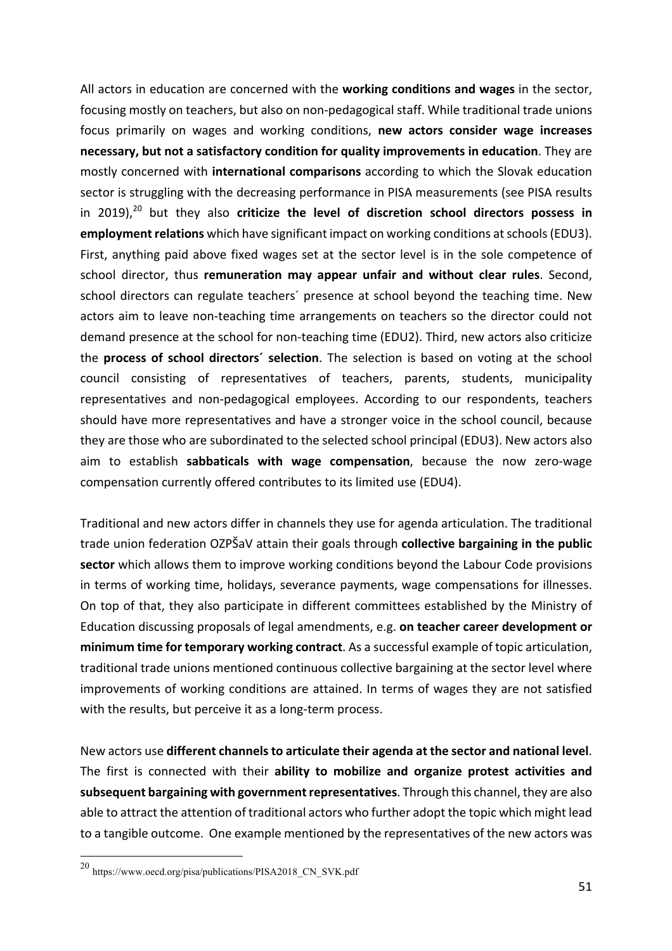All actors in education are concerned with the **working conditions and wages** in the sector, focusing mostly on teachers, but also on non-pedagogical staff. While traditional trade unions focus primarily on wages and working conditions, **new actors consider wage increases necessary, but not a satisfactory condition for quality improvements in education**. They are mostly concerned with **international comparisons** according to which the Slovak education sector is struggling with the decreasing performance in PISA measurements (see PISA results in 2019),<sup>20</sup> but they also **criticize the level of discretion school directors possess in employment relations** which have significant impact on working conditions at schools (EDU3). First, anything paid above fixed wages set at the sector level is in the sole competence of school director, thus **remuneration may appear unfair and without clear rules**. Second, school directors can regulate teachers' presence at school beyond the teaching time. New actors aim to leave non-teaching time arrangements on teachers so the director could not demand presence at the school for non-teaching time (EDU2). Third, new actors also criticize the **process of school directors' selection**. The selection is based on voting at the school council consisting of representatives of teachers, parents, students, municipality representatives and non-pedagogical employees. According to our respondents, teachers should have more representatives and have a stronger voice in the school council, because they are those who are subordinated to the selected school principal (EDU3). New actors also aim to establish **sabbaticals with wage compensation**, because the now zero-wage compensation currently offered contributes to its limited use (EDU4).

Traditional and new actors differ in channels they use for agenda articulation. The traditional trade union federation OZPŠaV attain their goals through **collective bargaining in the public sector** which allows them to improve working conditions beyond the Labour Code provisions in terms of working time, holidays, severance payments, wage compensations for illnesses. On top of that, they also participate in different committees established by the Ministry of Education discussing proposals of legal amendments, e.g. **on teacher career development or** minimum time for temporary working contract. As a successful example of topic articulation, traditional trade unions mentioned continuous collective bargaining at the sector level where improvements of working conditions are attained. In terms of wages they are not satisfied with the results, but perceive it as a long-term process.

New actors use **different channels to articulate their agenda at the sector and national level**. The first is connected with their ability to mobilize and organize protest activities and subsequent bargaining with government representatives. Through this channel, they are also able to attract the attention of traditional actors who further adopt the topic which might lead to a tangible outcome. One example mentioned by the representatives of the new actors was

 $^{20}$ https://www.oecd.org/pisa/publications/PISA2018\_CN\_SVK.pdf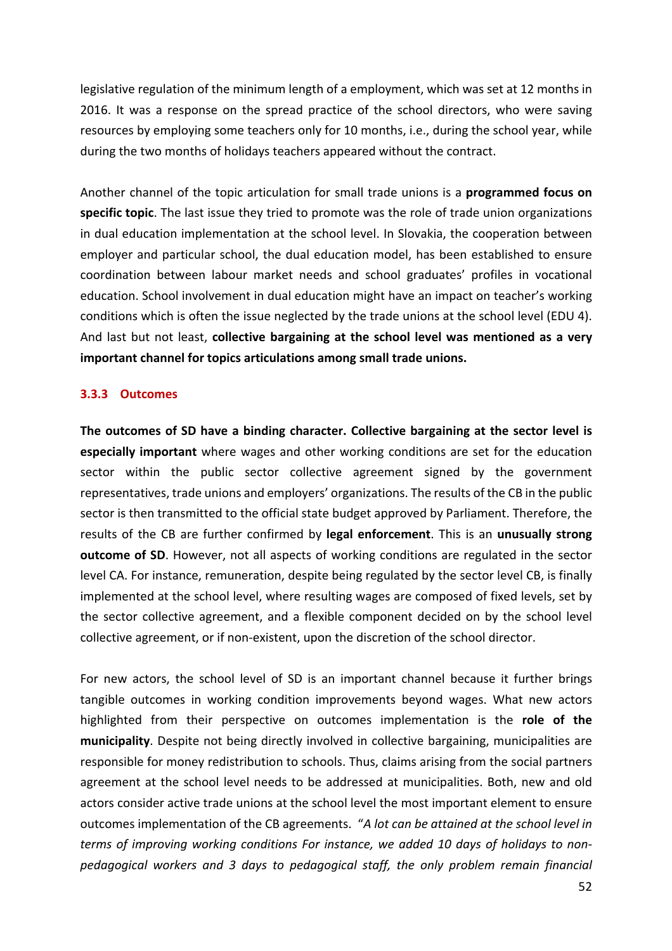legislative regulation of the minimum length of a employment, which was set at 12 months in 2016. It was a response on the spread practice of the school directors, who were saving resources by employing some teachers only for 10 months, i.e., during the school year, while during the two months of holidays teachers appeared without the contract.

Another channel of the topic articulation for small trade unions is a **programmed focus on specific topic**. The last issue they tried to promote was the role of trade union organizations in dual education implementation at the school level. In Slovakia, the cooperation between employer and particular school, the dual education model, has been established to ensure coordination between labour market needs and school graduates' profiles in vocational education. School involvement in dual education might have an impact on teacher's working conditions which is often the issue neglected by the trade unions at the school level (EDU 4). And last but not least, **collective bargaining at the school level was mentioned as a very important channel for topics articulations among small trade unions.** 

#### **3.3.3 Outcomes**

The outcomes of SD have a binding character. Collective bargaining at the sector level is **especially important** where wages and other working conditions are set for the education sector within the public sector collective agreement signed by the government representatives, trade unions and employers' organizations. The results of the CB in the public sector is then transmitted to the official state budget approved by Parliament. Therefore, the results of the CB are further confirmed by **legal enforcement**. This is an **unusually strong outcome of SD**. However, not all aspects of working conditions are regulated in the sector level CA. For instance, remuneration, despite being regulated by the sector level CB, is finally implemented at the school level, where resulting wages are composed of fixed levels, set by the sector collective agreement, and a flexible component decided on by the school level collective agreement, or if non-existent, upon the discretion of the school director.

For new actors, the school level of SD is an important channel because it further brings tangible outcomes in working condition improvements beyond wages. What new actors highlighted from their perspective on outcomes implementation is the **role of the municipality**. Despite not being directly involved in collective bargaining, municipalities are responsible for money redistribution to schools. Thus, claims arising from the social partners agreement at the school level needs to be addressed at municipalities. Both, new and old actors consider active trade unions at the school level the most important element to ensure outcomes implementation of the CB agreements. "A lot can be attained at the school level in terms of improving working conditions For instance, we added 10 days of holidays to nonpedagogical workers and 3 days to pedagogical staff, the only problem remain financial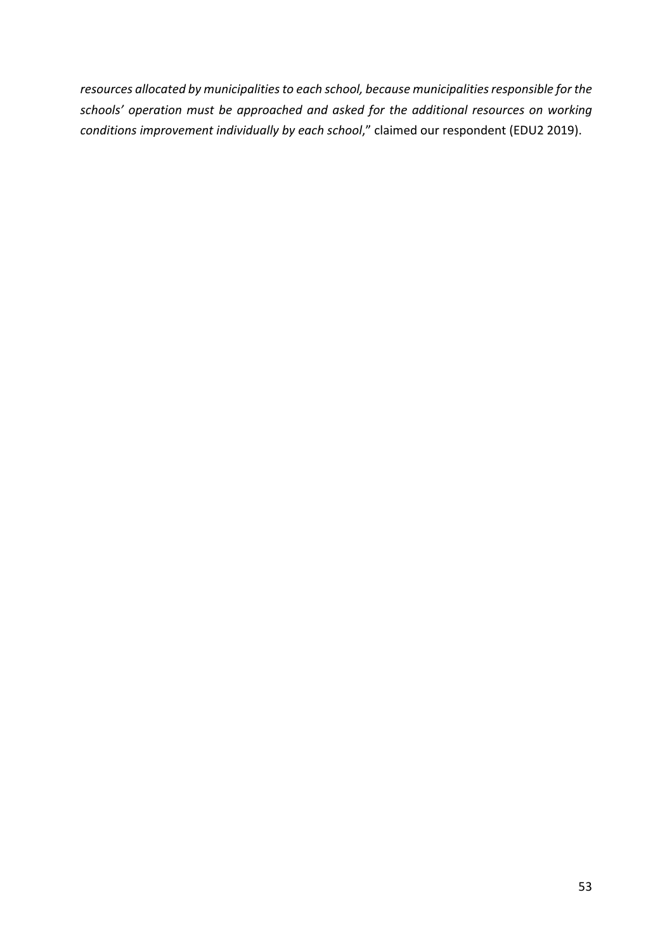resources allocated by municipalities to each school, because municipalities responsible for the schools' operation must be approached and asked for the additional resources on working *conditions improvement individually by each school*," claimed our respondent (EDU2 2019).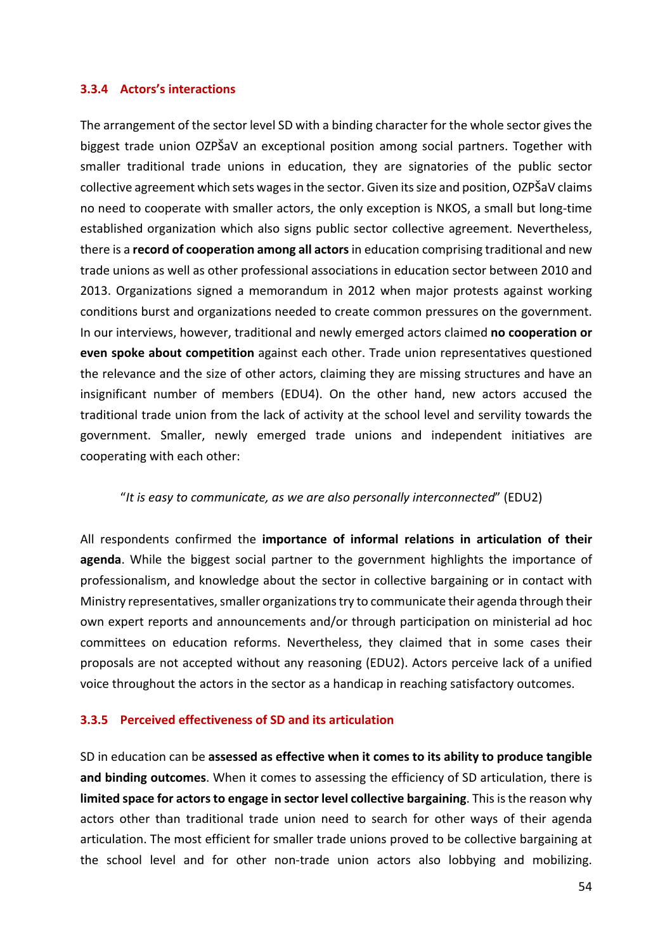#### **3.3.4 Actors's interactions**

The arrangement of the sector level SD with a binding character for the whole sector gives the biggest trade union OZPŠaV an exceptional position among social partners. Together with smaller traditional trade unions in education, they are signatories of the public sector collective agreement which sets wages in the sector. Given its size and position, OZPŠaV claims no need to cooperate with smaller actors, the only exception is NKOS, a small but long-time established organization which also signs public sector collective agreement. Nevertheless, there is a **record of cooperation among all actors** in education comprising traditional and new trade unions as well as other professional associations in education sector between 2010 and 2013. Organizations signed a memorandum in 2012 when major protests against working conditions burst and organizations needed to create common pressures on the government. In our interviews, however, traditional and newly emerged actors claimed **no cooperation or even spoke about competition** against each other. Trade union representatives questioned the relevance and the size of other actors, claiming they are missing structures and have an insignificant number of members (EDU4). On the other hand, new actors accused the traditional trade union from the lack of activity at the school level and servility towards the government. Smaller, newly emerged trade unions and independent initiatives are cooperating with each other:

#### "It is easy to communicate, as we are also personally interconnected" (EDU2)

All respondents confirmed the *importance* of *informal relations* in articulation of their agenda. While the biggest social partner to the government highlights the importance of professionalism, and knowledge about the sector in collective bargaining or in contact with Ministry representatives, smaller organizations try to communicate their agenda through their own expert reports and announcements and/or through participation on ministerial ad hoc committees on education reforms. Nevertheless, they claimed that in some cases their proposals are not accepted without any reasoning (EDU2). Actors perceive lack of a unified voice throughout the actors in the sector as a handicap in reaching satisfactory outcomes.

#### **3.3.5 Perceived effectiveness of SD and its articulation**

SD in education can be assessed as effective when it comes to its ability to produce tangible and binding outcomes. When it comes to assessing the efficiency of SD articulation, there is **limited space for actors to engage in sector level collective bargaining**. This is the reason why actors other than traditional trade union need to search for other ways of their agenda articulation. The most efficient for smaller trade unions proved to be collective bargaining at the school level and for other non-trade union actors also lobbying and mobilizing.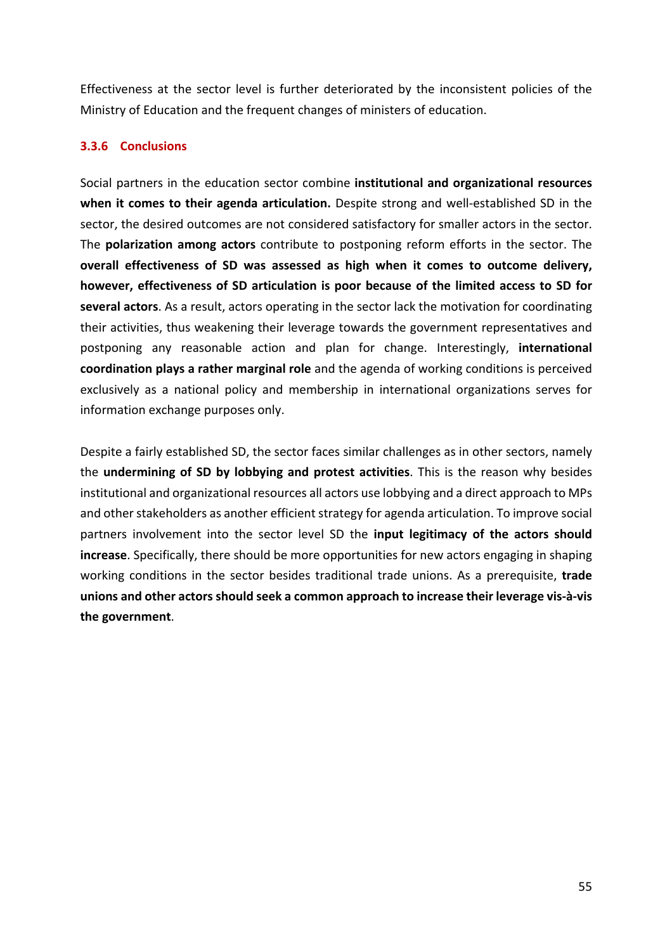Effectiveness at the sector level is further deteriorated by the inconsistent policies of the Ministry of Education and the frequent changes of ministers of education.

#### **3.3.6 Conclusions**

Social partners in the education sector combine **institutional and organizational resources** when it comes to their agenda articulation. Despite strong and well-established SD in the sector, the desired outcomes are not considered satisfactory for smaller actors in the sector. The **polarization among actors** contribute to postponing reform efforts in the sector. The overall effectiveness of SD was assessed as high when it comes to outcome delivery, however, effectiveness of SD articulation is poor because of the limited access to SD for **several actors**. As a result, actors operating in the sector lack the motivation for coordinating their activities, thus weakening their leverage towards the government representatives and postponing any reasonable action and plan for change. Interestingly, **international coordination plays a rather marginal role** and the agenda of working conditions is perceived exclusively as a national policy and membership in international organizations serves for information exchange purposes only.

Despite a fairly established SD, the sector faces similar challenges as in other sectors, namely the **undermining of SD by lobbying and protest activities**. This is the reason why besides institutional and organizational resources all actors use lobbying and a direct approach to MPs and other stakeholders as another efficient strategy for agenda articulation. To improve social partners involvement into the sector level SD the **input legitimacy of the actors should increase**. Specifically, there should be more opportunities for new actors engaging in shaping working conditions in the sector besides traditional trade unions. As a prerequisite, **trade** unions and other actors should seek a common approach to increase their leverage vis-à-vis the government.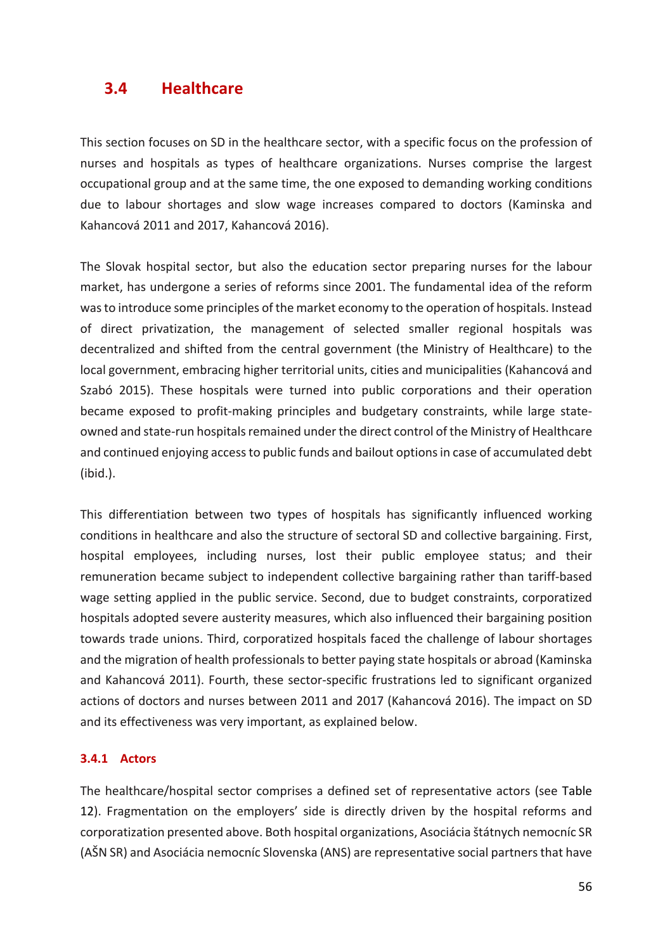# **3.4 Healthcare**

This section focuses on SD in the healthcare sector, with a specific focus on the profession of nurses and hospitals as types of healthcare organizations. Nurses comprise the largest occupational group and at the same time, the one exposed to demanding working conditions due to labour shortages and slow wage increases compared to doctors (Kaminska and Kahancová 2011 and 2017, Kahancová 2016).

The Slovak hospital sector, but also the education sector preparing nurses for the labour market, has undergone a series of reforms since 2001. The fundamental idea of the reform was to introduce some principles of the market economy to the operation of hospitals. Instead of direct privatization, the management of selected smaller regional hospitals was decentralized and shifted from the central government (the Ministry of Healthcare) to the local government, embracing higher territorial units, cities and municipalities (Kahancová and Szabó 2015). These hospitals were turned into public corporations and their operation became exposed to profit-making principles and budgetary constraints, while large stateowned and state-run hospitals remained under the direct control of the Ministry of Healthcare and continued enjoying access to public funds and bailout options in case of accumulated debt (ibid.). 

This differentiation between two types of hospitals has significantly influenced working conditions in healthcare and also the structure of sectoral SD and collective bargaining. First, hospital employees, including nurses, lost their public employee status; and their remuneration became subject to independent collective bargaining rather than tariff-based wage setting applied in the public service. Second, due to budget constraints, corporatized hospitals adopted severe austerity measures, which also influenced their bargaining position towards trade unions. Third, corporatized hospitals faced the challenge of labour shortages and the migration of health professionals to better paying state hospitals or abroad (Kaminska and Kahancová 2011). Fourth, these sector-specific frustrations led to significant organized actions of doctors and nurses between 2011 and 2017 (Kahancová 2016). The impact on SD and its effectiveness was very important, as explained below.

#### **3.4.1 Actors**

The healthcare/hospital sector comprises a defined set of representative actors (see Table 12). Fragmentation on the employers' side is directly driven by the hospital reforms and corporatization presented above. Both hospital organizations, Asociácia štátnych nemocníc SR (AŠN SR) and Asociácia nemocníc Slovenska (ANS) are representative social partners that have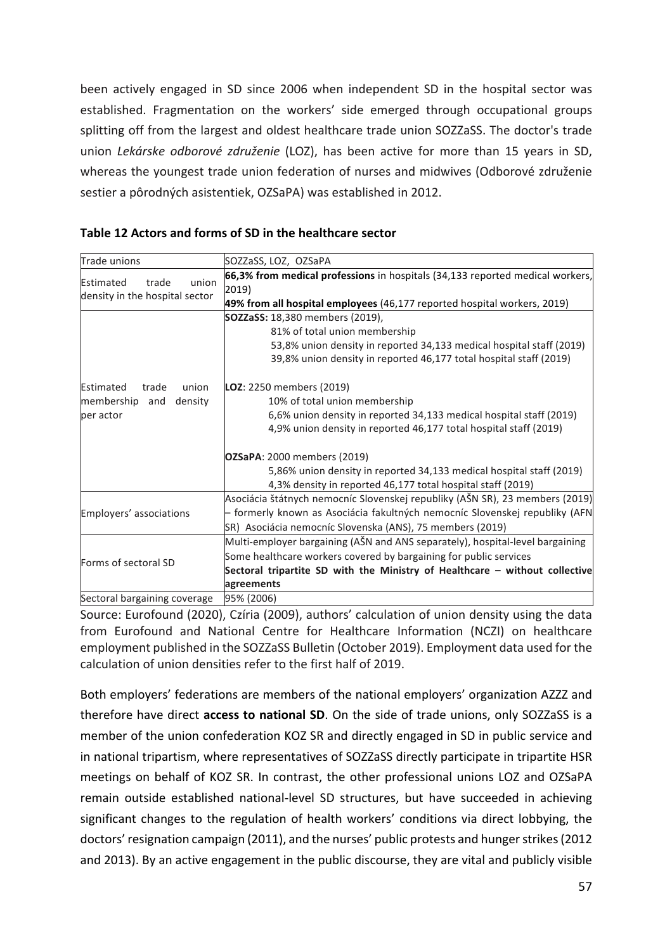been actively engaged in SD since 2006 when independent SD in the hospital sector was established. Fragmentation on the workers' side emerged through occupational groups splitting off from the largest and oldest healthcare trade union SOZZaSS. The doctor's trade union *Lekárske odborové združenie* (LOZ), has been active for more than 15 years in SD, whereas the voungest trade union federation of nurses and midwives (Odborové združenie sestier a pôrodných asistentiek, OZSaPA) was established in 2012.

| Trade unions                                                  | SOZZaSS, LOZ, OZSaPA                                                                                                                                               |  |  |  |  |  |
|---------------------------------------------------------------|--------------------------------------------------------------------------------------------------------------------------------------------------------------------|--|--|--|--|--|
| Estimated<br>trade<br>union<br>density in the hospital sector | 66,3% from medical professions in hospitals (34,133 reported medical workers,<br>2019)<br>49% from all hospital employees (46,177 reported hospital workers, 2019) |  |  |  |  |  |
|                                                               | <b>SOZZaSS:</b> 18,380 members (2019),                                                                                                                             |  |  |  |  |  |
|                                                               | 81% of total union membership                                                                                                                                      |  |  |  |  |  |
|                                                               | 53,8% union density in reported 34,133 medical hospital staff (2019)                                                                                               |  |  |  |  |  |
|                                                               | 39,8% union density in reported 46,177 total hospital staff (2019)                                                                                                 |  |  |  |  |  |
| union<br>Estimated<br>trade                                   | <b>LOZ</b> : 2250 members (2019)                                                                                                                                   |  |  |  |  |  |
| membership<br>density<br>and                                  | 10% of total union membership                                                                                                                                      |  |  |  |  |  |
| per actor                                                     | 6,6% union density in reported 34,133 medical hospital staff (2019)                                                                                                |  |  |  |  |  |
|                                                               | 4,9% union density in reported 46,177 total hospital staff (2019)                                                                                                  |  |  |  |  |  |
|                                                               | <b>OZSaPA:</b> 2000 members (2019)                                                                                                                                 |  |  |  |  |  |
|                                                               | 5,86% union density in reported 34,133 medical hospital staff (2019)                                                                                               |  |  |  |  |  |
|                                                               | 4,3% density in reported 46,177 total hospital staff (2019)                                                                                                        |  |  |  |  |  |
|                                                               | Asociácia štátnych nemocníc Slovenskej republiky (AŠN SR), 23 members (2019)                                                                                       |  |  |  |  |  |
| Employers' associations                                       | - formerly known as Asociácia fakultných nemocníc Slovenskej republiky (AFN                                                                                        |  |  |  |  |  |
|                                                               | SR) Asociácia nemocníc Slovenska (ANS), 75 members (2019)                                                                                                          |  |  |  |  |  |
|                                                               | Multi-employer bargaining (AŠN and ANS separately), hospital-level bargaining                                                                                      |  |  |  |  |  |
| Forms of sectoral SD                                          | Some healthcare workers covered by bargaining for public services                                                                                                  |  |  |  |  |  |
|                                                               | Sectoral tripartite SD with the Ministry of Healthcare – without collective                                                                                        |  |  |  |  |  |
|                                                               | agreements                                                                                                                                                         |  |  |  |  |  |
| Sectoral bargaining coverage                                  | 95% (2006)                                                                                                                                                         |  |  |  |  |  |
|                                                               |                                                                                                                                                                    |  |  |  |  |  |

Source: Eurofound (2020), Czíria (2009), authors' calculation of union density using the data from Eurofound and National Centre for Healthcare Information (NCZI) on healthcare employment published in the SOZZaSS Bulletin (October 2019). Employment data used for the calculation of union densities refer to the first half of 2019.

Both employers' federations are members of the national employers' organization AZZZ and therefore have direct **access to national SD**. On the side of trade unions, only SOZZaSS is a member of the union confederation KOZ SR and directly engaged in SD in public service and in national tripartism, where representatives of SOZZaSS directly participate in tripartite HSR meetings on behalf of KOZ SR. In contrast, the other professional unions LOZ and OZSaPA remain outside established national-level SD structures, but have succeeded in achieving significant changes to the regulation of health workers' conditions via direct lobbying, the doctors' resignation campaign (2011), and the nurses' public protests and hunger strikes (2012 and 2013). By an active engagement in the public discourse, they are vital and publicly visible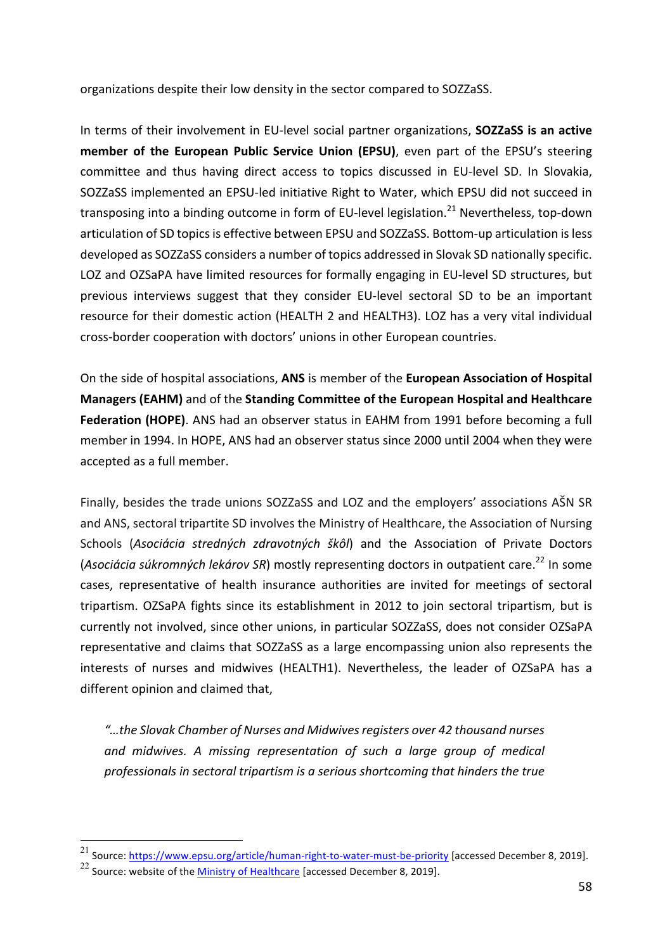organizations despite their low density in the sector compared to SOZZaSS.

In terms of their involvement in EU-level social partner organizations, **SOZZaSS is an active member of the European Public Service Union (EPSU)**, even part of the EPSU's steering committee and thus having direct access to topics discussed in EU-level SD. In Slovakia, SOZZaSS implemented an EPSU-led initiative Right to Water, which EPSU did not succeed in transposing into a binding outcome in form of EU-level legislation.<sup>21</sup> Nevertheless, top-down articulation of SD topics is effective between EPSU and SOZZaSS. Bottom-up articulation is less developed as SOZZaSS considers a number of topics addressed in Slovak SD nationally specific. LOZ and OZSaPA have limited resources for formally engaging in EU-level SD structures, but previous interviews suggest that they consider EU-level sectoral SD to be an important resource for their domestic action (HEALTH 2 and HEALTH3). LOZ has a very vital individual cross-border cooperation with doctors' unions in other European countries.

On the side of hospital associations, ANS is member of the European Association of Hospital **Managers (EAHM)** and of the **Standing Committee of the European Hospital and Healthcare Federation (HOPE)**. ANS had an observer status in EAHM from 1991 before becoming a full member in 1994. In HOPE, ANS had an observer status since 2000 until 2004 when they were accepted as a full member.

Finally, besides the trade unions SOZZaSS and LOZ and the employers' associations ASN SR and ANS, sectoral tripartite SD involves the Ministry of Healthcare, the Association of Nursing Schools (Asociácia stredných zdravotných škôl) and the Association of Private Doctors (Asociácia súkromných lekárov SR) mostly representing doctors in outpatient care.<sup>22</sup> In some cases, representative of health insurance authorities are invited for meetings of sectoral tripartism. OZSaPA fights since its establishment in 2012 to join sectoral tripartism, but is currently not involved, since other unions, in particular SOZZaSS, does not consider OZSaPA representative and claims that SOZZaSS as a large encompassing union also represents the interests of nurses and midwives (HEALTH1). Nevertheless, the leader of OZSaPA has a different opinion and claimed that,

"...the Slovak Chamber of Nurses and Midwives registers over 42 thousand nurses and midwives. A missing representation of such a large group of medical professionals in sectoral tripartism is a serious shortcoming that hinders the true

<sup>&</sup>lt;sup>21</sup> Source: https://www.epsu.org/article/human-right-to-water-must-be-priority [accessed December 8, 2019].

 $22$  Source: website of the Ministry of Healthcare [accessed December 8, 2019].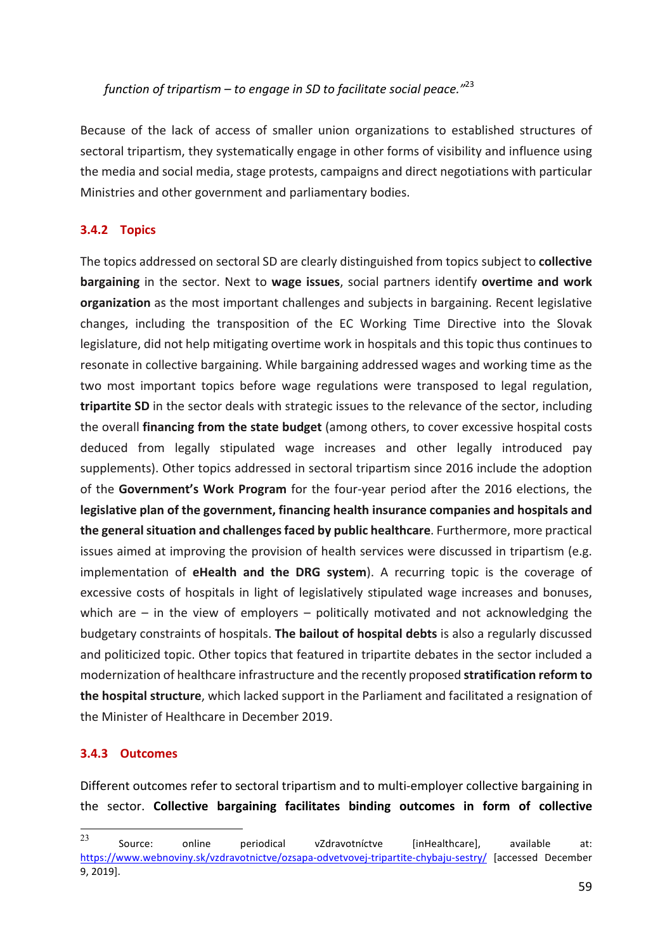*function of tripartism* – to engage in SD to facilitate social peace."<sup>23</sup>

Because of the lack of access of smaller union organizations to established structures of sectoral tripartism, they systematically engage in other forms of visibility and influence using the media and social media, stage protests, campaigns and direct negotiations with particular Ministries and other government and parliamentary bodies.

#### **3.4.2 Topics**

The topics addressed on sectoral SD are clearly distinguished from topics subject to **collective bargaining** in the sector. Next to wage issues, social partners identify overtime and work **organization** as the most important challenges and subjects in bargaining. Recent legislative changes, including the transposition of the EC Working Time Directive into the Slovak legislature, did not help mitigating overtime work in hospitals and this topic thus continues to resonate in collective bargaining. While bargaining addressed wages and working time as the two most important topics before wage regulations were transposed to legal regulation, **tripartite SD** in the sector deals with strategic issues to the relevance of the sector, including the overall **financing from the state budget** (among others, to cover excessive hospital costs deduced from legally stipulated wage increases and other legally introduced pay supplements). Other topics addressed in sectoral tripartism since 2016 include the adoption of the Government's Work Program for the four-year period after the 2016 elections, the **legislative plan of the government, financing health insurance companies and hospitals and** the general situation and challenges faced by public healthcare. Furthermore, more practical issues aimed at improving the provision of health services were discussed in tripartism (e.g. implementation of **eHealth and the DRG system**). A recurring topic is the coverage of excessive costs of hospitals in light of legislatively stipulated wage increases and bonuses, which are  $-$  in the view of employers  $-$  politically motivated and not acknowledging the budgetary constraints of hospitals. **The bailout of hospital debts** is also a regularly discussed and politicized topic. Other topics that featured in tripartite debates in the sector included a modernization of healthcare infrastructure and the recently proposed **stratification reform to the hospital structure**, which lacked support in the Parliament and facilitated a resignation of the Minister of Healthcare in December 2019.

#### **3.4.3 Outcomes**

Different outcomes refer to sectoral tripartism and to multi-employer collective bargaining in the sector. Collective bargaining facilitates binding outcomes in form of collective

en an allegation and the mode of the mode of the mode of the mode of the mode of the mode of the mode of the m<br>
23 Source: Online periodical vZdravotníctve [inHealthcare], available at: https://www.webnoviny.sk/vzdravotnictve/ozsapa-odvetvovej-tripartite-chybaju-sestry/ [accessed December 9, 2019].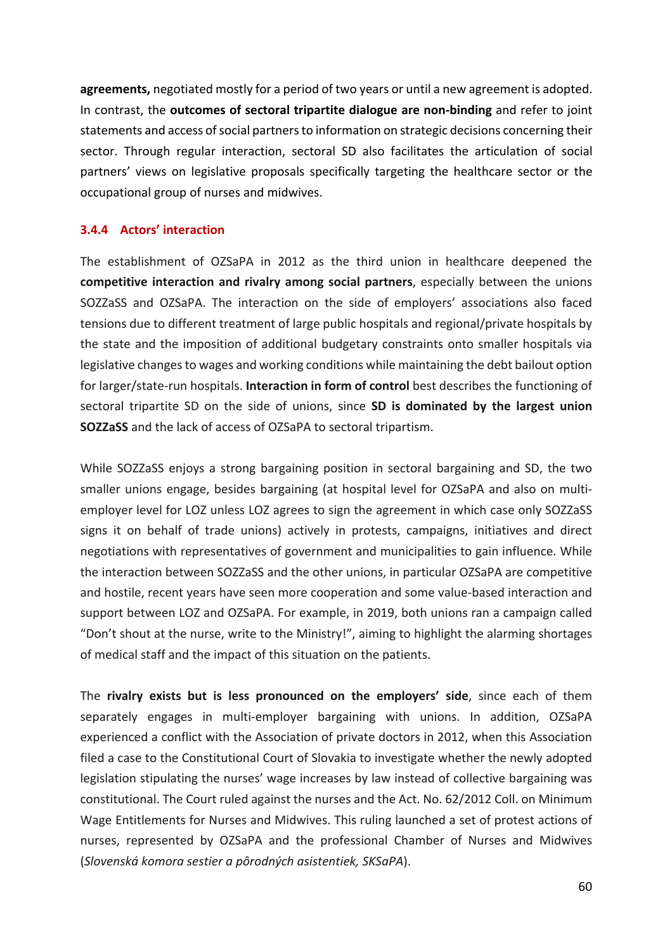**agreements,** negotiated mostly for a period of two years or until a new agreement is adopted. In contrast, the **outcomes of sectoral tripartite dialogue are non-binding** and refer to joint statements and access of social partners to information on strategic decisions concerning their sector. Through regular interaction, sectoral SD also facilitates the articulation of social partners' views on legislative proposals specifically targeting the healthcare sector or the occupational group of nurses and midwives.

#### **3.4.4 Actors' interaction**

The establishment of OZSaPA in 2012 as the third union in healthcare deepened the **competitive interaction and rivalry among social partners**, especially between the unions SOZZaSS and OZSaPA. The interaction on the side of employers' associations also faced tensions due to different treatment of large public hospitals and regional/private hospitals by the state and the imposition of additional budgetary constraints onto smaller hospitals via legislative changes to wages and working conditions while maintaining the debt bailout option for larger/state-run hospitals. **Interaction in form of control** best describes the functioning of sectoral tripartite SD on the side of unions, since **SD is dominated by the largest union SOZZaSS** and the lack of access of OZSaPA to sectoral tripartism.

While SOZZaSS enjoys a strong bargaining position in sectoral bargaining and SD, the two smaller unions engage, besides bargaining (at hospital level for OZSaPA and also on multiemployer level for LOZ unless LOZ agrees to sign the agreement in which case only SOZZaSS signs it on behalf of trade unions) actively in protests, campaigns, initiatives and direct negotiations with representatives of government and municipalities to gain influence. While the interaction between SOZZaSS and the other unions, in particular OZSaPA are competitive and hostile, recent years have seen more cooperation and some value-based interaction and support between LOZ and OZSaPA. For example, in 2019, both unions ran a campaign called "Don't shout at the nurse, write to the Ministry!", aiming to highlight the alarming shortages of medical staff and the impact of this situation on the patients.

The **rivalry exists but is less pronounced on the employers' side**, since each of them separately engages in multi-employer bargaining with unions. In addition, OZSaPA experienced a conflict with the Association of private doctors in 2012, when this Association filed a case to the Constitutional Court of Slovakia to investigate whether the newly adopted legislation stipulating the nurses' wage increases by law instead of collective bargaining was constitutional. The Court ruled against the nurses and the Act. No. 62/2012 Coll. on Minimum Wage Entitlements for Nurses and Midwives. This ruling launched a set of protest actions of nurses, represented by OZSaPA and the professional Chamber of Nurses and Midwives (*Slovenská komora sestier a pôrodných asistentiek, SKSaPA*).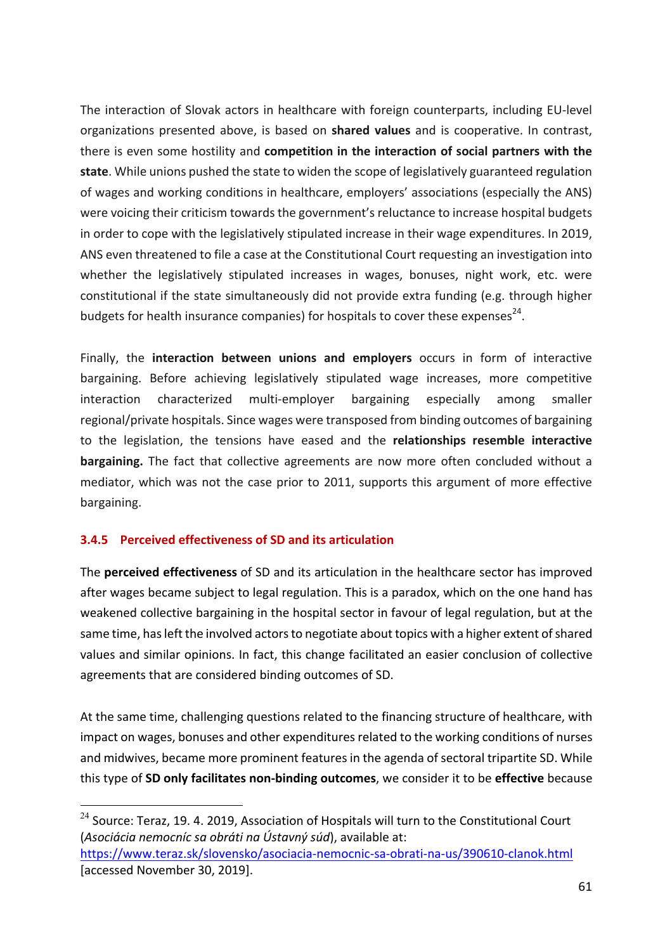The interaction of Slovak actors in healthcare with foreign counterparts, including EU-level organizations presented above, is based on **shared values** and is cooperative. In contrast, there is even some hostility and **competition in the interaction of social partners with the** state. While unions pushed the state to widen the scope of legislatively guaranteed regulation of wages and working conditions in healthcare, employers' associations (especially the ANS) were voicing their criticism towards the government's reluctance to increase hospital budgets in order to cope with the legislatively stipulated increase in their wage expenditures. In 2019, ANS even threatened to file a case at the Constitutional Court requesting an investigation into whether the legislatively stipulated increases in wages, bonuses, night work, etc. were constitutional if the state simultaneously did not provide extra funding (e.g. through higher budgets for health insurance companies) for hospitals to cover these expenses<sup>24</sup>.

Finally, the **interaction between unions and employers** occurs in form of interactive bargaining. Before achieving legislatively stipulated wage increases, more competitive interaction characterized multi-employer bargaining especially among smaller regional/private hospitals. Since wages were transposed from binding outcomes of bargaining to the legislation, the tensions have eased and the **relationships resemble interactive bargaining.** The fact that collective agreements are now more often concluded without a mediator, which was not the case prior to 2011, supports this argument of more effective bargaining.

#### **3.4.5 Perceived effectiveness of SD and its articulation**

The **perceived effectiveness** of SD and its articulation in the healthcare sector has improved after wages became subject to legal regulation. This is a paradox, which on the one hand has weakened collective bargaining in the hospital sector in favour of legal regulation, but at the same time, has left the involved actors to negotiate about topics with a higher extent of shared values and similar opinions. In fact, this change facilitated an easier conclusion of collective agreements that are considered binding outcomes of SD.

At the same time, challenging questions related to the financing structure of healthcare, with impact on wages, bonuses and other expenditures related to the working conditions of nurses and midwives, became more prominent features in the agenda of sectoral tripartite SD. While this type of **SD only facilitates non-binding outcomes**, we consider it to be effective because

 $24$  Source: Teraz. 19. 4. 2019. Association of Hospitals will turn to the Constitutional Court (Asociácia nemocníc sa obráti na Ústavný súd), available at: https://www.teraz.sk/slovensko/asociacia-nemocnic-sa-obrati-na-us/390610-clanok.html [accessed November 30, 2019].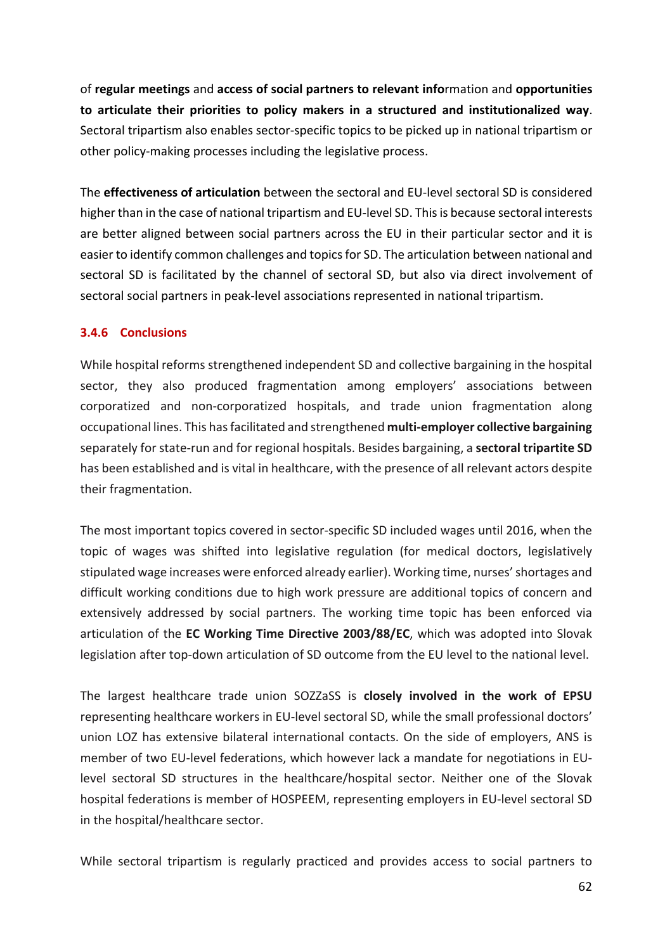of regular meetings and access of social partners to relevant information and opportunities to articulate their priorities to policy makers in a structured and institutionalized way. Sectoral tripartism also enables sector-specific topics to be picked up in national tripartism or other policy-making processes including the legislative process.

The **effectiveness of articulation** between the sectoral and EU-level sectoral SD is considered higher than in the case of national tripartism and EU-level SD. This is because sectoral interests are better aligned between social partners across the EU in their particular sector and it is easier to identify common challenges and topics for SD. The articulation between national and sectoral SD is facilitated by the channel of sectoral SD, but also via direct involvement of sectoral social partners in peak-level associations represented in national tripartism.

#### **3.4.6 Conclusions**

While hospital reforms strengthened independent SD and collective bargaining in the hospital sector, they also produced fragmentation among employers' associations between corporatized and non-corporatized hospitals, and trade union fragmentation along occupational lines. This has facilitated and strengthened **multi-employer collective bargaining** separately for state-run and for regional hospitals. Besides bargaining, a **sectoral tripartite SD** has been established and is vital in healthcare, with the presence of all relevant actors despite their fragmentation.

The most important topics covered in sector-specific SD included wages until 2016, when the topic of wages was shifted into legislative regulation (for medical doctors, legislatively stipulated wage increases were enforced already earlier). Working time, nurses' shortages and difficult working conditions due to high work pressure are additional topics of concern and extensively addressed by social partners. The working time topic has been enforced via articulation of the **EC Working Time Directive 2003/88/EC**, which was adopted into Slovak legislation after top-down articulation of SD outcome from the EU level to the national level.

The largest healthcare trade union SOZZaSS is **closely involved in the work of EPSU** representing healthcare workers in EU-level sectoral SD, while the small professional doctors' union LOZ has extensive bilateral international contacts. On the side of employers, ANS is member of two EU-level federations, which however lack a mandate for negotiations in EUlevel sectoral SD structures in the healthcare/hospital sector. Neither one of the Slovak hospital federations is member of HOSPEEM, representing employers in EU-level sectoral SD in the hospital/healthcare sector.

While sectoral tripartism is regularly practiced and provides access to social partners to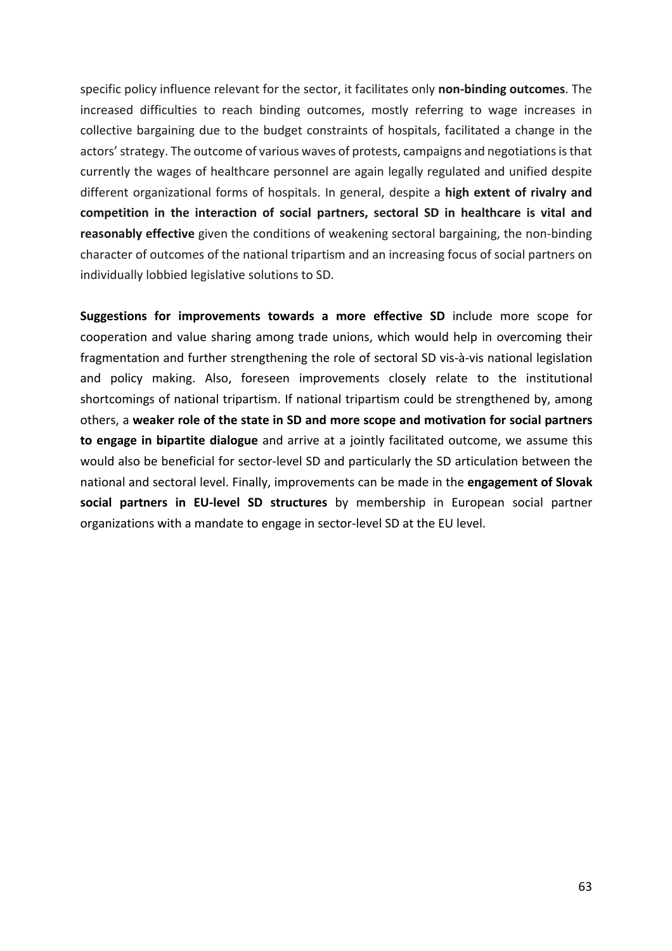specific policy influence relevant for the sector, it facilitates only **non-binding outcomes**. The increased difficulties to reach binding outcomes, mostly referring to wage increases in collective bargaining due to the budget constraints of hospitals, facilitated a change in the actors' strategy. The outcome of various waves of protests, campaigns and negotiations is that currently the wages of healthcare personnel are again legally regulated and unified despite different organizational forms of hospitals. In general, despite a **high extent of rivalry and** competition in the interaction of social partners, sectoral SD in healthcare is vital and **reasonably effective** given the conditions of weakening sectoral bargaining, the non-binding character of outcomes of the national tripartism and an increasing focus of social partners on individually lobbied legislative solutions to SD.

**Suggestions for improvements towards a more effective SD** include more scope for cooperation and value sharing among trade unions, which would help in overcoming their fragmentation and further strengthening the role of sectoral SD vis-à-vis national legislation and policy making. Also, foreseen improvements closely relate to the institutional shortcomings of national tripartism. If national tripartism could be strengthened by, among others, a weaker role of the state in SD and more scope and motivation for social partners **to engage in bipartite dialogue** and arrive at a jointly facilitated outcome, we assume this would also be beneficial for sector-level SD and particularly the SD articulation between the national and sectoral level. Finally, improvements can be made in the **engagement of Slovak social partners in EU-level SD structures** by membership in European social partner organizations with a mandate to engage in sector-level SD at the EU level.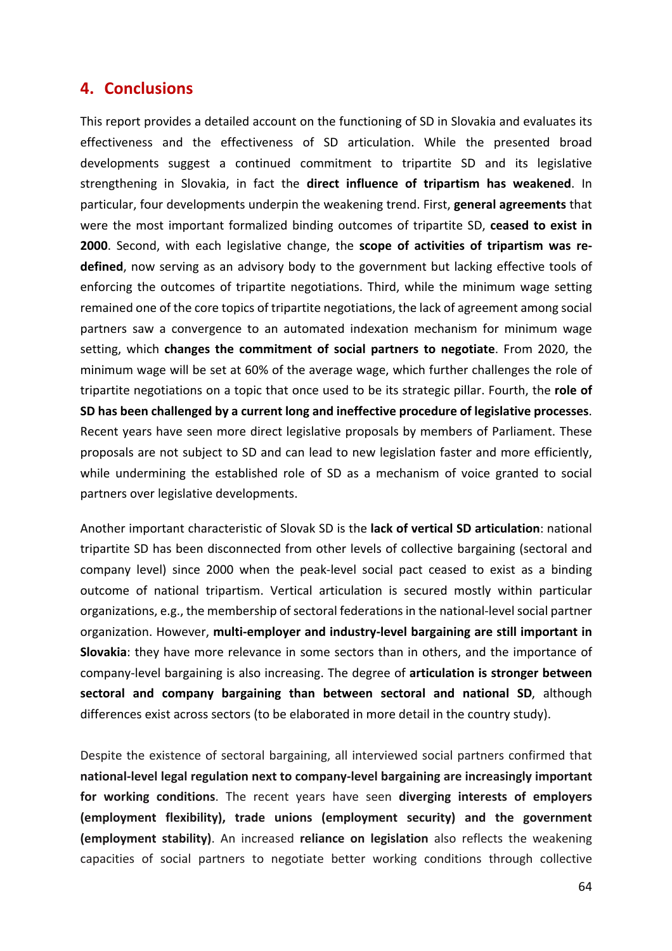### **4. Conclusions**

This report provides a detailed account on the functioning of SD in Slovakia and evaluates its effectiveness and the effectiveness of SD articulation. While the presented broad developments suggest a continued commitment to tripartite SD and its legislative **strengthening** in Slovakia, in fact the **direct influence of tripartism has weakened**. In particular, four developments underpin the weakening trend. First, **general agreements** that were the most important formalized binding outcomes of tripartite SD, ceased to exist in 2000. Second, with each legislative change, the scope of activities of tripartism was re**defined**, now serving as an advisory body to the government but lacking effective tools of enforcing the outcomes of tripartite negotiations. Third, while the minimum wage setting remained one of the core topics of tripartite negotiations, the lack of agreement among social partners saw a convergence to an automated indexation mechanism for minimum wage setting, which **changes the commitment of social partners to negotiate**. From 2020, the minimum wage will be set at 60% of the average wage, which further challenges the role of tripartite negotiations on a topic that once used to be its strategic pillar. Fourth, the **role of SD** has been challenged by a current long and ineffective procedure of legislative processes. Recent years have seen more direct legislative proposals by members of Parliament. These proposals are not subject to SD and can lead to new legislation faster and more efficiently, while undermining the established role of SD as a mechanism of voice granted to social partners over legislative developments.

Another important characteristic of Slovak SD is the **lack of vertical SD articulation**: national tripartite SD has been disconnected from other levels of collective bargaining (sectoral and company level) since 2000 when the peak-level social pact ceased to exist as a binding outcome of national tripartism. Vertical articulation is secured mostly within particular organizations, e.g., the membership of sectoral federations in the national-level social partner organization. However, multi-employer and industry-level bargaining are still important in **Slovakia**: they have more relevance in some sectors than in others, and the importance of company-level bargaining is also increasing. The degree of articulation is stronger between sectoral and company bargaining than between sectoral and national SD, although differences exist across sectors (to be elaborated in more detail in the country study).

Despite the existence of sectoral bargaining, all interviewed social partners confirmed that national-level legal regulation next to company-level bargaining are increasingly important for working conditions. The recent years have seen diverging interests of employers **(employment flexibility), trade unions (employment security) and the government (employment stability)**. An increased **reliance on legislation** also reflects the weakening capacities of social partners to negotiate better working conditions through collective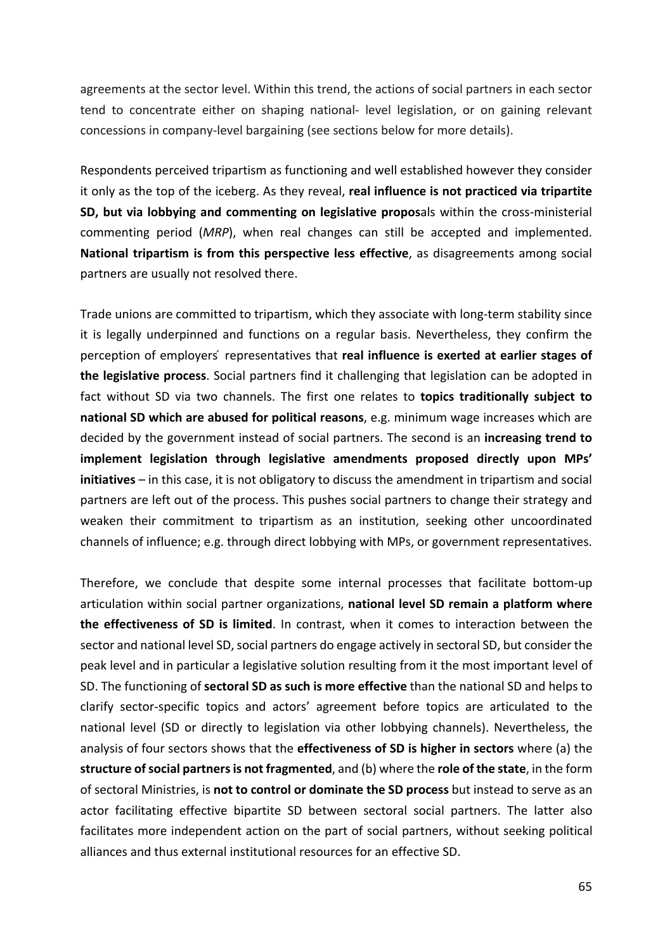agreements at the sector level. Within this trend, the actions of social partners in each sector tend to concentrate either on shaping national- level legislation, or on gaining relevant concessions in company-level bargaining (see sections below for more details).

Respondents perceived tripartism as functioning and well established however they consider it only as the top of the iceberg. As they reveal, **real influence is not practiced via tripartite SD, but via lobbying and commenting on legislative proposals within the cross-ministerial** commenting period (*MRP*), when real changes can still be accepted and implemented. **National tripartism is from this perspective less effective**, as disagreements among social partners are usually not resolved there.

Trade unions are committed to tripartism, which they associate with long-term stability since it is legally underpinned and functions on a regular basis. Nevertheless, they confirm the perception of employers' representatives that **real influence is exerted at earlier stages of the legislative process**. Social partners find it challenging that legislation can be adopted in fact without SD via two channels. The first one relates to **topics traditionally subject to national SD which are abused for political reasons**, e.g. minimum wage increases which are decided by the government instead of social partners. The second is an *increasing trend to* implement legislation through legislative amendments proposed directly upon MPs' **initiatives** – in this case, it is not obligatory to discuss the amendment in tripartism and social partners are left out of the process. This pushes social partners to change their strategy and weaken their commitment to tripartism as an institution, seeking other uncoordinated channels of influence; e.g. through direct lobbying with MPs, or government representatives.

Therefore, we conclude that despite some internal processes that facilitate bottom-up articulation within social partner organizations, **national level SD remain a platform where the effectiveness of SD is limited.** In contrast, when it comes to interaction between the sector and national level SD, social partners do engage actively in sectoral SD, but consider the peak level and in particular a legislative solution resulting from it the most important level of SD. The functioning of **sectoral SD as such is more effective** than the national SD and helps to clarify sector-specific topics and actors' agreement before topics are articulated to the national level (SD or directly to legislation via other lobbying channels). Nevertheless, the analysis of four sectors shows that the **effectiveness of SD is higher in sectors** where (a) the **structure of social partners is not fragmented**, and (b) where the **role of the state**, in the form of sectoral Ministries, is **not to control or dominate the SD process** but instead to serve as an actor facilitating effective bipartite SD between sectoral social partners. The latter also facilitates more independent action on the part of social partners, without seeking political alliances and thus external institutional resources for an effective SD.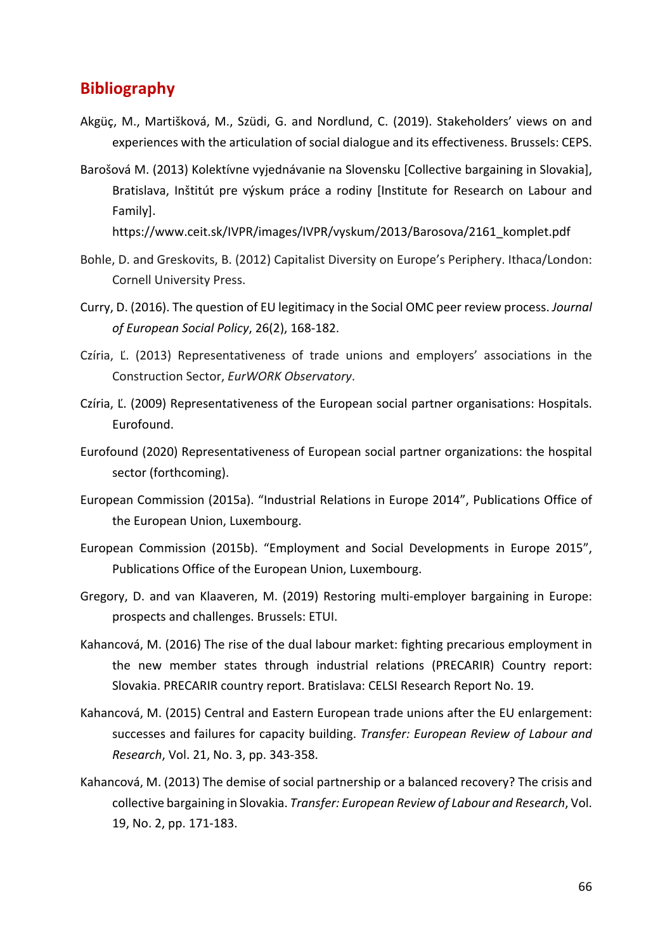### **Bibliography**

- Akgüç, M., Martišková, M., Szüdi, G. and Nordlund, C. (2019). Stakeholders' views on and experiences with the articulation of social dialogue and its effectiveness. Brussels: CEPS.
- Barošová M. (2013) Kolektívne vyjednávanie na Slovensku [Collective bargaining in Slovakia], Bratislava, Inštitút pre výskum práce a rodiny [Institute for Research on Labour and Family].

https://www.ceit.sk/IVPR/images/IVPR/vyskum/2013/Barosova/2161\_komplet.pdf 

- Bohle, D. and Greskovits, B. (2012) Capitalist Diversity on Europe's Periphery. Ithaca/London: Cornell University Press.
- Curry, D. (2016). The question of EU legitimacy in the Social OMC peer review process. *Journal* of European Social Policy, 26(2), 168-182.
- Czíria, Ľ. (2013) Representativeness of trade unions and employers' associations in the Construction Sector, *EurWORK Observatory*.
- Czíria, Ľ. (2009) Representativeness of the European social partner organisations: Hospitals. Eurofound.
- Eurofound (2020) Representativeness of European social partner organizations: the hospital sector (forthcoming).
- European Commission (2015a). "Industrial Relations in Europe 2014", Publications Office of the European Union, Luxembourg.
- European Commission (2015b). "Employment and Social Developments in Europe 2015", Publications Office of the European Union, Luxembourg.
- Gregory, D. and van Klaaveren, M. (2019) Restoring multi-employer bargaining in Europe: prospects and challenges. Brussels: ETUI.
- Kahancová, M. (2016) The rise of the dual labour market: fighting precarious employment in the new member states through industrial relations (PRECARIR) Country report: Slovakia. PRECARIR country report. Bratislava: CELSI Research Report No. 19.
- Kahancová, M. (2015) Central and Eastern European trade unions after the EU enlargement: successes and failures for capacity building. *Transfer: European Review of Labour and Research*, *Vol.* 21, *No.* 3, pp. 343-358.
- Kahancová, M. (2013) The demise of social partnership or a balanced recovery? The crisis and collective bargaining in Slovakia. *Transfer: European Review of Labour and Research*, Vol. 19, No. 2, pp. 171-183.